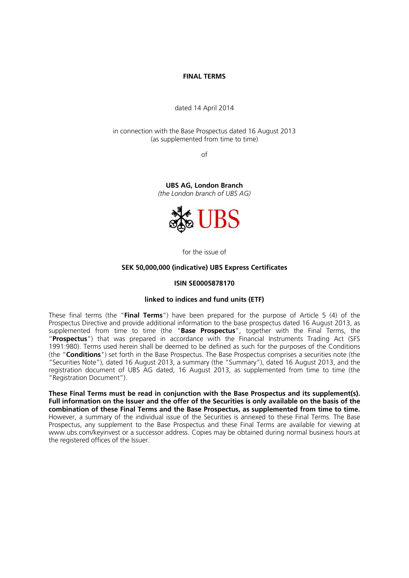### **FINAL TERMS**

dated 14 April 2014

in connection with the Base Prospectus dated 16 August 2013 (as supplemented from time to time)

of

**UBS AG, London Branch**  *(the London branch of UBS AG)*



for the issue of

### **SEK 50,000,000 (indicative) UBS Express Certificates**

#### **ISIN SE0005878170**

### **linked to indices and fund units (ETF)**

These final terms (the "**Final Terms**") have been prepared for the purpose of Article 5 (4) of the Prospectus Directive and provide additional information to the base prospectus dated 16 August 2013, as supplemented from time to time (the "**Base Prospectus**", together with the Final Terms, the "**Prospectus**") that was prepared in accordance with the Financial Instruments Trading Act (SFS 1991:980). Terms used herein shall be deemed to be defined as such for the purposes of the Conditions (the "**Conditions**") set forth in the Base Prospectus. The Base Prospectus comprises a securities note (the "Securities Note"), dated 16 August 2013, a summary (the "Summary"), dated 16 August 2013, and the registration document of UBS AG dated, 16 August 2013, as supplemented from time to time (the "Registration Document").

**These Final Terms must be read in conjunction with the Base Prospectus and its supplement(s). Full information on the Issuer and the offer of the Securities is only available on the basis of the combination of these Final Terms and the Base Prospectus, as supplemented from time to time.** However, a summary of the individual issue of the Securities is annexed to these Final Terms. The Base Prospectus, any supplement to the Base Prospectus and these Final Terms are available for viewing at www.ubs.com/keyinvest or a successor address. Copies may be obtained during normal business hours at the registered offices of the Issuer.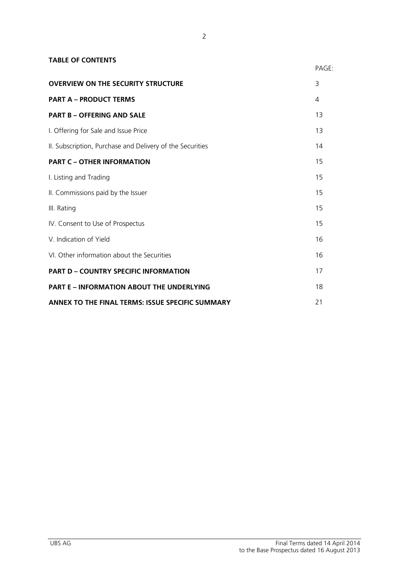| <b>TABLE OF CONTENTS</b>                                  |                |
|-----------------------------------------------------------|----------------|
|                                                           | PAGE:          |
| <b>OVERVIEW ON THE SECURITY STRUCTURE</b>                 | 3              |
| <b>PART A - PRODUCT TERMS</b>                             | 4              |
| <b>PART B - OFFERING AND SALE</b>                         | 1 <sub>3</sub> |
| I. Offering for Sale and Issue Price                      | 13             |
| II. Subscription, Purchase and Delivery of the Securities | 14             |
| <b>PART C - OTHER INFORMATION</b>                         | 15             |
| I. Listing and Trading                                    | 15             |
| II. Commissions paid by the Issuer                        | 15             |
| III. Rating                                               | 15             |
| IV. Consent to Use of Prospectus                          | 15             |
| V. Indication of Yield                                    | 16             |
| VI. Other information about the Securities                | 16             |
| <b>PART D - COUNTRY SPECIFIC INFORMATION</b>              | 17             |
| <b>PART E - INFORMATION ABOUT THE UNDERLYING</b>          | 18             |
| ANNEX TO THE FINAL TERMS: ISSUE SPECIFIC SUMMARY          | 21             |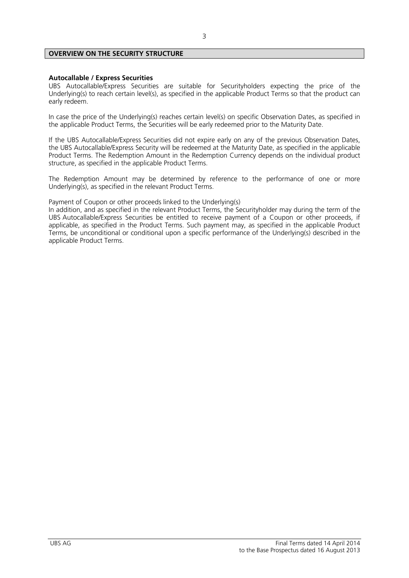# **OVERVIEW ON THE SECURITY STRUCTURE**

#### **Autocallable / Express Securities**

UBS Autocallable/Express Securities are suitable for Securityholders expecting the price of the Underlying(s) to reach certain level(s), as specified in the applicable Product Terms so that the product can early redeem.

In case the price of the Underlying(s) reaches certain level(s) on specific Observation Dates, as specified in the applicable Product Terms, the Securities will be early redeemed prior to the Maturity Date.

If the UBS Autocallable/Express Securities did not expire early on any of the previous Observation Dates, the UBS Autocallable/Express Security will be redeemed at the Maturity Date, as specified in the applicable Product Terms. The Redemption Amount in the Redemption Currency depends on the individual product structure, as specified in the applicable Product Terms.

The Redemption Amount may be determined by reference to the performance of one or more Underlying(s), as specified in the relevant Product Terms.

Payment of Coupon or other proceeds linked to the Underlying(s)

In addition, and as specified in the relevant Product Terms, the Securityholder may during the term of the UBS Autocallable/Express Securities be entitled to receive payment of a Coupon or other proceeds, if applicable, as specified in the Product Terms. Such payment may, as specified in the applicable Product Terms, be unconditional or conditional upon a specific performance of the Underlying(s) described in the applicable Product Terms.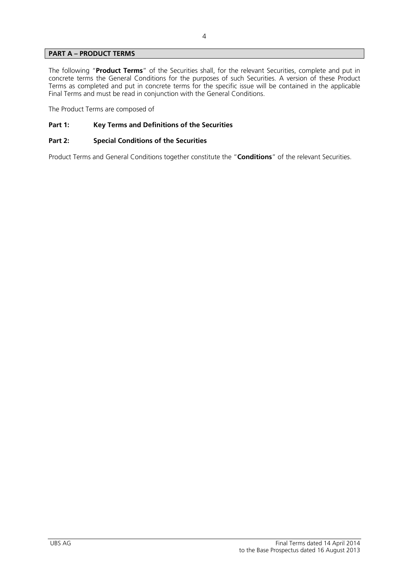# **PART A – PRODUCT TERMS**

The following "**Product Terms**" of the Securities shall, for the relevant Securities, complete and put in concrete terms the General Conditions for the purposes of such Securities. A version of these Product Terms as completed and put in concrete terms for the specific issue will be contained in the applicable Final Terms and must be read in conjunction with the General Conditions.

The Product Terms are composed of

# **Part 1: Key Terms and Definitions of the Securities**

# **Part 2: Special Conditions of the Securities**

Product Terms and General Conditions together constitute the "**Conditions**" of the relevant Securities.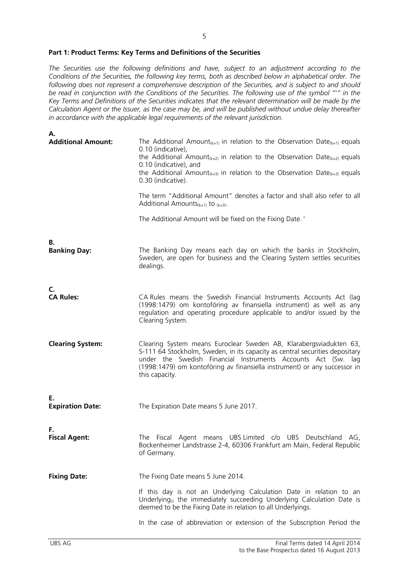#### **Part 1: Product Terms: Key Terms and Definitions of the Securities**

*The Securities use the following definitions and have, subject to an adjustment according to the Conditions of the Securities, the following key terms, both as described below in alphabetical order. The following does not represent a comprehensive description of the Securities, and is subject to and should be read in conjunction with the Conditions of the Securities. The following use of the symbol "\*" in the Key Terms and Definitions of the Securities indicates that the relevant determination will be made by the Calculation Agent or the Issuer, as the case may be, and will be published without undue delay thereafter in accordance with the applicable legal requirements of the relevant jurisdiction.* 

| Α.                            |                                                                                                                                                                                                                                                                                                                                                                                      |
|-------------------------------|--------------------------------------------------------------------------------------------------------------------------------------------------------------------------------------------------------------------------------------------------------------------------------------------------------------------------------------------------------------------------------------|
| <b>Additional Amount:</b>     | The Additional Amount <sub>(k=1)</sub> in relation to the Observation Date <sub>(k=1)</sub> equals<br>0.10 (indicative),<br>the Additional Amount <sub>(k=2)</sub> in relation to the Observation Date <sub>(k=2)</sub> equals<br>0.10 (indicative), and<br>the Additional Amount <sub>(k=3)</sub> in relation to the Observation Date <sub>(k=3)</sub> equals<br>0.30 (indicative). |
|                               | The term "Additional Amount" denotes a factor and shall also refer to all<br>Additional Amounts $(k=1)$ to $(k=3)$ .                                                                                                                                                                                                                                                                 |
|                               | The Additional Amount will be fixed on the Fixing Date. *                                                                                                                                                                                                                                                                                                                            |
| В.<br><b>Banking Day:</b>     | The Banking Day means each day on which the banks in Stockholm,<br>Sweden, are open for business and the Clearing System settles securities<br>dealings.                                                                                                                                                                                                                             |
| C.<br><b>CA Rules:</b>        | CA Rules means the Swedish Financial Instruments Accounts Act (lag<br>(1998:1479) om kontoföring av finansiella instrument) as well as any<br>regulation and operating procedure applicable to and/or issued by the<br>Clearing System.                                                                                                                                              |
| <b>Clearing System:</b>       | Clearing System means Euroclear Sweden AB, Klarabergsviadukten 63,<br>S-111 64 Stockholm, Sweden, in its capacity as central securities depositary<br>under the Swedish Financial Instruments Accounts Act (Sw. lag<br>(1998:1479) om kontoföring av finansiella instrument) or any successor in<br>this capacity.                                                                   |
| Е.<br><b>Expiration Date:</b> | The Expiration Date means 5 June 2017.                                                                                                                                                                                                                                                                                                                                               |
| F.<br><b>Fiscal Agent:</b>    | The Fiscal Agent means UBS Limited c/o UBS Deutschland AG,<br>Bockenheimer Landstrasse 2-4, 60306 Frankfurt am Main, Federal Republic<br>of Germany.                                                                                                                                                                                                                                 |
| <b>Fixing Date:</b>           | The Fixing Date means 5 June 2014.<br>If this day is not an Underlying Calculation Date in relation to an<br>Underlying <sub>(i)</sub> the immediately succeeding Underlying Calculation Date is<br>deemed to be the Fixing Date in relation to all Underlyings.                                                                                                                     |
|                               | In the case of abbreviation or extension of the Subscription Period the                                                                                                                                                                                                                                                                                                              |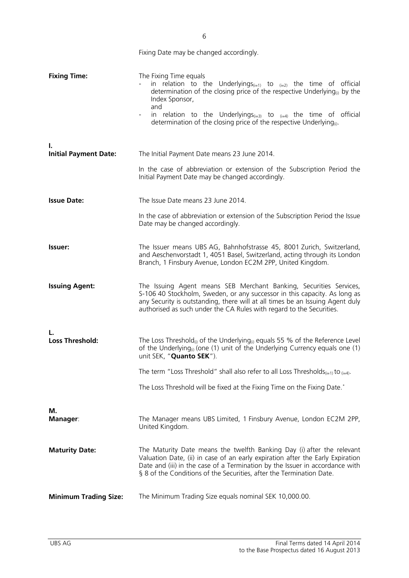|                                    | Fixing Date may be changed accordingly.                                                                                                                                                                                                                                                                                                                                                                               |
|------------------------------------|-----------------------------------------------------------------------------------------------------------------------------------------------------------------------------------------------------------------------------------------------------------------------------------------------------------------------------------------------------------------------------------------------------------------------|
| <b>Fixing Time:</b>                | The Fixing Time equals<br>in relation to the Underlyings <sub>(i=1)</sub> to $_{(i=2)}$ the time of official<br>determination of the closing price of the respective Underlying <sub>(i)</sub> by the<br>Index Sponsor,<br>and<br>in relation to the Underlyings <sub><math>(i=3)</math></sub> to $_{(i=4)}$ the time of official<br>determination of the closing price of the respective Underlying <sub>(i)</sub> . |
| ı.<br><b>Initial Payment Date:</b> | The Initial Payment Date means 23 June 2014.                                                                                                                                                                                                                                                                                                                                                                          |
|                                    | In the case of abbreviation or extension of the Subscription Period the<br>Initial Payment Date may be changed accordingly.                                                                                                                                                                                                                                                                                           |
| <b>Issue Date:</b>                 | The Issue Date means 23 June 2014.                                                                                                                                                                                                                                                                                                                                                                                    |
|                                    | In the case of abbreviation or extension of the Subscription Period the Issue<br>Date may be changed accordingly.                                                                                                                                                                                                                                                                                                     |
| <b>Issuer:</b>                     | The Issuer means UBS AG, Bahnhofstrasse 45, 8001 Zurich, Switzerland,<br>and Aeschenvorstadt 1, 4051 Basel, Switzerland, acting through its London<br>Branch, 1 Finsbury Avenue, London EC2M 2PP, United Kingdom.                                                                                                                                                                                                     |
| <b>Issuing Agent:</b>              | The Issuing Agent means SEB Merchant Banking, Securities Services,<br>S-106 40 Stockholm, Sweden, or any successor in this capacity. As long as<br>any Security is outstanding, there will at all times be an Issuing Agent duly<br>authorised as such under the CA Rules with regard to the Securities.                                                                                                              |
| Loss Threshold:                    | The Loss Threshold <sub>(i)</sub> of the Underlying <sub>(i)</sub> equals 55 % of the Reference Level<br>of the Underlying <sub>(i)</sub> (one (1) unit of the Underlying Currency equals one (1)<br>unit SEK, "Quanto SEK").                                                                                                                                                                                         |
|                                    | The term "Loss Threshold" shall also refer to all Loss Thresholds <sub>(i=1)</sub> to $_{(i=4)}$ .                                                                                                                                                                                                                                                                                                                    |
|                                    | The Loss Threshold will be fixed at the Fixing Time on the Fixing Date.*                                                                                                                                                                                                                                                                                                                                              |
| М.<br><b>Manager:</b>              | The Manager means UBS Limited, 1 Finsbury Avenue, London EC2M 2PP,<br>United Kingdom.                                                                                                                                                                                                                                                                                                                                 |
| <b>Maturity Date:</b>              | The Maturity Date means the twelfth Banking Day (i) after the relevant<br>Valuation Date, (ii) in case of an early expiration after the Early Expiration<br>Date and (iii) in the case of a Termination by the Issuer in accordance with<br>§ 8 of the Conditions of the Securities, after the Termination Date.                                                                                                      |
| <b>Minimum Trading Size:</b>       | The Minimum Trading Size equals nominal SEK 10,000.00.                                                                                                                                                                                                                                                                                                                                                                |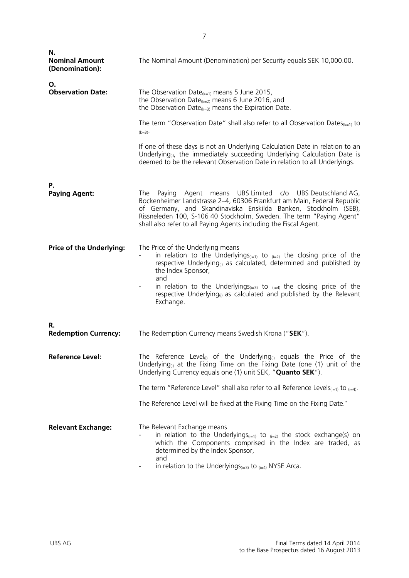| Ν.<br><b>Nominal Amount</b><br>(Denomination): | The Nominal Amount (Denomination) per Security equals SEK 10,000.00.                                                                                                                                                                                                                                                                                                                                                                   |
|------------------------------------------------|----------------------------------------------------------------------------------------------------------------------------------------------------------------------------------------------------------------------------------------------------------------------------------------------------------------------------------------------------------------------------------------------------------------------------------------|
| Ο.<br><b>Observation Date:</b>                 | The Observation Date $(k=1)$ means 5 June 2015,<br>the Observation Date $(k=2)$ means 6 June 2016, and<br>the Observation Date $_{k=3}$ means the Expiration Date.                                                                                                                                                                                                                                                                     |
|                                                | The term "Observation Date" shall also refer to all Observation Dates $_{(k=1)}$ to<br>$(k=3)$                                                                                                                                                                                                                                                                                                                                         |
|                                                | If one of these days is not an Underlying Calculation Date in relation to an<br>Underlying <sub>(i)</sub> , the immediately succeeding Underlying Calculation Date is<br>deemed to be the relevant Observation Date in relation to all Underlyings.                                                                                                                                                                                    |
| Ρ.<br><b>Paying Agent:</b>                     | Paying Agent means UBS Limited c/o UBS Deutschland AG,<br>The<br>Bockenheimer Landstrasse 2-4, 60306 Frankfurt am Main, Federal Republic<br>of Germany, and Skandinaviska Enskilda Banken, Stockholm (SEB),<br>Rissneleden 100, S-106 40 Stockholm, Sweden. The term "Paying Agent"<br>shall also refer to all Paying Agents including the Fiscal Agent.                                                                               |
| <b>Price of the Underlying:</b>                | The Price of the Underlying means<br>in relation to the Underlyings <sub>(i=1)</sub> to $_{(i=2)}$ the closing price of the<br>respective Underlying <sub>(i)</sub> as calculated, determined and published by<br>the Index Sponsor,<br>and<br>in relation to the Underlyings <sub>(i=3)</sub> to $_{(i=4)}$ the closing price of the<br>respective Underlying <sub>(i)</sub> as calculated and published by the Relevant<br>Exchange. |
| R.<br><b>Redemption Currency:</b>              | The Redemption Currency means Swedish Krona ("SEK").                                                                                                                                                                                                                                                                                                                                                                                   |
| <b>Reference Level:</b>                        | The Reference Level <sub>(i)</sub> of the Underlying $_{(i)}$ equals the Price of the<br>Underlying <sub>(i)</sub> at the Fixing Time on the Fixing Date (one $(1)$ unit of the<br>Underlying Currency equals one (1) unit SEK, " <b>Quanto SEK</b> ").                                                                                                                                                                                |
|                                                | The term "Reference Level" shall also refer to all Reference Levels <sub>(i=1)</sub> to $_{(i=4)}$ .                                                                                                                                                                                                                                                                                                                                   |
|                                                | The Reference Level will be fixed at the Fixing Time on the Fixing Date.*                                                                                                                                                                                                                                                                                                                                                              |
| <b>Relevant Exchange:</b>                      | The Relevant Exchange means<br>in relation to the Underlyings $(x_{i=1})$ to $(x_{i=2})$ the stock exchange(s) on<br>which the Components comprised in the Index are traded, as<br>determined by the Index Sponsor,<br>and<br>in relation to the Underlyings $(i=3)$ to $(i=4)$ NYSE Arca.                                                                                                                                             |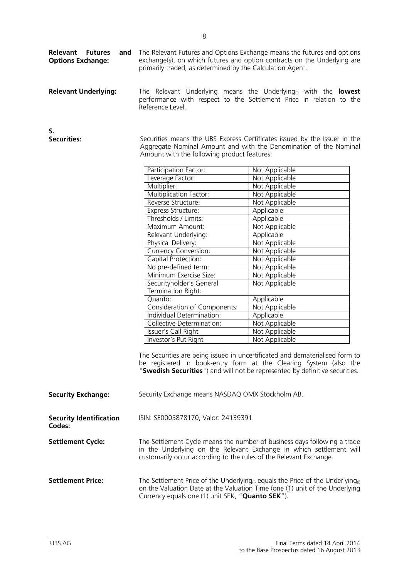| <b>Relevant Underlying:</b>              | Reference Level.                                                                                                                                                                              | The Relevant Underlying means the Underlying <sub>(i)</sub> with the <b>lowest</b><br>performance with respect to the Settlement Price in relation to the                                                                        |
|------------------------------------------|-----------------------------------------------------------------------------------------------------------------------------------------------------------------------------------------------|----------------------------------------------------------------------------------------------------------------------------------------------------------------------------------------------------------------------------------|
| S.<br><b>Securities:</b>                 | Securities means the UBS Express Certificates issued by the Issuer in the<br>Aggregate Nominal Amount and with the Denomination of the Nominal<br>Amount with the following product features: |                                                                                                                                                                                                                                  |
|                                          | Participation Factor:                                                                                                                                                                         | Not Applicable                                                                                                                                                                                                                   |
|                                          | Leverage Factor:                                                                                                                                                                              | Not Applicable                                                                                                                                                                                                                   |
|                                          | Multiplier:                                                                                                                                                                                   | Not Applicable                                                                                                                                                                                                                   |
|                                          | <b>Multiplication Factor:</b>                                                                                                                                                                 | Not Applicable                                                                                                                                                                                                                   |
|                                          | Reverse Structure:                                                                                                                                                                            | Not Applicable                                                                                                                                                                                                                   |
|                                          | Express Structure:                                                                                                                                                                            | Applicable                                                                                                                                                                                                                       |
|                                          | Thresholds / Limits:                                                                                                                                                                          | Applicable                                                                                                                                                                                                                       |
|                                          | Maximum Amount:                                                                                                                                                                               | Not Applicable                                                                                                                                                                                                                   |
|                                          | Relevant Underlying:                                                                                                                                                                          | Applicable                                                                                                                                                                                                                       |
|                                          | Physical Delivery:                                                                                                                                                                            | Not Applicable                                                                                                                                                                                                                   |
|                                          | Currency Conversion:                                                                                                                                                                          | Not Applicable                                                                                                                                                                                                                   |
|                                          | Capital Protection:                                                                                                                                                                           | Not Applicable                                                                                                                                                                                                                   |
|                                          | No pre-defined term:                                                                                                                                                                          | Not Applicable                                                                                                                                                                                                                   |
|                                          | Minimum Exercise Size:                                                                                                                                                                        | Not Applicable                                                                                                                                                                                                                   |
|                                          | Securityholder's General                                                                                                                                                                      | Not Applicable                                                                                                                                                                                                                   |
|                                          | Termination Right:                                                                                                                                                                            |                                                                                                                                                                                                                                  |
|                                          | Quanto:                                                                                                                                                                                       | Applicable                                                                                                                                                                                                                       |
|                                          | Consideration of Components:<br>Individual Determination:                                                                                                                                     | Not Applicable                                                                                                                                                                                                                   |
|                                          |                                                                                                                                                                                               | Applicable                                                                                                                                                                                                                       |
|                                          | Collective Determination:<br>Issuer's Call Right                                                                                                                                              | Not Applicable                                                                                                                                                                                                                   |
|                                          | Investor's Put Right                                                                                                                                                                          | Not Applicable<br>Not Applicable                                                                                                                                                                                                 |
|                                          |                                                                                                                                                                                               | The Securities are being issued in uncertificated and dematerialised form to<br>be registered in book-entry form at the Clearing System (also the<br>"Swedish Securities") and will not be represented by definitive securities. |
| <b>Security Exchange:</b>                | Security Exchange means NASDAQ OMX Stockholm AB.                                                                                                                                              |                                                                                                                                                                                                                                  |
| <b>Security Identification</b><br>Codes: | ISIN: SE0005878170, Valor: 24139391                                                                                                                                                           |                                                                                                                                                                                                                                  |
| <b>Settlement Cycle:</b>                 | customarily occur according to the rules of the Relevant Exchange.                                                                                                                            | The Settlement Cycle means the number of business days following a trade<br>in the Underlying on the Relevant Exchange in which settlement will                                                                                  |
| <b>Settlement Price:</b>                 | Currency equals one (1) unit SEK, "Quanto SEK").                                                                                                                                              | The Settlement Price of the Underlying <sup>(i)</sup> equals the Price of the Underlying <sup>(i)</sup><br>on the Valuation Date at the Valuation Time (one (1) unit of the Underlying                                           |

primarily traded, as determined by the Calculation Agent.

The Relevant Futures and Options Exchange means the futures and options exchange(s), on which futures and option contracts on the Underlying are

**Relevant Futures and** 

**Options Exchange:**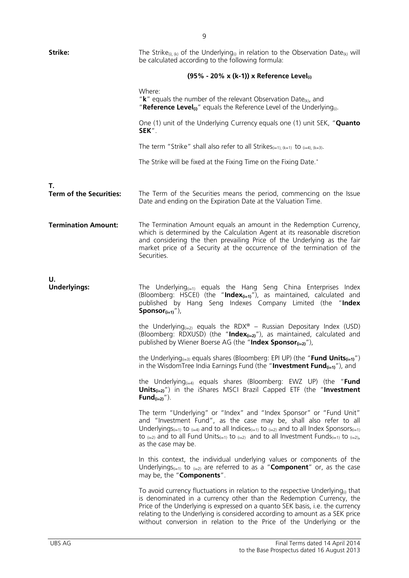| Strike:                              | The Strike <sub>(i), (k)</sub> of the Underlying <sub>(i)</sub> in relation to the Observation Date <sub>(k)</sub> will<br>be calculated according to the following formula:                                                                                                                                                                                                                                                       |  |
|--------------------------------------|------------------------------------------------------------------------------------------------------------------------------------------------------------------------------------------------------------------------------------------------------------------------------------------------------------------------------------------------------------------------------------------------------------------------------------|--|
|                                      | (95% - 20% x (k-1)) x Reference Level                                                                                                                                                                                                                                                                                                                                                                                              |  |
|                                      | Where:<br>" $k$ " equals the number of the relevant Observation Date <sub>(k)</sub> , and<br>"Reference Level <sub>(i)</sub> " equals the Reference Level of the Underlying <sub>(i)</sub> .                                                                                                                                                                                                                                       |  |
|                                      | One (1) unit of the Underlying Currency equals one (1) unit SEK, "Quanto<br>SEK".                                                                                                                                                                                                                                                                                                                                                  |  |
|                                      | The term "Strike" shall also refer to all Strikes $_{(i=1),(k=1)}$ to $_{(i=4),(k=3)}$ .                                                                                                                                                                                                                                                                                                                                           |  |
|                                      | The Strike will be fixed at the Fixing Time on the Fixing Date.*                                                                                                                                                                                                                                                                                                                                                                   |  |
| Т.<br><b>Term of the Securities:</b> | The Term of the Securities means the period, commencing on the Issue<br>Date and ending on the Expiration Date at the Valuation Time.                                                                                                                                                                                                                                                                                              |  |
| <b>Termination Amount:</b>           | The Termination Amount equals an amount in the Redemption Currency,<br>which is determined by the Calculation Agent at its reasonable discretion<br>and considering the then prevailing Price of the Underlying as the fair<br>market price of a Security at the occurrence of the termination of the<br>Securities.                                                                                                               |  |
| U.<br><b>Underlyings:</b>            | The Underlying $q_{i=1}$ equals the Hang Seng China Enterprises Index<br>(Bloomberg: HSCEI) (the "Index(i=1)"), as maintained, calculated and<br>published by Hang Seng Indexes Company Limited (the "Index<br>Sponsor $(i=1)$ "),                                                                                                                                                                                                 |  |
|                                      | the Underlying <sub><math>(i=2)</math></sub> equals the RDX <sup>®</sup> - Russian Depositary Index (USD)<br>(Bloomberg: RDXUSD) (the "Index $_{(i=2)}$ "), as maintained, calculated and<br>published by Wiener Boerse AG (the "Index Sponsor $_{(i=2)}$ "),                                                                                                                                                                      |  |
|                                      | the Underlying <sub>(i=3)</sub> equals shares (Bloomberg: EPI UP) (the " <b>Fund Units</b> <sub>(i=1)</sub> ")<br>in the WisdomTree India Earnings Fund (the "Investment Fund $_{(i=1)}$ "), and                                                                                                                                                                                                                                   |  |
|                                      | the Underlying <sub><math>(i=4)</math></sub> equals shares (Bloomberg: EWZ UP) (the " <b>Fund</b><br><b>Units</b> $_{(i=2)}$ ") in the iShares MSCI Brazil Capped ETF (the "Investment<br>Fund $(i=2)$ ").                                                                                                                                                                                                                         |  |
|                                      | The term "Underlying" or "Index" and "Index Sponsor" or "Fund Unit"<br>and "Investment Fund", as the case may be, shall also refer to all<br>Underlyings <sub>(i=1)</sub> to $_{(i=4)}$ and to all Indices <sub>(i=1)</sub> to $_{(i=2)}$ and to all Index Sponsors <sub>(i=1)</sub><br>to $_{(i=2)}$ and to all Fund Units $_{(i=1)}$ to $_{(i=2)}$ and to all Investment Funds $_{(i=1)}$ to $_{(i=2)}$ ,<br>as the case may be. |  |
|                                      | In this context, the individual underlying values or components of the<br>Underlyings <sub>(i=1)</sub> to $_{(i=2)}$ are referred to as a " <b>Component</b> " or, as the case<br>may be, the "Components".                                                                                                                                                                                                                        |  |
|                                      | To avoid currency fluctuations in relation to the respective Underlying <sub><math>\omega</math></sub> that<br>is denominated in a currency other than the Redemption Currency, the<br>Price of the Underlying is expressed on a quanto SEK basis, i.e. the currency<br>relating to the Underlying is considered according to amount as a SEK price<br>without conversion in relation to the Price of the Underlying or the        |  |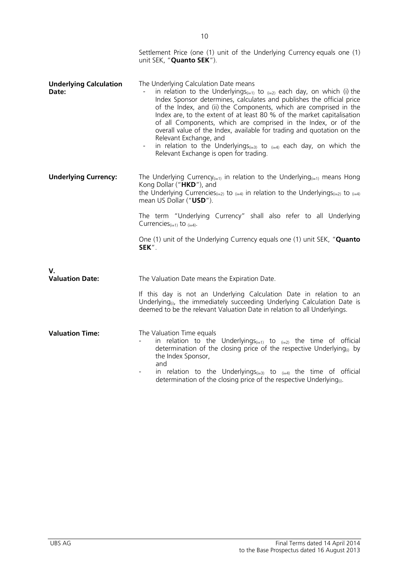|                                        | Settlement Price (one (1) unit of the Underlying Currency equals one (1)<br>unit SEK, "Quanto SEK").                                                                                                                                                                                                                                                                                                                                                                                                                                                                                                                                                  |
|----------------------------------------|-------------------------------------------------------------------------------------------------------------------------------------------------------------------------------------------------------------------------------------------------------------------------------------------------------------------------------------------------------------------------------------------------------------------------------------------------------------------------------------------------------------------------------------------------------------------------------------------------------------------------------------------------------|
| <b>Underlying Calculation</b><br>Date: | The Underlying Calculation Date means<br>in relation to the Underlyings <sub>(i=1)</sub> to $_{(i=2)}$ each day, on which (i) the<br>Index Sponsor determines, calculates and publishes the official price<br>of the Index, and (ii) the Components, which are comprised in the<br>Index are, to the extent of at least 80 % of the market capitalisation<br>of all Components, which are comprised in the Index, or of the<br>overall value of the Index, available for trading and quotation on the<br>Relevant Exchange, and<br>in relation to the Underlyings $(i=3)$ to $(i=4)$ each day, on which the<br>Relevant Exchange is open for trading. |
| <b>Underlying Currency:</b>            | The Underlying Currency $(i=1)$ in relation to the Underlying $(i=1)$ means Hong<br>Kong Dollar ("HKD"), and<br>the Underlying Currencies <sub>(i=2)</sub> to $_{(i=4)}$ in relation to the Underlyings <sub>(i=2)</sub> to $_{(i=4)}$<br>mean US Dollar ("USD").                                                                                                                                                                                                                                                                                                                                                                                     |
|                                        | The term "Underlying Currency" shall also refer to all Underlying<br>Currencies $(i=1)$ to $(i=4)$ .                                                                                                                                                                                                                                                                                                                                                                                                                                                                                                                                                  |
|                                        | One (1) unit of the Underlying Currency equals one (1) unit SEK, "Quanto<br>SEK".                                                                                                                                                                                                                                                                                                                                                                                                                                                                                                                                                                     |
| V.<br><b>Valuation Date:</b>           | The Valuation Date means the Expiration Date.                                                                                                                                                                                                                                                                                                                                                                                                                                                                                                                                                                                                         |
|                                        | If this day is not an Underlying Calculation Date in relation to an<br>Underlying <sub>(i)</sub> , the immediately succeeding Underlying Calculation Date is<br>deemed to be the relevant Valuation Date in relation to all Underlyings.                                                                                                                                                                                                                                                                                                                                                                                                              |
| <b>Valuation Time:</b>                 | The Valuation Time equals<br>in relation to the Underlyings $(i=1)$ to $(i=2)$ the time of official<br>$\blacksquare$<br>determination of the closing price of the respective Underlying $_{(i)}$ by<br>the Index Sponsor,<br>and<br>in relation to the Underlyings <sub><math>(i=3)</math></sub> to $_{(i=4)}$ the time of official<br>determination of the closing price of the respective Underlying <sub>(i)</sub> .                                                                                                                                                                                                                              |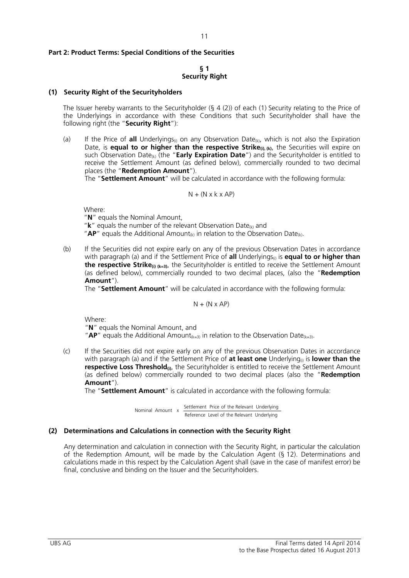### **Part 2: Product Terms: Special Conditions of the Securities**

#### **§ 1 Security Right**

#### **(1) Security Right of the Securityholders**

The Issuer hereby warrants to the Securityholder (§ 4 (2)) of each (1) Security relating to the Price of the Underlyings in accordance with these Conditions that such Securityholder shall have the following right (the "**Security Right**"):

(a) If the Price of **all** Underlyings<sub>(i)</sub> on any Observation Date<sub>(k)</sub>, which is not also the Expiration Date, is **equal to or higher than the respective Strike**(i), (k), the Securities will expire on such Observation Date<sub>(k)</sub> (the "**Early Expiration Date**") and the Securityholder is entitled to receive the Settlement Amount (as defined below), commercially rounded to two decimal places (the "**Redemption Amount**").

The "**Settlement Amount**" will be calculated in accordance with the following formula:

$$
N + (N \times k \times AP)
$$

Where:

"**N**" equals the Nominal Amount,

" $k$ " equals the number of the relevant Observation Date $\omega$  and

" $AP"$  equals the Additional Amount<sub>(k)</sub> in relation to the Observation Date<sub>(k)</sub>.

(b) If the Securities did not expire early on any of the previous Observation Dates in accordance with paragraph (a) and if the Settlement Price of **all** Underlyings<sub>(i)</sub> is **equal to or higher than** the respective Strike<sub>(i) (k=3)</sub>, the Securityholder is entitled to receive the Settlement Amount (as defined below), commercially rounded to two decimal places, (also the "**Redemption Amount**").

The "**Settlement Amount**" will be calculated in accordance with the following formula:

 $N + (N \times AP)$ 

Where:

"**N**" equals the Nominal Amount, and

"**AP**" equals the Additional Amount<sub>(k=3)</sub> in relation to the Observation Date<sub>(k=3)</sub>.

(c) If the Securities did not expire early on any of the previous Observation Dates in accordance with paragraph (a) and if the Settlement Price of **at least one** Underlying<sub>®</sub> is **lower than the respective Loss Threshold**<sup>(a)</sup>, the Securityholder is entitled to receive the Settlement Amount (as defined below) commercially rounded to two decimal places (also the "**Redemption Amount**").

The "**Settlement Amount**" is calculated in accordance with the following formula:

 Reference Level of the Relevant Underlying Settlement Price of the Relevant Underlying Nominal Amount x

#### **(2) Determinations and Calculations in connection with the Security Right**

Any determination and calculation in connection with the Security Right, in particular the calculation of the Redemption Amount, will be made by the Calculation Agent (§ 12). Determinations and calculations made in this respect by the Calculation Agent shall (save in the case of manifest error) be final, conclusive and binding on the Issuer and the Securityholders.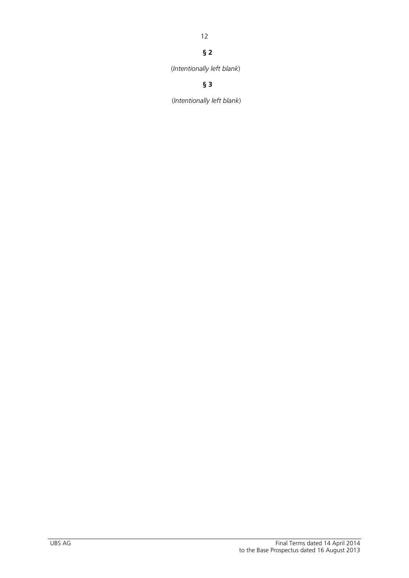# 12

# **§ 2**

(*Intentionally left blank*)

# **§ 3**

(*Intentionally left blank*)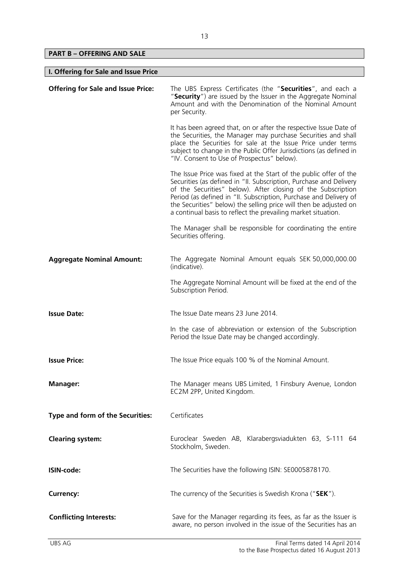**PART B – OFFERING AND SALE** 

| I. Offering for Sale and Issue Price      |                                                                                                                                                                                                                                                                                                                                                                                                                    |  |
|-------------------------------------------|--------------------------------------------------------------------------------------------------------------------------------------------------------------------------------------------------------------------------------------------------------------------------------------------------------------------------------------------------------------------------------------------------------------------|--|
| <b>Offering for Sale and Issue Price:</b> | The UBS Express Certificates (the "Securities", and each a<br>"Security") are issued by the Issuer in the Aggregate Nominal<br>Amount and with the Denomination of the Nominal Amount<br>per Security.                                                                                                                                                                                                             |  |
|                                           | It has been agreed that, on or after the respective Issue Date of<br>the Securities, the Manager may purchase Securities and shall<br>place the Securities for sale at the Issue Price under terms<br>subject to change in the Public Offer Jurisdictions (as defined in<br>"IV. Consent to Use of Prospectus" below).                                                                                             |  |
|                                           | The Issue Price was fixed at the Start of the public offer of the<br>Securities (as defined in "II. Subscription, Purchase and Delivery<br>of the Securities" below). After closing of the Subscription<br>Period (as defined in "II. Subscription, Purchase and Delivery of<br>the Securities" below) the selling price will then be adjusted on<br>a continual basis to reflect the prevailing market situation. |  |
|                                           | The Manager shall be responsible for coordinating the entire<br>Securities offering.                                                                                                                                                                                                                                                                                                                               |  |
| <b>Aggregate Nominal Amount:</b>          | The Aggregate Nominal Amount equals SEK 50,000,000.00<br>(indicative).                                                                                                                                                                                                                                                                                                                                             |  |
|                                           | The Aggregate Nominal Amount will be fixed at the end of the<br>Subscription Period.                                                                                                                                                                                                                                                                                                                               |  |
| <b>Issue Date:</b>                        | The Issue Date means 23 June 2014.                                                                                                                                                                                                                                                                                                                                                                                 |  |
|                                           | In the case of abbreviation or extension of the Subscription<br>Period the Issue Date may be changed accordingly.                                                                                                                                                                                                                                                                                                  |  |
| <b>Issue Price:</b>                       | The Issue Price equals 100 % of the Nominal Amount.                                                                                                                                                                                                                                                                                                                                                                |  |
| <b>Manager:</b>                           | The Manager means UBS Limited, 1 Finsbury Avenue, London<br>EC2M 2PP, United Kingdom.                                                                                                                                                                                                                                                                                                                              |  |
| Type and form of the Securities:          | Certificates                                                                                                                                                                                                                                                                                                                                                                                                       |  |
| <b>Clearing system:</b>                   | Euroclear Sweden AB, Klarabergsviadukten 63, S-111 64<br>Stockholm, Sweden.                                                                                                                                                                                                                                                                                                                                        |  |
| ISIN-code:                                | The Securities have the following ISIN: SE0005878170.                                                                                                                                                                                                                                                                                                                                                              |  |
| <b>Currency:</b>                          | The currency of the Securities is Swedish Krona ("SEK").                                                                                                                                                                                                                                                                                                                                                           |  |
| <b>Conflicting Interests:</b>             | Save for the Manager regarding its fees, as far as the Issuer is<br>aware, no person involved in the issue of the Securities has an                                                                                                                                                                                                                                                                                |  |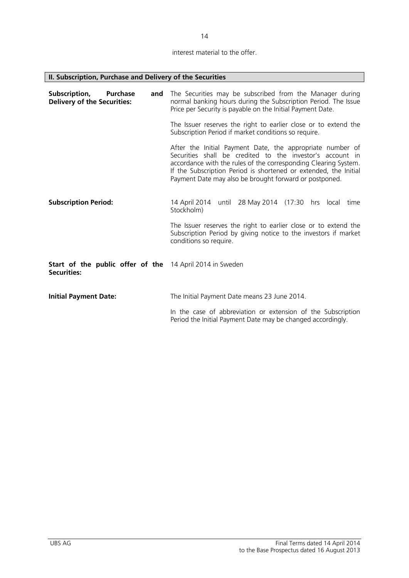interest material to the offer.

14

|  |  |  | II. Subscription, Purchase and Delivery of the Securities |  |
|--|--|--|-----------------------------------------------------------|--|
|  |  |  |                                                           |  |

| Subscription,<br><b>Purchase</b><br>and<br><b>Delivery of the Securities:</b>  | The Securities may be subscribed from the Manager during<br>normal banking hours during the Subscription Period. The Issue<br>Price per Security is payable on the Initial Payment Date.                                                                                                                                |
|--------------------------------------------------------------------------------|-------------------------------------------------------------------------------------------------------------------------------------------------------------------------------------------------------------------------------------------------------------------------------------------------------------------------|
|                                                                                | The Issuer reserves the right to earlier close or to extend the<br>Subscription Period if market conditions so require.                                                                                                                                                                                                 |
|                                                                                | After the Initial Payment Date, the appropriate number of<br>Securities shall be credited to the investor's account in<br>accordance with the rules of the corresponding Clearing System.<br>If the Subscription Period is shortened or extended, the Initial<br>Payment Date may also be brought forward or postponed. |
| <b>Subscription Period:</b>                                                    | 14 April 2014 until 28 May 2014 (17:30 hrs local time<br>Stockholm)                                                                                                                                                                                                                                                     |
|                                                                                | The Issuer reserves the right to earlier close or to extend the<br>Subscription Period by giving notice to the investors if market<br>conditions so require.                                                                                                                                                            |
| Start of the public offer of the 14 April 2014 in Sweden<br><b>Securities:</b> |                                                                                                                                                                                                                                                                                                                         |
| <b>Initial Payment Date:</b>                                                   | The Initial Payment Date means 23 June 2014.                                                                                                                                                                                                                                                                            |
|                                                                                | In the case of abbreviation or extension of the Subscription<br>Period the Initial Payment Date may be changed accordingly.                                                                                                                                                                                             |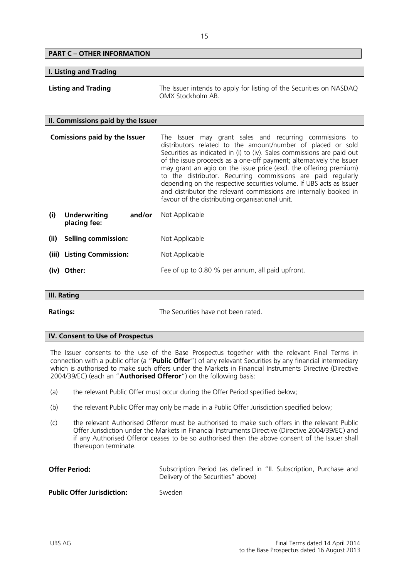| <b>PART C - OTHER INFORMATION</b>                    |                                                                                                                                                                                                                                                                                                                                                                                                                                                                                                                                                                                                               |
|------------------------------------------------------|---------------------------------------------------------------------------------------------------------------------------------------------------------------------------------------------------------------------------------------------------------------------------------------------------------------------------------------------------------------------------------------------------------------------------------------------------------------------------------------------------------------------------------------------------------------------------------------------------------------|
| I. Listing and Trading                               |                                                                                                                                                                                                                                                                                                                                                                                                                                                                                                                                                                                                               |
| <b>Listing and Trading</b>                           | The Issuer intends to apply for listing of the Securities on NASDAQ<br>OMX Stockholm AB                                                                                                                                                                                                                                                                                                                                                                                                                                                                                                                       |
| II. Commissions paid by the Issuer                   |                                                                                                                                                                                                                                                                                                                                                                                                                                                                                                                                                                                                               |
| <b>Comissions paid by the Issuer</b>                 | The Issuer may grant sales and recurring commissions to<br>distributors related to the amount/number of placed or sold<br>Securities as indicated in (i) to (iv). Sales commissions are paid out<br>of the issue proceeds as a one-off payment; alternatively the Issuer<br>may grant an agio on the issue price (excl. the offering premium)<br>to the distributor. Recurring commissions are paid regularly<br>depending on the respective securities volume. If UBS acts as Issuer<br>and distributor the relevant commissions are internally booked in<br>favour of the distributing organisational unit. |
| (i)<br><b>Underwriting</b><br>and/or<br>placing fee: | Not Applicable                                                                                                                                                                                                                                                                                                                                                                                                                                                                                                                                                                                                |
| (ii)<br><b>Selling commission:</b>                   | Not Applicable                                                                                                                                                                                                                                                                                                                                                                                                                                                                                                                                                                                                |
| <b>Listing Commission:</b><br>(iii)                  | Not Applicable                                                                                                                                                                                                                                                                                                                                                                                                                                                                                                                                                                                                |
| (iv) Other:                                          | Fee of up to 0.80 % per annum, all paid upfront.                                                                                                                                                                                                                                                                                                                                                                                                                                                                                                                                                              |
| $\mathbf{u}$ $\mathbf{v}$ $\mathbf{v}$               |                                                                                                                                                                                                                                                                                                                                                                                                                                                                                                                                                                                                               |

# **III. Rating**

**Ratings:** The Securities have not been rated.

# **IV. Consent to Use of Prospectus**

The Issuer consents to the use of the Base Prospectus together with the relevant Final Terms in connection with a public offer (a "**Public Offer**") of any relevant Securities by any financial intermediary which is authorised to make such offers under the Markets in Financial Instruments Directive (Directive 2004/39/EC) (each an "**Authorised Offeror**") on the following basis:

- (a) the relevant Public Offer must occur during the Offer Period specified below;
- (b) the relevant Public Offer may only be made in a Public Offer Jurisdiction specified below;
- (c) the relevant Authorised Offeror must be authorised to make such offers in the relevant Public Offer Jurisdiction under the Markets in Financial Instruments Directive (Directive 2004/39/EC) and if any Authorised Offeror ceases to be so authorised then the above consent of the Issuer shall thereupon terminate.

| <b>Offer Period:</b>              | Subscription Period (as defined in "II. Subscription, Purchase and<br>Delivery of the Securities" above) |
|-----------------------------------|----------------------------------------------------------------------------------------------------------|
| <b>Public Offer Jurisdiction:</b> | Sweden                                                                                                   |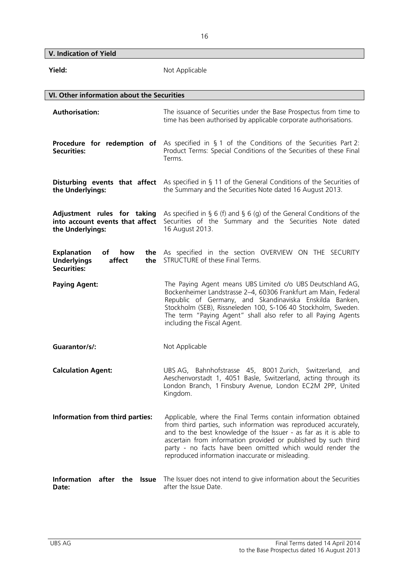**V. Indication of Yield** 

| Yield:                                                                                       | Not Applicable                                                                                                                                                                                                                                                                                                                                                                            |
|----------------------------------------------------------------------------------------------|-------------------------------------------------------------------------------------------------------------------------------------------------------------------------------------------------------------------------------------------------------------------------------------------------------------------------------------------------------------------------------------------|
| VI. Other information about the Securities                                                   |                                                                                                                                                                                                                                                                                                                                                                                           |
| <b>Authorisation:</b>                                                                        | The issuance of Securities under the Base Prospectus from time to<br>time has been authorised by applicable corporate authorisations.                                                                                                                                                                                                                                                     |
| Procedure for redemption of<br><b>Securities:</b>                                            | As specified in $\S$ 1 of the Conditions of the Securities Part 2:<br>Product Terms: Special Conditions of the Securities of these Final<br>Terms.                                                                                                                                                                                                                                        |
| the Underlyings:                                                                             | <b>Disturbing events that affect</b> As specified in § 11 of the General Conditions of the Securities of<br>the Summary and the Securities Note dated 16 August 2013.                                                                                                                                                                                                                     |
| Adjustment rules for taking<br>into account events that affect<br>the Underlyings:           | As specified in § 6 (f) and § 6 (g) of the General Conditions of the<br>Securities of the Summary and the Securities Note dated<br>16 August 2013.                                                                                                                                                                                                                                        |
| <b>Explanation</b><br>of<br>how<br><b>Underlyings</b><br>affect<br>the<br><b>Securities:</b> | the As specified in the section OVERVIEW ON THE SECURITY<br>STRUCTURE of these Final Terms.                                                                                                                                                                                                                                                                                               |
| <b>Paying Agent:</b>                                                                         | The Paying Agent means UBS Limited c/o UBS Deutschland AG,<br>Bockenheimer Landstrasse 2-4, 60306 Frankfurt am Main, Federal<br>Republic of Germany, and Skandinaviska Enskilda Banken,<br>Stockholm (SEB), Rissneleden 100, S-106 40 Stockholm, Sweden.<br>The term "Paying Agent" shall also refer to all Paying Agents<br>including the Fiscal Agent.                                  |
| Guarantor/s/:                                                                                | Not Applicable                                                                                                                                                                                                                                                                                                                                                                            |
| <b>Calculation Agent:</b>                                                                    | UBS AG, Bahnhofstrasse 45, 8001 Zurich, Switzerland, and<br>Aeschenvorstadt 1, 4051 Basle, Switzerland, acting through its<br>London Branch, 1 Finsbury Avenue, London EC2M 2PP, United<br>Kingdom.                                                                                                                                                                                       |
| Information from third parties:                                                              | Applicable, where the Final Terms contain information obtained<br>from third parties, such information was reproduced accurately,<br>and to the best knowledge of the Issuer - as far as it is able to<br>ascertain from information provided or published by such third<br>party - no facts have been omitted which would render the<br>reproduced information inaccurate or misleading. |
| Information after the<br><b>Issue</b><br>Date:                                               | The Issuer does not intend to give information about the Securities<br>after the Issue Date.                                                                                                                                                                                                                                                                                              |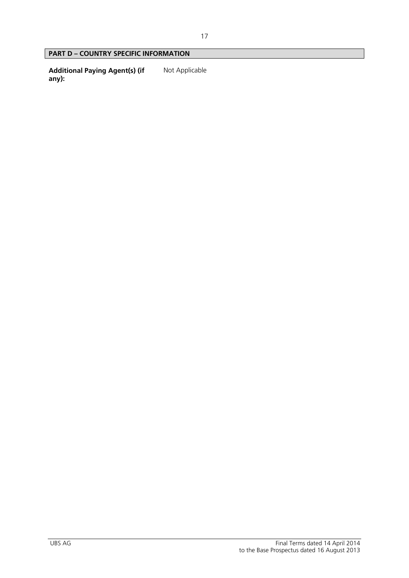# **PART D – COUNTRY SPECIFIC INFORMATION**

**Additional Paying Agent(s) (if any):**  Not Applicable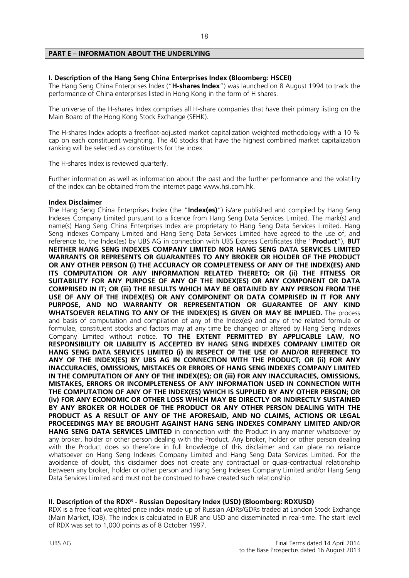# **PART E – INFORMATION ABOUT THE UNDERLYING**

# **I. Description of the Hang Seng China Enterprises Index (Bloomberg: HSCEI)**

The Hang Seng China Enterprises Index ("**H-shares Index**") was launched on 8 August 1994 to track the performance of China enterprises listed in Hong Kong in the form of H shares.

The universe of the H-shares Index comprises all H-share companies that have their primary listing on the Main Board of the Hong Kong Stock Exchange (SEHK).

The H-shares Index adopts a freefloat-adjusted market capitalization weighted methodology with a 10 % cap on each constituent weighting. The 40 stocks that have the highest combined market capitalization ranking will be selected as constituents for the index.

The H-shares Index is reviewed quarterly.

Further information as well as information about the past and the further performance and the volatility of the index can be obtained from the internet page www.hsi.com.hk.

#### **Index Disclaimer**

The Hang Seng China Enterprises Index (the "**Index(es)**") is/are published and compiled by Hang Seng Indexes Company Limited pursuant to a licence from Hang Seng Data Services Limited. The mark(s) and name(s) Hang Seng China Enterprises Index are proprietary to Hang Seng Data Services Limited. Hang Seng Indexes Company Limited and Hang Seng Data Services Limited have agreed to the use of, and reference to, the Index(es) by UBS AG in connection with UBS Express Certificates (the "**Product**"), **BUT NEITHER HANG SENG INDEXES COMPANY LIMITED NOR HANG SENG DATA SERVICES LIMITED WARRANTS OR REPRESENTS OR GUARANTEES TO ANY BROKER OR HOLDER OF THE PRODUCT OR ANY OTHER PERSON (i) THE ACCURACY OR COMPLETENESS OF ANY OF THE INDEX(ES) AND ITS COMPUTATION OR ANY INFORMATION RELATED THERETO; OR (ii) THE FITNESS OR SUITABILITY FOR ANY PURPOSE OF ANY OF THE INDEX(ES) OR ANY COMPONENT OR DATA COMPRISED IN IT; OR (iii) THE RESULTS WHICH MAY BE OBTAINED BY ANY PERSON FROM THE USE OF ANY OF THE INDEX(ES) OR ANY COMPONENT OR DATA COMPRISED IN IT FOR ANY PURPOSE, AND NO WARRANTY OR REPRESENTATION OR GUARANTEE OF ANY KIND WHATSOEVER RELATING TO ANY OF THE INDEX(ES) IS GIVEN OR MAY BE IMPLIED.** The process and basis of computation and compilation of any of the Index(es) and any of the related formula or formulae, constituent stocks and factors may at any time be changed or altered by Hang Seng Indexes Company Limited without notice. **TO THE EXTENT PERMITTED BY APPLICABLE LAW, NO RESPONSIBILITY OR LIABILITY IS ACCEPTED BY HANG SENG INDEXES COMPANY LIMITED OR HANG SENG DATA SERVICES LIMITED (i) IN RESPECT OF THE USE OF AND/OR REFERENCE TO ANY OF THE INDEX(ES) BY UBS AG IN CONNECTION WITH THE PRODUCT; OR (ii) FOR ANY INACCURACIES, OMISSIONS, MISTAKES OR ERRORS OF HANG SENG INDEXES COMPANY LIMITED IN THE COMPUTATION OF ANY OF THE INDEX(ES); OR (iii) FOR ANY INACCURACIES, OMISSIONS, MISTAKES, ERRORS OR INCOMPLETENESS OF ANY INFORMATION USED IN CONNECTION WITH THE COMPUTATION OF ANY OF THE INDEX(ES) WHICH IS SUPPLIED BY ANY OTHER PERSON; OR (iv) FOR ANY ECONOMIC OR OTHER LOSS WHICH MAY BE DIRECTLY OR INDIRECTLY SUSTAINED BY ANY BROKER OR HOLDER OF THE PRODUCT OR ANY OTHER PERSON DEALING WITH THE PRODUCT AS A RESULT OF ANY OF THE AFORESAID, AND NO CLAIMS, ACTIONS OR LEGAL PROCEEDINGS MAY BE BROUGHT AGAINST HANG SENG INDEXES COMPANY LIMITED AND/OR HANG SENG DATA SERVICES LIMITED** in connection with the Product in any manner whatsoever by any broker, holder or other person dealing with the Product. Any broker, holder or other person dealing with the Product does so therefore in full knowledge of this disclaimer and can place no reliance whatsoever on Hang Seng Indexes Company Limited and Hang Seng Data Services Limited. For the avoidance of doubt, this disclaimer does not create any contractual or quasi-contractual relationship between any broker, holder or other person and Hang Seng Indexes Company Limited and/or Hang Seng Data Services Limited and must not be construed to have created such relationship.

# **II. Description of the RDX® - Russian Depositary Index (USD) (Bloomberg: RDXUSD)**

RDX is a free float weighted price index made up of Russian ADRs/GDRs traded at London Stock Exchange (Main Market, IOB). The index is calculated in EUR and USD and disseminated in real-time. The start level of RDX was set to 1,000 points as of 8 October 1997.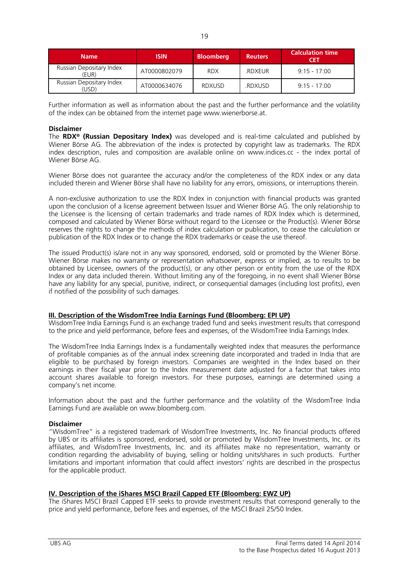| <b>Name</b>                                  | <b>ISIN</b>  | <b>Bloomberg</b> | <b>Reuters</b> | <b>Calculation time</b><br>CET |
|----------------------------------------------|--------------|------------------|----------------|--------------------------------|
| Russian Depositary Index<br>(EUR)            | AT0000802079 | <b>RDX</b>       | .RDXEUR        | $9.15 - 17.00$                 |
| Russian Depositary Index<br>JSD <sup>\</sup> | AT0000634076 | <b>RDXUSD</b>    | .RDXUSD        | $9.15 - 17.00$                 |

Further information as well as information about the past and the further performance and the volatility of the index can be obtained from the internet page www.wienerborse.at.

# **Disclaimer**

The **RDX® (Russian Depositary Index)** was developed and is real-time calculated and published by Wiener Börse AG. The abbreviation of the index is protected by copyright law as trademarks. The RDX index description, rules and composition are available online on www.indices.cc - the index portal of Wiener Börse AG.

Wiener Börse does not guarantee the accuracy and/or the completeness of the RDX index or any data included therein and Wiener Börse shall have no liability for any errors, omissions, or interruptions therein.

A non-exclusive authorization to use the RDX Index in conjunction with financial products was granted upon the conclusion of a license agreement between Issuer and Wiener Börse AG. The only relationship to the Licensee is the licensing of certain trademarks and trade names of RDX Index which is determined, composed and calculated by Wiener Börse without regard to the Licensee or the Product(s). Wiener Börse reserves the rights to change the methods of index calculation or publication, to cease the calculation or publication of the RDX Index or to change the RDX trademarks or cease the use thereof.

The issued Product(s) is/are not in any way sponsored, endorsed, sold or promoted by the Wiener Börse. Wiener Börse makes no warranty or representation whatsoever, express or implied, as to results to be obtained by Licensee, owners of the product(s), or any other person or entity from the use of the RDX Index or any data included therein. Without limiting any of the foregoing, in no event shall Wiener Börse have any liability for any special, punitive, indirect, or consequential damages (including lost profits), even if notified of the possibility of such damages.

# **III. Description of the WisdomTree India Earnings Fund (Bloomberg: EPI UP)**

WisdomTree India Earnings Fund is an exchange traded fund and seeks investment results that correspond to the price and yield performance, before fees and expenses, of the WisdomTree India Earnings Index.

The WisdomTree India Earnings Index is a fundamentally weighted index that measures the performance of profitable companies as of the annual index screening date incorporated and traded in India that are eligible to be purchased by foreign investors. Companies are weighted in the Index based on their earnings in their fiscal year prior to the Index measurement date adjusted for a factor that takes into account shares available to foreign investors. For these purposes, earnings are determined using a company's net income.

Information about the past and the further performance and the volatility of the WisdomTree India Earnings Fund are available on www.bloomberg.com.

#### **Disclaimer**

"WisdomTree" is a registered trademark of WisdomTree Investments, Inc. No financial products offered by UBS or its affiliates is sponsored, endorsed, sold or promoted by WisdomTree Investments, Inc. or its affiliates, and WisdomTree Investments, Inc. and its affiliates make no representation, warranty or condition regarding the advisability of buying, selling or holding units/shares in such products. Further limitations and important information that could affect investors' rights are described in the prospectus for the applicable product.

# **IV. Description of the iShares MSCI Brazil Capped ETF (Bloomberg: EWZ UP)**

The iShares MSCI Brazil Capped ETF seeks to provide investment results that correspond generally to the price and yield performance, before fees and expenses, of the MSCI Brazil 25/50 Index.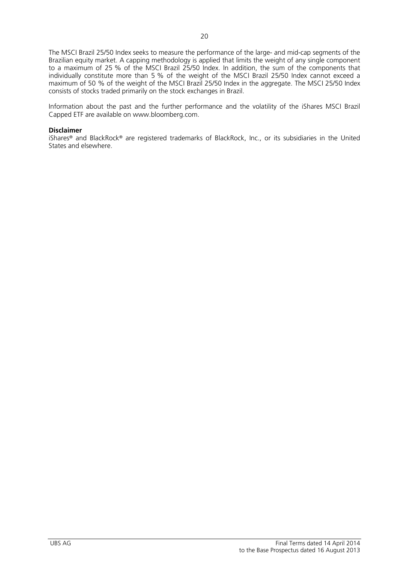The MSCI Brazil 25/50 Index seeks to measure the performance of the large- and mid-cap segments of the Brazilian equity market. A capping methodology is applied that limits the weight of any single component to a maximum of 25 % of the MSCI Brazil 25/50 Index. In addition, the sum of the components that individually constitute more than 5 % of the weight of the MSCI Brazil 25/50 Index cannot exceed a maximum of 50 % of the weight of the MSCI Brazil 25/50 Index in the aggregate. The MSCI 25/50 Index consists of stocks traded primarily on the stock exchanges in Brazil.

Information about the past and the further performance and the volatility of the iShares MSCI Brazil Capped ETF are available on www.bloomberg.com.

### **Disclaimer**

iShares® and BlackRock® are registered trademarks of BlackRock, Inc., or its subsidiaries in the United States and elsewhere.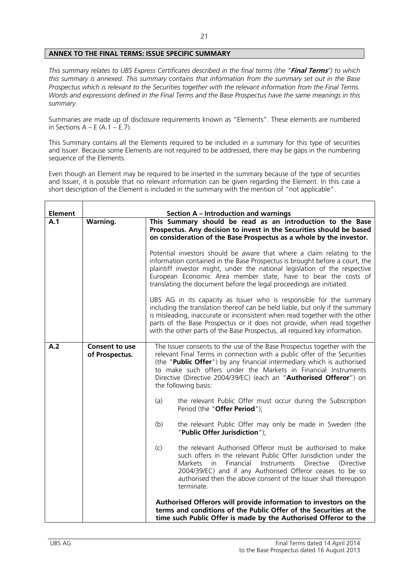# **ANNEX TO THE FINAL TERMS: ISSUE SPECIFIC SUMMARY**

*This summary relates to UBS Express Certificates described in the final terms (the "***Final Terms***") to which this summary is annexed. This summary contains that information from the summary set out in the Base Prospectus which is relevant to the Securities together with the relevant information from the Final Terms. Words and expressions defined in the Final Terms and the Base Prospectus have the same meanings in this summary.* 

Summaries are made up of disclosure requirements known as "Elements". These elements are numbered in Sections  $A - E(A.1 - E.7)$ .

This Summary contains all the Elements required to be included in a summary for this type of securities and Issuer. Because some Elements are not required to be addressed, there may be gaps in the numbering sequence of the Elements.

Even though an Element may be required to be inserted in the summary because of the type of securities and Issuer, it is possible that no relevant information can be given regarding the Element. In this case a short description of the Element is included in the summary with the mention of "not applicable".

| <b>Element</b> |                                         | <b>Section A - Introduction and warnings</b>                                                                                                                                                                                                                                                                                                                                                  |
|----------------|-----------------------------------------|-----------------------------------------------------------------------------------------------------------------------------------------------------------------------------------------------------------------------------------------------------------------------------------------------------------------------------------------------------------------------------------------------|
| A.1            | Warning.                                | This Summary should be read as an introduction to the Base<br>Prospectus. Any decision to invest in the Securities should be based<br>on consideration of the Base Prospectus as a whole by the investor.                                                                                                                                                                                     |
|                |                                         | Potential investors should be aware that where a claim relating to the<br>information contained in the Base Prospectus is brought before a court, the<br>plaintiff investor might, under the national legislation of the respective<br>European Economic Area member state, have to bear the costs of<br>translating the document before the legal proceedings are initiated.                 |
|                |                                         | UBS AG in its capacity as Issuer who is responsible for the summary<br>including the translation thereof can be held liable, but only if the summary<br>is misleading, inaccurate or inconsistent when read together with the other<br>parts of the Base Prospectus or it does not provide, when read together<br>with the other parts of the Base Prospectus, all required key information.  |
| A.2            | <b>Consent to use</b><br>of Prospectus. | The Issuer consents to the use of the Base Prospectus together with the<br>relevant Final Terms in connection with a public offer of the Securities<br>(the "Public Offer") by any financial intermediary which is authorised<br>to make such offers under the Markets in Financial Instruments<br>Directive (Directive 2004/39/EC) (each an "Authorised Offeror") on<br>the following basis: |
|                |                                         | (a)<br>the relevant Public Offer must occur during the Subscription<br>Period (the "Offer Period");                                                                                                                                                                                                                                                                                           |
|                |                                         | (b)<br>the relevant Public Offer may only be made in Sweden (the<br>"Public Offer Jurisdiction");                                                                                                                                                                                                                                                                                             |
|                |                                         | the relevant Authorised Offeror must be authorised to make<br>(c)<br>such offers in the relevant Public Offer Jurisdiction under the<br>Financial<br>Markets<br>in in<br>Instruments<br><b>Directive</b><br>(Directive<br>2004/39/EC) and if any Authorised Offeror ceases to be so<br>authorised then the above consent of the Issuer shall thereupon<br>terminate.                          |
|                |                                         | Authorised Offerors will provide information to investors on the<br>terms and conditions of the Public Offer of the Securities at the<br>time such Public Offer is made by the Authorised Offeror to the                                                                                                                                                                                      |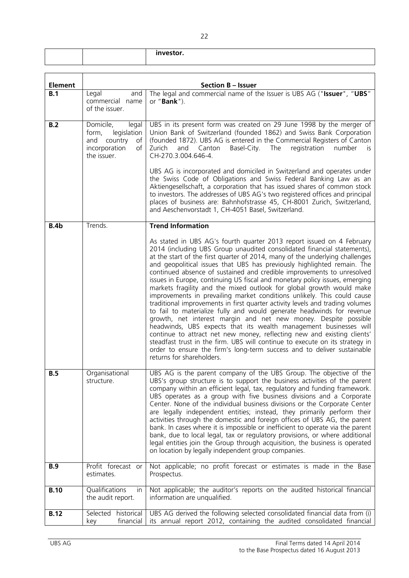|                |                                                                                                          | investor.                                                                                                                                                                                                                                                                                                                                                                                                                                                                                                                                                                                                                                                                                                                                                                                                                                                                                                                                                                                                                                                                                                                                                                                    |
|----------------|----------------------------------------------------------------------------------------------------------|----------------------------------------------------------------------------------------------------------------------------------------------------------------------------------------------------------------------------------------------------------------------------------------------------------------------------------------------------------------------------------------------------------------------------------------------------------------------------------------------------------------------------------------------------------------------------------------------------------------------------------------------------------------------------------------------------------------------------------------------------------------------------------------------------------------------------------------------------------------------------------------------------------------------------------------------------------------------------------------------------------------------------------------------------------------------------------------------------------------------------------------------------------------------------------------------|
|                |                                                                                                          |                                                                                                                                                                                                                                                                                                                                                                                                                                                                                                                                                                                                                                                                                                                                                                                                                                                                                                                                                                                                                                                                                                                                                                                              |
| <b>Element</b> |                                                                                                          | <b>Section B - Issuer</b>                                                                                                                                                                                                                                                                                                                                                                                                                                                                                                                                                                                                                                                                                                                                                                                                                                                                                                                                                                                                                                                                                                                                                                    |
| B.1            | Legal<br>and<br>commercial name<br>of the issuer.                                                        | The legal and commercial name of the Issuer is UBS AG ("Issuer", "UBS"<br>or " <b>Bank</b> ").                                                                                                                                                                                                                                                                                                                                                                                                                                                                                                                                                                                                                                                                                                                                                                                                                                                                                                                                                                                                                                                                                               |
| B.2            | Domicile,<br>legal<br>legislation<br>form,<br>country<br>and<br>of<br>incorporation<br>of<br>the issuer. | UBS in its present form was created on 29 June 1998 by the merger of<br>Union Bank of Switzerland (founded 1862) and Swiss Bank Corporation<br>(founded 1872). UBS AG is entered in the Commercial Registers of Canton<br>Zurich<br>Canton<br>Basel-City.<br>The<br>registration<br>and<br>number<br>İS.<br>CH-270.3.004.646-4.                                                                                                                                                                                                                                                                                                                                                                                                                                                                                                                                                                                                                                                                                                                                                                                                                                                              |
|                |                                                                                                          | UBS AG is incorporated and domiciled in Switzerland and operates under<br>the Swiss Code of Obligations and Swiss Federal Banking Law as an<br>Aktiengesellschaft, a corporation that has issued shares of common stock<br>to investors. The addresses of UBS AG's two registered offices and principal<br>places of business are: Bahnhofstrasse 45, CH-8001 Zurich, Switzerland,<br>and Aeschenvorstadt 1, CH-4051 Basel, Switzerland.                                                                                                                                                                                                                                                                                                                                                                                                                                                                                                                                                                                                                                                                                                                                                     |
| B.4b           | Trends.                                                                                                  | <b>Trend Information</b>                                                                                                                                                                                                                                                                                                                                                                                                                                                                                                                                                                                                                                                                                                                                                                                                                                                                                                                                                                                                                                                                                                                                                                     |
|                |                                                                                                          | As stated in UBS AG's fourth quarter 2013 report issued on 4 February<br>2014 (including UBS Group unaudited consolidated financial statements),<br>at the start of the first quarter of 2014, many of the underlying challenges<br>and geopolitical issues that UBS has previously highlighted remain. The<br>continued absence of sustained and credible improvements to unresolved<br>issues in Europe, continuing US fiscal and monetary policy issues, emerging<br>markets fragility and the mixed outlook for global growth would make<br>improvements in prevailing market conditions unlikely. This could cause<br>traditional improvements in first quarter activity levels and trading volumes<br>to fail to materialize fully and would generate headwinds for revenue<br>growth, net interest margin and net new money. Despite possible<br>headwinds, UBS expects that its wealth management businesses will<br>continue to attract net new money, reflecting new and existing clients'<br>steadfast trust in the firm. UBS will continue to execute on its strategy in<br>order to ensure the firm's long-term success and to deliver sustainable<br>returns for shareholders. |
| B.5            | Organisational<br>structure.                                                                             | UBS AG is the parent company of the UBS Group. The objective of the<br>UBS's group structure is to support the business activities of the parent<br>company within an efficient legal, tax, regulatory and funding framework.<br>UBS operates as a group with five business divisions and a Corporate<br>Center. None of the individual business divisions or the Corporate Center<br>are legally independent entities; instead, they primarily perform their<br>activities through the domestic and foreign offices of UBS AG, the parent<br>bank. In cases where it is impossible or inefficient to operate via the parent<br>bank, due to local legal, tax or regulatory provisions, or where additional<br>legal entities join the Group through acquisition, the business is operated<br>on location by legally independent group companies.                                                                                                                                                                                                                                                                                                                                            |
| <b>B.9</b>     | Profit forecast or<br>estimates.                                                                         | Not applicable; no profit forecast or estimates is made in the Base<br>Prospectus.                                                                                                                                                                                                                                                                                                                                                                                                                                                                                                                                                                                                                                                                                                                                                                                                                                                                                                                                                                                                                                                                                                           |
| <b>B.10</b>    | Qualifications<br>in.<br>the audit report.                                                               | Not applicable; the auditor's reports on the audited historical financial<br>information are unqualified.                                                                                                                                                                                                                                                                                                                                                                                                                                                                                                                                                                                                                                                                                                                                                                                                                                                                                                                                                                                                                                                                                    |
| <b>B.12</b>    | Selected<br>historical<br>financial<br>key                                                               | UBS AG derived the following selected consolidated financial data from (i)<br>its annual report 2012, containing the audited consolidated financial                                                                                                                                                                                                                                                                                                                                                                                                                                                                                                                                                                                                                                                                                                                                                                                                                                                                                                                                                                                                                                          |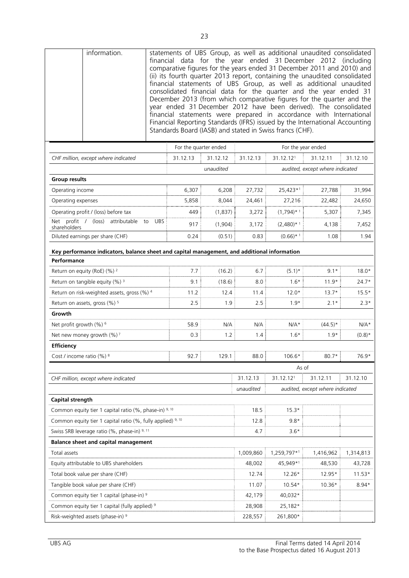|                                                             | information.                                                                                                                            |            |                       |           |           | Standards Board (IASB) and stated in Swiss francs (CHF). | statements of UBS Group, as well as additional unaudited consolidated<br>financial data for the year ended 31 December 2012 (including<br>comparative figures for the years ended 31 December 2011 and 2010) and<br>(ii) its fourth quarter 2013 report, containing the unaudited consolidated<br>financial statements of UBS Group, as well as additional unaudited<br>consolidated financial data for the quarter and the year ended 31<br>December 2013 (from which comparative figures for the quarter and the<br>year ended 31 December 2012 have been derived). The consolidated<br>financial statements were prepared in accordance with International<br>Financial Reporting Standards (IFRS) issued by the International Accounting |           |
|-------------------------------------------------------------|-----------------------------------------------------------------------------------------------------------------------------------------|------------|-----------------------|-----------|-----------|----------------------------------------------------------|----------------------------------------------------------------------------------------------------------------------------------------------------------------------------------------------------------------------------------------------------------------------------------------------------------------------------------------------------------------------------------------------------------------------------------------------------------------------------------------------------------------------------------------------------------------------------------------------------------------------------------------------------------------------------------------------------------------------------------------------|-----------|
|                                                             |                                                                                                                                         |            | For the quarter ended |           |           |                                                          | For the year ended                                                                                                                                                                                                                                                                                                                                                                                                                                                                                                                                                                                                                                                                                                                           |           |
|                                                             | CHF million, except where indicated                                                                                                     |            | 31.12.13              | 31.12.12  | 31.12.13  | 31.12.121                                                | 31.12.11                                                                                                                                                                                                                                                                                                                                                                                                                                                                                                                                                                                                                                                                                                                                     | 31.12.10  |
|                                                             |                                                                                                                                         |            |                       | unaudited |           |                                                          | audited, except where indicated                                                                                                                                                                                                                                                                                                                                                                                                                                                                                                                                                                                                                                                                                                              |           |
| <b>Group results</b>                                        |                                                                                                                                         |            |                       |           |           |                                                          |                                                                                                                                                                                                                                                                                                                                                                                                                                                                                                                                                                                                                                                                                                                                              |           |
| Operating income                                            |                                                                                                                                         |            | 6,307                 | 6,208     | 27,732    | 25,423*1                                                 | 27,788                                                                                                                                                                                                                                                                                                                                                                                                                                                                                                                                                                                                                                                                                                                                       | 31,994    |
| Operating expenses                                          |                                                                                                                                         |            | 5,858                 | 8,044     | 24,461    | 27,216                                                   | 22,482                                                                                                                                                                                                                                                                                                                                                                                                                                                                                                                                                                                                                                                                                                                                       | 24,650    |
|                                                             | Operating profit / (loss) before tax                                                                                                    |            | 449                   | (1,837)   | 3,272     | $(1,794)$ * 1                                            | 5,307                                                                                                                                                                                                                                                                                                                                                                                                                                                                                                                                                                                                                                                                                                                                        | 7,345     |
| shareholders                                                | Net profit / (loss) attributable to                                                                                                     | <b>UBS</b> | 917                   | (1,904)   | 3,172     | $(2,480)$ * 1                                            | 4,138                                                                                                                                                                                                                                                                                                                                                                                                                                                                                                                                                                                                                                                                                                                                        | 7,452     |
|                                                             | Diluted earnings per share (CHF)                                                                                                        |            | 0.24                  | (0.51)    | 0.83      | $(0.66)$ * 1                                             | 1.08                                                                                                                                                                                                                                                                                                                                                                                                                                                                                                                                                                                                                                                                                                                                         | 1.94      |
| Performance                                                 | Key performance indicators, balance sheet and capital management, and additional information<br>Return on equity (RoE) (%) <sup>2</sup> |            | 7.7                   | (16.2)    | 6.7       | $(5.1)^*$                                                | $9.1*$                                                                                                                                                                                                                                                                                                                                                                                                                                                                                                                                                                                                                                                                                                                                       | $18.0*$   |
|                                                             | Return on tangible equity (%) <sup>3</sup>                                                                                              |            | 9.1                   | (18.6)    | 8.0       | $1.6*$                                                   | $11.9*$                                                                                                                                                                                                                                                                                                                                                                                                                                                                                                                                                                                                                                                                                                                                      | $24.7*$   |
| Return on risk-weighted assets, gross (%) 4                 |                                                                                                                                         | 11.2       | 12.4                  | 11.4      | $12.0*$   | $13.7*$                                                  | $15.5*$                                                                                                                                                                                                                                                                                                                                                                                                                                                                                                                                                                                                                                                                                                                                      |           |
| Return on assets, gross (%) <sup>5</sup>                    |                                                                                                                                         | 2.5        | 1.9                   | 2.5       | $1.9*$    | $2.1*$                                                   | $2.3*$                                                                                                                                                                                                                                                                                                                                                                                                                                                                                                                                                                                                                                                                                                                                       |           |
| Growth                                                      |                                                                                                                                         |            |                       |           |           |                                                          |                                                                                                                                                                                                                                                                                                                                                                                                                                                                                                                                                                                                                                                                                                                                              |           |
| Net profit growth (%) <sup>6</sup>                          |                                                                                                                                         |            | 58.9                  | N/A       | N/A       | $N/A*$                                                   | $(44.5)^*$                                                                                                                                                                                                                                                                                                                                                                                                                                                                                                                                                                                                                                                                                                                                   | $N/A*$    |
| Net new money growth (%) <sup>7</sup>                       |                                                                                                                                         | 0.3        | 1.2                   | 1.4       | $1.6*$    | $1.9*$                                                   | $(0.8)$ *                                                                                                                                                                                                                                                                                                                                                                                                                                                                                                                                                                                                                                                                                                                                    |           |
| <b>Efficiency</b>                                           |                                                                                                                                         |            |                       |           |           |                                                          |                                                                                                                                                                                                                                                                                                                                                                                                                                                                                                                                                                                                                                                                                                                                              |           |
| Cost / income ratio (%) 8                                   |                                                                                                                                         |            | 92.7                  | 129.1     | 88.0      | 106.6*                                                   | 80.7*                                                                                                                                                                                                                                                                                                                                                                                                                                                                                                                                                                                                                                                                                                                                        | 76.9*     |
|                                                             |                                                                                                                                         |            |                       |           |           | As of                                                    |                                                                                                                                                                                                                                                                                                                                                                                                                                                                                                                                                                                                                                                                                                                                              |           |
|                                                             | CHF million, except where indicated                                                                                                     |            |                       |           | 31.12.13  | 31.12.121                                                | 31.12.11                                                                                                                                                                                                                                                                                                                                                                                                                                                                                                                                                                                                                                                                                                                                     | 31.12.10  |
|                                                             |                                                                                                                                         |            |                       |           | unaudited |                                                          | audited, except where indicated                                                                                                                                                                                                                                                                                                                                                                                                                                                                                                                                                                                                                                                                                                              |           |
| Capital strength                                            |                                                                                                                                         |            |                       |           |           |                                                          |                                                                                                                                                                                                                                                                                                                                                                                                                                                                                                                                                                                                                                                                                                                                              |           |
|                                                             | Common equity tier 1 capital ratio (%, phase-in) 9, 10                                                                                  |            |                       |           | 18.5      | $15.3*$                                                  |                                                                                                                                                                                                                                                                                                                                                                                                                                                                                                                                                                                                                                                                                                                                              |           |
| Common equity tier 1 capital ratio (%, fully applied) 9, 10 |                                                                                                                                         |            |                       |           | 12.8      | $9.8*$                                                   |                                                                                                                                                                                                                                                                                                                                                                                                                                                                                                                                                                                                                                                                                                                                              |           |
| Swiss SRB leverage ratio (%, phase-in) 9, 11                |                                                                                                                                         |            | 4.7                   | $3.6*$    |           |                                                          |                                                                                                                                                                                                                                                                                                                                                                                                                                                                                                                                                                                                                                                                                                                                              |           |
|                                                             | <b>Balance sheet and capital management</b>                                                                                             |            |                       |           |           |                                                          |                                                                                                                                                                                                                                                                                                                                                                                                                                                                                                                                                                                                                                                                                                                                              |           |
| Total assets                                                |                                                                                                                                         |            |                       |           | 1,009,860 | 1,259,797*1                                              | 1,416,962                                                                                                                                                                                                                                                                                                                                                                                                                                                                                                                                                                                                                                                                                                                                    | 1,314,813 |
| Equity attributable to UBS shareholders                     |                                                                                                                                         |            | 48,002                | 45,949*1  | 48,530    | 43,728                                                   |                                                                                                                                                                                                                                                                                                                                                                                                                                                                                                                                                                                                                                                                                                                                              |           |
|                                                             | Total book value per share (CHF)                                                                                                        |            |                       | 12.74     | 12.26*    | 12.95*                                                   | $11.53*$                                                                                                                                                                                                                                                                                                                                                                                                                                                                                                                                                                                                                                                                                                                                     |           |
|                                                             | Tangible book value per share (CHF)                                                                                                     |            |                       | 11.07     | 10.54*    | 10.36*                                                   | $8.94*$                                                                                                                                                                                                                                                                                                                                                                                                                                                                                                                                                                                                                                                                                                                                      |           |
| Common equity tier 1 capital (phase-in) 9                   |                                                                                                                                         |            |                       | 42,179    | 40,032*   |                                                          |                                                                                                                                                                                                                                                                                                                                                                                                                                                                                                                                                                                                                                                                                                                                              |           |
|                                                             | Common equity tier 1 capital (fully applied) <sup>9</sup>                                                                               |            |                       |           | 28,908    | 25,182*                                                  |                                                                                                                                                                                                                                                                                                                                                                                                                                                                                                                                                                                                                                                                                                                                              |           |
| Risk-weighted assets (phase-in) 9                           |                                                                                                                                         |            | 228,557               | 261,800*  |           |                                                          |                                                                                                                                                                                                                                                                                                                                                                                                                                                                                                                                                                                                                                                                                                                                              |           |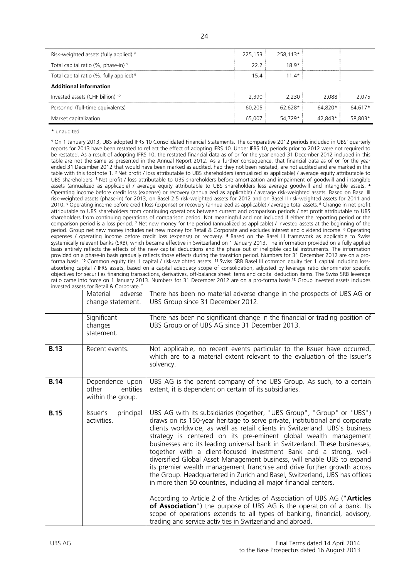| Risk-weighted assets (fully applied) <sup>9</sup>   | 225,153 | 258,113* |         |         |
|-----------------------------------------------------|---------|----------|---------|---------|
| Total capital ratio (%, phase-in) <sup>9</sup>      | 22.2    | $18.9*$  |         |         |
| Total capital ratio (%, fully applied) <sup>9</sup> | 15.4    | $11.4*$  |         |         |
| <b>Additional information</b>                       |         |          |         |         |
| Invested assets (CHF billion) <sup>12</sup>         | 2.390   | 2,230    | 2.088   | 2,075   |
| Personnel (full-time equivalents)                   | 60,205  | 62.628*  | 64.820* | 64.617* |
| Market capitalization                               | 65,007  | 54,729*  | 42.843* | 58,803* |

\* unaudited

**<sup>1</sup>** On 1 January 2013, UBS adopted IFRS 10 Consolidated Financial Statements. The comparative 2012 periods included in UBS' quarterly reports for 2013 have been restated to reflect the effect of adopting IFRS 10. Under IFRS 10, periods prior to 2012 were not required to be restated. As a result of adopting IFRS 10, the restated financial data as of or for the year ended 31 December 2012 included in this table are not the same as presented in the Annual Report 2012. As a further consequence, that financial data as of or for the year ended 31 December 2012 that would have been marked as audited, had they not been restated, are not audited and are marked in the table with this footnote 1. <sup>2</sup> Net profit / loss attributable to UBS shareholders (annualized as applicable) / average equity attributable to UBS shareholders. <sup>3</sup> Net profit / loss attributable to UBS shareholders before amortization and impairment of goodwill and intangible assets (annualized as applicable) / average equity attributable to UBS shareholders less average goodwill and intangible assets. <sup>4</sup> Operating income before credit loss (expense) or recovery (annualized as applicable) / average risk-weighted assets. Based on Basel III risk-weighted assets (phase-in) for 2013, on Basel 2.5 risk-weighted assets for 2012 and on Basel II risk-weighted assets for 2011 and 2010. <sup>5</sup> Operating income before credit loss (expense) or recovery (annualized as applicable) / average total assets. **<sup>6</sup>** Change in net profit attributable to UBS shareholders from continuing operations between current and comparison periods / net profit attributable to UBS shareholders from continuing operations of comparison period. Not meaningful and not included if either the reporting period or the comparison period is a loss period. <sup>7</sup> Net new money for the period (annualized as applicable) / invested assets at the beginning of the period. Group net new money includes net new money for Retail & Corporate and excludes interest and dividend income. <sup>8</sup> Operating expenses / operating income before credit loss (expense) or recovery. <sup>9</sup> Based on the Basel III framework as applicable to Swiss systemically relevant banks (SRB), which became effective in Switzerland on 1 January 2013. The information provided on a fully applied basis entirely reflects the effects of the new capital deductions and the phase out of ineligible capital instruments. The information provided on a phase-in basis gradually reflects those effects during the transition period. Numbers for 31 December 2012 are on a proforma basis. 10 Common equity tier 1 capital / risk-weighted assets. 11 Swiss SRB Basel III common equity tier 1 capital including lossabsorbing capital / IFRS assets, based on a capital adequacy scope of consolidation, adjusted by leverage ratio denominator specific objectives for securities financing transactions, derivatives, off-balance sheet items and capital deduction items. The Swiss SRB leverage ratio came into force on 1 January 2013. Numbers for 31 December 2012 are on a pro-forma basis.**<sup>12</sup>** Group invested assets includes ind assets for Potail & Corpor

|             | invested assets for netail & Corporate.<br>Material<br>adverse<br>change statement. | There has been no material adverse change in the prospects of UBS AG or<br>UBS Group since 31 December 2012.                                                                                                                                                                                                                                                                                                                                                                                                                                                                                                                                                                                                                                                                                                                                                                                                                                                                                                                                                              |
|-------------|-------------------------------------------------------------------------------------|---------------------------------------------------------------------------------------------------------------------------------------------------------------------------------------------------------------------------------------------------------------------------------------------------------------------------------------------------------------------------------------------------------------------------------------------------------------------------------------------------------------------------------------------------------------------------------------------------------------------------------------------------------------------------------------------------------------------------------------------------------------------------------------------------------------------------------------------------------------------------------------------------------------------------------------------------------------------------------------------------------------------------------------------------------------------------|
|             | Significant<br>changes<br>statement.                                                | There has been no significant change in the financial or trading position of<br>UBS Group or of UBS AG since 31 December 2013.                                                                                                                                                                                                                                                                                                                                                                                                                                                                                                                                                                                                                                                                                                                                                                                                                                                                                                                                            |
| <b>B.13</b> | Recent events.                                                                      | Not applicable, no recent events particular to the Issuer have occurred,<br>which are to a material extent relevant to the evaluation of the Issuer's<br>solvency.                                                                                                                                                                                                                                                                                                                                                                                                                                                                                                                                                                                                                                                                                                                                                                                                                                                                                                        |
| <b>B.14</b> | Dependence upon<br>entities<br>other<br>within the group.                           | UBS AG is the parent company of the UBS Group. As such, to a certain<br>extent, it is dependent on certain of its subsidiaries.                                                                                                                                                                                                                                                                                                                                                                                                                                                                                                                                                                                                                                                                                                                                                                                                                                                                                                                                           |
| <b>B.15</b> | Issuer's<br>principal<br>activities.                                                | UBS AG with its subsidiaries (together, "UBS Group", "Group" or "UBS")<br>draws on its 150-year heritage to serve private, institutional and corporate<br>clients worldwide, as well as retail clients in Switzerland. UBS's business<br>strategy is centered on its pre-eminent global wealth management<br>businesses and its leading universal bank in Switzerland. These businesses,<br>together with a client-focused Investment Bank and a strong, well-<br>diversified Global Asset Management business, will enable UBS to expand<br>its premier wealth management franchise and drive further growth across<br>the Group. Headquartered in Zurich and Basel, Switzerland, UBS has offices<br>in more than 50 countries, including all major financial centers.<br>According to Article 2 of the Articles of Association of UBS AG ("Articles<br>of Association") the purpose of UBS AG is the operation of a bank. Its<br>scope of operations extends to all types of banking, financial, advisory,<br>trading and service activities in Switzerland and abroad. |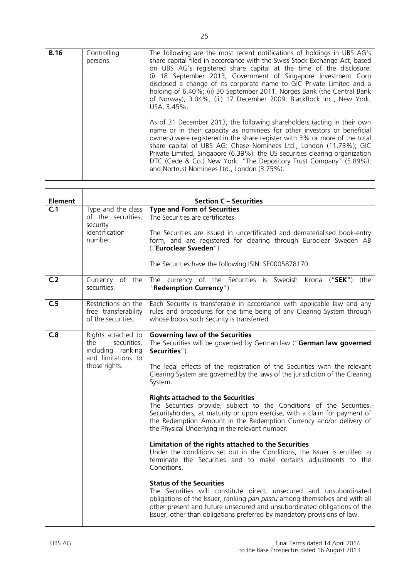| <b>B.16</b> |             |                                                                             |
|-------------|-------------|-----------------------------------------------------------------------------|
|             | Controlling | The following are the most recent notifications of holdings in UBS AG's     |
|             | persons.    | share capital filed in accordance with the Swiss Stock Exchange Act, based  |
|             |             | on UBS AG's registered share capital at the time of the disclosure:         |
|             |             | (i) 18 September 2013, Government of Singapore Investment Corp              |
|             |             |                                                                             |
|             |             | disclosed a change of its corporate name to GIC Private Limited and a       |
|             |             | holding of 6.40%; (ii) 30 September 2011, Norges Bank (the Central Bank     |
|             |             | of Norway), 3.04%; (iii) 17 December 2009, BlackRock Inc., New York,        |
|             |             | USA, 3.45%.                                                                 |
|             |             |                                                                             |
|             |             |                                                                             |
|             |             | As of 31 December 2013, the following shareholders (acting in their own     |
|             |             | name or in their capacity as nominees for other investors or beneficial     |
|             |             | owners) were registered in the share register with 3% or more of the total  |
|             |             | share capital of UBS AG: Chase Nominees Ltd., London (11.73%); GIC          |
|             |             |                                                                             |
|             |             | Private Limited, Singapore (6.39%); the US securities clearing organization |
|             |             | DTC (Cede & Co.) New York, "The Depository Trust Company" (5.89%);          |
|             |             | and Nortrust Nominees Ltd., London (3.75%).                                 |
|             |             |                                                                             |
|             |             |                                                                             |

| <b>Element</b> |                                                                                                      | <b>Section C - Securities</b>                                                                                                                                                                                                                                                                                                                                                                                                                                                                                                                                                                                                      |
|----------------|------------------------------------------------------------------------------------------------------|------------------------------------------------------------------------------------------------------------------------------------------------------------------------------------------------------------------------------------------------------------------------------------------------------------------------------------------------------------------------------------------------------------------------------------------------------------------------------------------------------------------------------------------------------------------------------------------------------------------------------------|
| C.1            | Type and the class<br>of the securities,<br>security<br>identification<br>number.                    | <b>Type and Form of Securities</b><br>The Securities are certificates.<br>The Securities are issued in uncertificated and dematerialised book-entry<br>form, and are registered for clearing through Euroclear Sweden AB<br>("Euroclear Sweden").                                                                                                                                                                                                                                                                                                                                                                                  |
|                |                                                                                                      | The Securities have the following ISIN: SE0005878170.                                                                                                                                                                                                                                                                                                                                                                                                                                                                                                                                                                              |
| C.2            | Currency of the<br>securities.                                                                       | The currency of the Securities is Swedish Krona ("SEK")<br>(the<br>"Redemption Currency").                                                                                                                                                                                                                                                                                                                                                                                                                                                                                                                                         |
| C.5            | Restrictions on the<br>free transferability<br>of the securities.                                    | Each Security is transferable in accordance with applicable law and any<br>rules and procedures for the time being of any Clearing System through<br>whose books such Security is transferred.                                                                                                                                                                                                                                                                                                                                                                                                                                     |
| C.8            | Rights attached to<br>securities,<br>the<br>including ranking<br>and limitations to<br>those rights. | <b>Governing law of the Securities</b><br>The Securities will be governed by German law ("German law governed<br>Securities").<br>The legal effects of the registration of the Securities with the relevant<br>Clearing System are governed by the laws of the jurisdiction of the Clearing<br>System.<br><b>Rights attached to the Securities</b><br>The Securities provide, subject to the Conditions of the Securities,<br>Securityholders, at maturity or upon exercise, with a claim for payment of<br>the Redemption Amount in the Redemption Currency and/or delivery of<br>the Physical Underlying in the relevant number. |
|                |                                                                                                      | Limitation of the rights attached to the Securities<br>Under the conditions set out in the Conditions, the Issuer is entitled to<br>terminate the Securities and to make certains adjustments to the<br>Conditions.                                                                                                                                                                                                                                                                                                                                                                                                                |
|                |                                                                                                      | <b>Status of the Securities</b><br>The Securities will constitute direct, unsecured and unsubordinated<br>obligations of the Issuer, ranking pari passu among themselves and with all<br>other present and future unsecured and unsubordinated obligations of the<br>Issuer, other than obligations preferred by mandatory provisions of law.                                                                                                                                                                                                                                                                                      |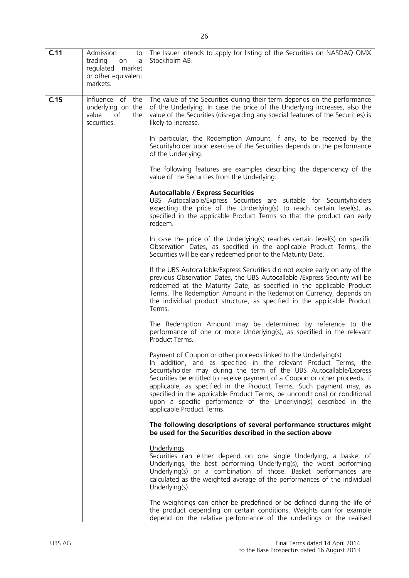| C.11 | Admission<br>to<br>trading<br>on<br>a<br>regulated market<br>or other equivalent<br>markets. | The Issuer intends to apply for listing of the Securities on NASDAQ OMX<br>Stockholm AB.                                                                                                                                                                                                                                                                                                                                                                                                                                                        |
|------|----------------------------------------------------------------------------------------------|-------------------------------------------------------------------------------------------------------------------------------------------------------------------------------------------------------------------------------------------------------------------------------------------------------------------------------------------------------------------------------------------------------------------------------------------------------------------------------------------------------------------------------------------------|
| C.15 | Influence of the<br>underlying on the<br>of<br>value<br>the<br>securities.                   | The value of the Securities during their term depends on the performance<br>of the Underlying. In case the price of the Underlying increases, also the<br>value of the Securities (disregarding any special features of the Securities) is<br>likely to increase.                                                                                                                                                                                                                                                                               |
|      |                                                                                              | In particular, the Redemption Amount, if any, to be received by the<br>Securityholder upon exercise of the Securities depends on the performance<br>of the Underlying.                                                                                                                                                                                                                                                                                                                                                                          |
|      |                                                                                              | The following features are examples describing the dependency of the<br>value of the Securities from the Underlying:                                                                                                                                                                                                                                                                                                                                                                                                                            |
|      |                                                                                              | <b>Autocallable / Express Securities</b><br>UBS Autocallable/Express Securities are suitable for Securityholders<br>expecting the price of the Underlying(s) to reach certain level(s), as<br>specified in the applicable Product Terms so that the product can early<br>redeem.                                                                                                                                                                                                                                                                |
|      |                                                                                              | In case the price of the Underlying(s) reaches certain level(s) on specific<br>Observation Dates, as specified in the applicable Product Terms, the<br>Securities will be early redeemed prior to the Maturity Date.                                                                                                                                                                                                                                                                                                                            |
|      |                                                                                              | If the UBS Autocallable/Express Securities did not expire early on any of the<br>previous Observation Dates, the UBS Autocallable / Express Security will be<br>redeemed at the Maturity Date, as specified in the applicable Product<br>Terms. The Redemption Amount in the Redemption Currency, depends on<br>the individual product structure, as specified in the applicable Product<br>Terms.                                                                                                                                              |
|      |                                                                                              | The Redemption Amount may be determined by reference to the<br>performance of one or more Underlying(s), as specified in the relevant<br>Product Terms.                                                                                                                                                                                                                                                                                                                                                                                         |
|      |                                                                                              | Payment of Coupon or other proceeds linked to the Underlying(s)<br>In addition, and as specified in the relevant Product Terms, the<br>Securityholder may during the term of the UBS Autocallable/Express<br>Securities be entitled to receive payment of a Coupon or other proceeds, if<br>applicable, as specified in the Product Terms. Such payment may, as<br>specified in the applicable Product Terms, be unconditional or conditional<br>upon a specific performance of the Underlying(s) described in the<br>applicable Product Terms. |
|      |                                                                                              | The following descriptions of several performance structures might<br>be used for the Securities described in the section above                                                                                                                                                                                                                                                                                                                                                                                                                 |
|      |                                                                                              | Underlyings<br>Securities can either depend on one single Underlying, a basket of<br>Underlyings, the best performing Underlying(s), the worst performing<br>Underlying(s) or a combination of those. Basket performances are<br>calculated as the weighted average of the performances of the individual<br>Underlying(s).                                                                                                                                                                                                                     |
|      |                                                                                              | The weightings can either be predefined or be defined during the life of<br>the product depending on certain conditions. Weights can for example<br>depend on the relative performance of the underlings or the realised                                                                                                                                                                                                                                                                                                                        |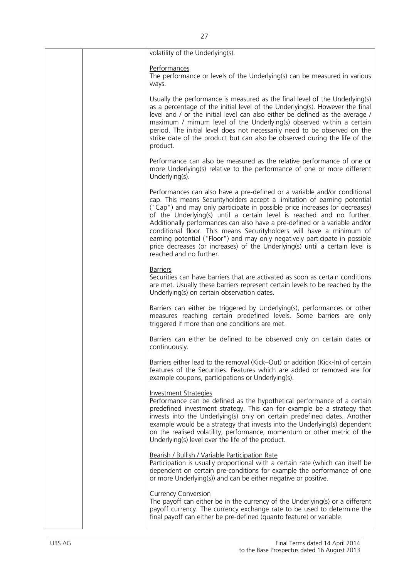| volatility of the Underlying(s).                                                                                                                                                                                                                                                                                                                                                                                                                                                                                                                                                                                                                              |
|---------------------------------------------------------------------------------------------------------------------------------------------------------------------------------------------------------------------------------------------------------------------------------------------------------------------------------------------------------------------------------------------------------------------------------------------------------------------------------------------------------------------------------------------------------------------------------------------------------------------------------------------------------------|
| Performances<br>The performance or levels of the Underlying(s) can be measured in various<br>ways.                                                                                                                                                                                                                                                                                                                                                                                                                                                                                                                                                            |
| Usually the performance is measured as the final level of the Underlying(s)<br>as a percentage of the initial level of the Underlying(s). However the final<br>level and / or the initial level can also either be defined as the average /<br>maximum / mimum level of the Underlying(s) observed within a certain<br>period. The initial level does not necessarily need to be observed on the<br>strike date of the product but can also be observed during the life of the<br>product.                                                                                                                                                                    |
| Performance can also be measured as the relative performance of one or<br>more Underlying(s) relative to the performance of one or more different<br>Underlying(s).                                                                                                                                                                                                                                                                                                                                                                                                                                                                                           |
| Performances can also have a pre-defined or a variable and/or conditional<br>cap. This means Securityholders accept a limitation of earning potential<br>("Cap") and may only participate in possible price increases (or decreases)<br>of the Underlying(s) until a certain level is reached and no further.<br>Additionally performances can also have a pre-defined or a variable and/or<br>conditional floor. This means Securityholders will have a minimum of<br>earning potential ("Floor") and may only negatively participate in possible<br>price decreases (or increases) of the Underlying(s) until a certain level is<br>reached and no further. |
| <b>Barriers</b><br>Securities can have barriers that are activated as soon as certain conditions<br>are met. Usually these barriers represent certain levels to be reached by the<br>Underlying(s) on certain observation dates.                                                                                                                                                                                                                                                                                                                                                                                                                              |
| Barriers can either be triggered by Underlying(s), performances or other<br>measures reaching certain predefined levels. Some barriers are only<br>triggered if more than one conditions are met.                                                                                                                                                                                                                                                                                                                                                                                                                                                             |
| Barriers can either be defined to be observed only on certain dates or<br>continuously.                                                                                                                                                                                                                                                                                                                                                                                                                                                                                                                                                                       |
| Barriers either lead to the removal (Kick–Out) or addition (Kick-In) of certain<br>features of the Securities. Features which are added or removed are for<br>example coupons, participations or Underlying(s).                                                                                                                                                                                                                                                                                                                                                                                                                                               |
| <b>Investment Strategies</b><br>Performance can be defined as the hypothetical performance of a certain<br>predefined investment strategy. This can for example be a strategy that<br>invests into the Underlying(s) only on certain predefined dates. Another<br>example would be a strategy that invests into the Underlying(s) dependent<br>on the realised volatility, performance, momentum or other metric of the<br>Underlying(s) level over the life of the product.                                                                                                                                                                                  |
| Bearish / Bullish / Variable Participation Rate<br>Participation is usually proportional with a certain rate (which can itself be<br>dependent on certain pre-conditions for example the performance of one<br>or more Underlying(s)) and can be either negative or positive.                                                                                                                                                                                                                                                                                                                                                                                 |
| <b>Currency Conversion</b><br>The payoff can either be in the currency of the Underlying(s) or a different<br>payoff currency. The currency exchange rate to be used to determine the<br>final payoff can either be pre-defined (quanto feature) or variable.                                                                                                                                                                                                                                                                                                                                                                                                 |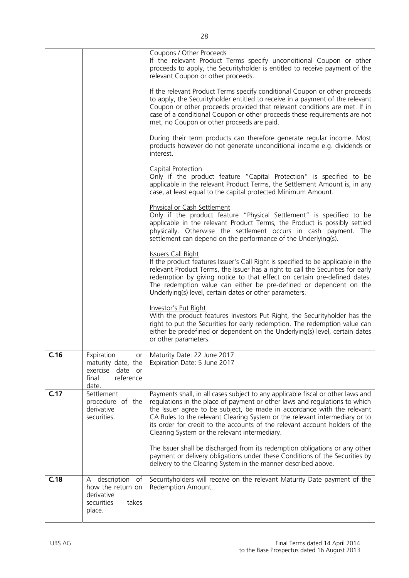|      |                                                                                         | Coupons / Other Proceeds<br>If the relevant Product Terms specify unconditional Coupon or other<br>proceeds to apply, the Securityholder is entitled to receive payment of the<br>relevant Coupon or other proceeds.<br>If the relevant Product Terms specify conditional Coupon or other proceeds<br>to apply, the Securityholder entitled to receive in a payment of the relevant<br>Coupon or other proceeds provided that relevant conditions are met. If in<br>case of a conditional Coupon or other proceeds these requirements are not<br>met, no Coupon or other proceeds are paid.<br>During their term products can therefore generate regular income. Most<br>products however do not generate unconditional income e.g. dividends or<br>interest.<br><b>Capital Protection</b><br>Only if the product feature "Capital Protection" is specified to be<br>applicable in the relevant Product Terms, the Settlement Amount is, in any<br>case, at least equal to the capital protected Minimum Amount.<br><b>Physical or Cash Settlement</b><br>Only if the product feature "Physical Settlement" is specified to be<br>applicable in the relevant Product Terms, the Product is possibly settled<br>physically. Otherwise the settlement occurs in cash payment. The<br>settlement can depend on the performance of the Underlying(s).<br><b>Issuers Call Right</b><br>If the product features Issuer's Call Right is specified to be applicable in the<br>relevant Product Terms, the Issuer has a right to call the Securities for early<br>redemption by giving notice to that effect on certain pre-defined dates.<br>The redemption value can either be pre-defined or dependent on the<br>Underlying(s) level, certain dates or other parameters.<br>Investor's Put Right<br>With the product features Investors Put Right, the Securityholder has the<br>right to put the Securities for early redemption. The redemption value can<br>either be predefined or dependent on the Underlying(s) level, certain dates<br>or other parameters. |
|------|-----------------------------------------------------------------------------------------|--------------------------------------------------------------------------------------------------------------------------------------------------------------------------------------------------------------------------------------------------------------------------------------------------------------------------------------------------------------------------------------------------------------------------------------------------------------------------------------------------------------------------------------------------------------------------------------------------------------------------------------------------------------------------------------------------------------------------------------------------------------------------------------------------------------------------------------------------------------------------------------------------------------------------------------------------------------------------------------------------------------------------------------------------------------------------------------------------------------------------------------------------------------------------------------------------------------------------------------------------------------------------------------------------------------------------------------------------------------------------------------------------------------------------------------------------------------------------------------------------------------------------------------------------------------------------------------------------------------------------------------------------------------------------------------------------------------------------------------------------------------------------------------------------------------------------------------------------------------------------------------------------------------------------------------------------------------------------------------------------------------------------------------------------------------|
| C.16 | Expiration<br>maturity date, the<br>date or<br>exercise<br>final<br>reference<br>date.  | or   Maturity Date: 22 June 2017<br>Expiration Date: 5 June 2017                                                                                                                                                                                                                                                                                                                                                                                                                                                                                                                                                                                                                                                                                                                                                                                                                                                                                                                                                                                                                                                                                                                                                                                                                                                                                                                                                                                                                                                                                                                                                                                                                                                                                                                                                                                                                                                                                                                                                                                             |
| C.17 | Settlement<br>procedure of the<br>derivative<br>securities.                             | Payments shall, in all cases subject to any applicable fiscal or other laws and<br>regulations in the place of payment or other laws and regulations to which<br>the Issuer agree to be subject, be made in accordance with the relevant<br>CA Rules to the relevant Clearing System or the relevant intermediary or to<br>its order for credit to the accounts of the relevant account holders of the<br>Clearing System or the relevant intermediary.<br>The Issuer shall be discharged from its redemption obligations or any other<br>payment or delivery obligations under these Conditions of the Securities by<br>delivery to the Clearing System in the manner described above.                                                                                                                                                                                                                                                                                                                                                                                                                                                                                                                                                                                                                                                                                                                                                                                                                                                                                                                                                                                                                                                                                                                                                                                                                                                                                                                                                                      |
| C.18 | A description<br>оf<br>how the return on<br>derivative<br>securities<br>takes<br>place. | Securityholders will receive on the relevant Maturity Date payment of the<br>Redemption Amount.                                                                                                                                                                                                                                                                                                                                                                                                                                                                                                                                                                                                                                                                                                                                                                                                                                                                                                                                                                                                                                                                                                                                                                                                                                                                                                                                                                                                                                                                                                                                                                                                                                                                                                                                                                                                                                                                                                                                                              |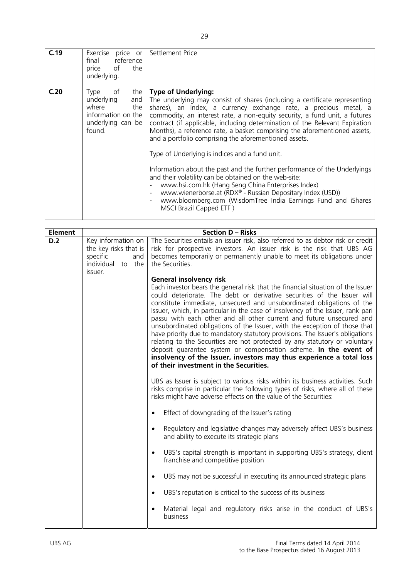| C.19 | Exercise price or Settlement Price<br>reference<br>final<br>the<br>of<br>price<br>underlying.               |                                                                                                                                                                                                                                                                                                                                                                                                                                                                                                                                                                                                                                                                                                                               |
|------|-------------------------------------------------------------------------------------------------------------|-------------------------------------------------------------------------------------------------------------------------------------------------------------------------------------------------------------------------------------------------------------------------------------------------------------------------------------------------------------------------------------------------------------------------------------------------------------------------------------------------------------------------------------------------------------------------------------------------------------------------------------------------------------------------------------------------------------------------------|
| C.20 | of<br>the<br>Type<br>underlying<br>and<br>where<br>the<br>information on the<br>underlying can be<br>found. | <b>Type of Underlying:</b><br>The underlying may consist of shares (including a certificate representing<br>shares), an Index, a currency exchange rate, a precious metal, a<br>commodity, an interest rate, a non-equity security, a fund unit, a futures<br>contract (if applicable, including determination of the Relevant Expiration<br>Months), a reference rate, a basket comprising the aforementioned assets,<br>and a portfolio comprising the aforementioned assets.<br>Type of Underlying is indices and a fund unit.<br>Information about the past and the further performance of the Underlyings<br>and their volatility can be obtained on the web-site:<br>www.hsi.com.hk (Hang Seng China Enterprises Index) |
|      |                                                                                                             | www.wienerborse.at (RDX® - Russian Depositary Index (USD))<br>www.bloomberg.com (WisdomTree India Earnings Fund and iShares<br>$\blacksquare$<br>MSCI Brazil Capped ETF)                                                                                                                                                                                                                                                                                                                                                                                                                                                                                                                                                      |

| <b>Element</b> |                                                                                                | <b>Section D - Risks</b>                                                                                                                                                                                                                                                                                                                                                                                                                                                                                                                                                                                                                                                                                                                                                                                                          |
|----------------|------------------------------------------------------------------------------------------------|-----------------------------------------------------------------------------------------------------------------------------------------------------------------------------------------------------------------------------------------------------------------------------------------------------------------------------------------------------------------------------------------------------------------------------------------------------------------------------------------------------------------------------------------------------------------------------------------------------------------------------------------------------------------------------------------------------------------------------------------------------------------------------------------------------------------------------------|
| D.2            | Key information on<br>the key risks that is<br>specific<br>and<br>individual to the<br>issuer. | The Securities entails an issuer risk, also referred to as debtor risk or credit<br>risk for prospective investors. An issuer risk is the risk that UBS AG<br>becomes temporarily or permanently unable to meet its obligations under<br>the Securities.<br><b>General insolvency risk</b>                                                                                                                                                                                                                                                                                                                                                                                                                                                                                                                                        |
|                |                                                                                                | Each investor bears the general risk that the financial situation of the Issuer<br>could deteriorate. The debt or derivative securities of the Issuer will<br>constitute immediate, unsecured and unsubordinated obligations of the<br>Issuer, which, in particular in the case of insolvency of the Issuer, rank pari<br>passu with each other and all other current and future unsecured and<br>unsubordinated obligations of the Issuer, with the exception of those that<br>have priority due to mandatory statutory provisions. The Issuer's obligations<br>relating to the Securities are not protected by any statutory or voluntary<br>deposit quarantee system or compensation scheme. In the event of<br>insolvency of the Issuer, investors may thus experience a total loss<br>of their investment in the Securities. |
|                |                                                                                                | UBS as Issuer is subject to various risks within its business activities. Such<br>risks comprise in particular the following types of risks, where all of these<br>risks might have adverse effects on the value of the Securities:                                                                                                                                                                                                                                                                                                                                                                                                                                                                                                                                                                                               |
|                |                                                                                                | Effect of downgrading of the Issuer's rating<br>$\bullet$                                                                                                                                                                                                                                                                                                                                                                                                                                                                                                                                                                                                                                                                                                                                                                         |
|                |                                                                                                | Regulatory and legislative changes may adversely affect UBS's business<br>$\bullet$<br>and ability to execute its strategic plans                                                                                                                                                                                                                                                                                                                                                                                                                                                                                                                                                                                                                                                                                                 |
|                |                                                                                                | UBS's capital strength is important in supporting UBS's strategy, client<br>$\bullet$<br>franchise and competitive position                                                                                                                                                                                                                                                                                                                                                                                                                                                                                                                                                                                                                                                                                                       |
|                |                                                                                                | UBS may not be successful in executing its announced strategic plans<br>$\bullet$                                                                                                                                                                                                                                                                                                                                                                                                                                                                                                                                                                                                                                                                                                                                                 |
|                |                                                                                                | UBS's reputation is critical to the success of its business<br>$\bullet$                                                                                                                                                                                                                                                                                                                                                                                                                                                                                                                                                                                                                                                                                                                                                          |
|                |                                                                                                | Material legal and regulatory risks arise in the conduct of UBS's<br>$\bullet$<br>business                                                                                                                                                                                                                                                                                                                                                                                                                                                                                                                                                                                                                                                                                                                                        |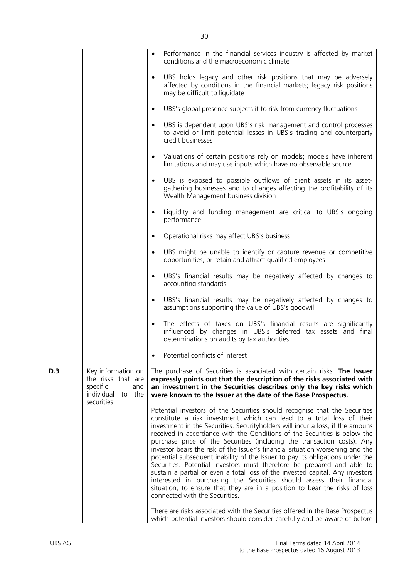|     |                                                                                                       | $\bullet$ | Performance in the financial services industry is affected by market<br>conditions and the macroeconomic climate                                                                                                                                                                                                                                                                                                                                                                                                                                                                                                                                                                                                                                                                                                                                                                                                   |
|-----|-------------------------------------------------------------------------------------------------------|-----------|--------------------------------------------------------------------------------------------------------------------------------------------------------------------------------------------------------------------------------------------------------------------------------------------------------------------------------------------------------------------------------------------------------------------------------------------------------------------------------------------------------------------------------------------------------------------------------------------------------------------------------------------------------------------------------------------------------------------------------------------------------------------------------------------------------------------------------------------------------------------------------------------------------------------|
|     |                                                                                                       | $\bullet$ | UBS holds legacy and other risk positions that may be adversely<br>affected by conditions in the financial markets; legacy risk positions<br>may be difficult to liquidate                                                                                                                                                                                                                                                                                                                                                                                                                                                                                                                                                                                                                                                                                                                                         |
|     |                                                                                                       | $\bullet$ | UBS's global presence subjects it to risk from currency fluctuations                                                                                                                                                                                                                                                                                                                                                                                                                                                                                                                                                                                                                                                                                                                                                                                                                                               |
|     |                                                                                                       | $\bullet$ | UBS is dependent upon UBS's risk management and control processes<br>to avoid or limit potential losses in UBS's trading and counterparty<br>credit businesses                                                                                                                                                                                                                                                                                                                                                                                                                                                                                                                                                                                                                                                                                                                                                     |
|     |                                                                                                       | $\bullet$ | Valuations of certain positions rely on models; models have inherent<br>limitations and may use inputs which have no observable source                                                                                                                                                                                                                                                                                                                                                                                                                                                                                                                                                                                                                                                                                                                                                                             |
|     |                                                                                                       | $\bullet$ | UBS is exposed to possible outflows of client assets in its asset-<br>gathering businesses and to changes affecting the profitability of its<br>Wealth Management business division                                                                                                                                                                                                                                                                                                                                                                                                                                                                                                                                                                                                                                                                                                                                |
|     |                                                                                                       | $\bullet$ | Liquidity and funding management are critical to UBS's ongoing<br>performance                                                                                                                                                                                                                                                                                                                                                                                                                                                                                                                                                                                                                                                                                                                                                                                                                                      |
|     |                                                                                                       | $\bullet$ | Operational risks may affect UBS's business                                                                                                                                                                                                                                                                                                                                                                                                                                                                                                                                                                                                                                                                                                                                                                                                                                                                        |
|     |                                                                                                       | $\bullet$ | UBS might be unable to identify or capture revenue or competitive<br>opportunities, or retain and attract qualified employees                                                                                                                                                                                                                                                                                                                                                                                                                                                                                                                                                                                                                                                                                                                                                                                      |
|     |                                                                                                       | $\bullet$ | UBS's financial results may be negatively affected by changes to<br>accounting standards                                                                                                                                                                                                                                                                                                                                                                                                                                                                                                                                                                                                                                                                                                                                                                                                                           |
|     |                                                                                                       | $\bullet$ | UBS's financial results may be negatively affected by changes to<br>assumptions supporting the value of UBS's goodwill                                                                                                                                                                                                                                                                                                                                                                                                                                                                                                                                                                                                                                                                                                                                                                                             |
|     |                                                                                                       | $\bullet$ | The effects of taxes on UBS's financial results are significantly<br>influenced by changes in UBS's deferred tax assets and final<br>determinations on audits by tax authorities                                                                                                                                                                                                                                                                                                                                                                                                                                                                                                                                                                                                                                                                                                                                   |
|     |                                                                                                       |           | Potential conflicts of interest                                                                                                                                                                                                                                                                                                                                                                                                                                                                                                                                                                                                                                                                                                                                                                                                                                                                                    |
| D.3 | Key information on<br>the risks that are<br>specific<br>and<br>individual<br>to<br>the<br>securities. |           | The purchase of Securities is associated with certain risks. The Issuer<br>expressly points out that the description of the risks associated with<br>an investment in the Securities describes only the key risks which<br>were known to the Issuer at the date of the Base Prospectus.                                                                                                                                                                                                                                                                                                                                                                                                                                                                                                                                                                                                                            |
|     |                                                                                                       |           | Potential investors of the Securities should recognise that the Securities<br>constitute a risk investment which can lead to a total loss of their<br>investment in the Securities. Securityholders will incur a loss, if the amouns<br>received in accordance with the Conditions of the Securities is below the<br>purchase price of the Securities (including the transaction costs). Any<br>investor bears the risk of the Issuer's financial situation worsening and the<br>potential subsequent inability of the Issuer to pay its obligations under the<br>Securities. Potential investors must therefore be prepared and able to<br>sustain a partial or even a total loss of the invested capital. Any investors<br>interested in purchasing the Securities should assess their financial<br>situation, to ensure that they are in a position to bear the risks of loss<br>connected with the Securities. |
|     |                                                                                                       |           | There are risks associated with the Securities offered in the Base Prospectus<br>which potential investors should consider carefully and be aware of before                                                                                                                                                                                                                                                                                                                                                                                                                                                                                                                                                                                                                                                                                                                                                        |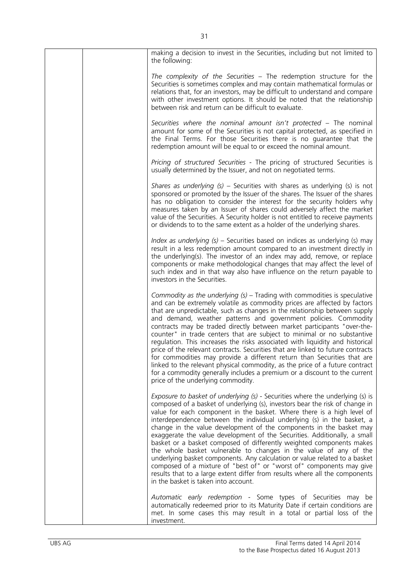| making a decision to invest in the Securities, including but not limited to<br>the following:                                                                                                                                                                                                                                                                                                                                                                                                                                                                                                                                                                                                                                                                                                                                                                                                                     |
|-------------------------------------------------------------------------------------------------------------------------------------------------------------------------------------------------------------------------------------------------------------------------------------------------------------------------------------------------------------------------------------------------------------------------------------------------------------------------------------------------------------------------------------------------------------------------------------------------------------------------------------------------------------------------------------------------------------------------------------------------------------------------------------------------------------------------------------------------------------------------------------------------------------------|
| The complexity of the Securities - The redemption structure for the<br>Securities is sometimes complex and may contain mathematical formulas or<br>relations that, for an investors, may be difficult to understand and compare<br>with other investment options. It should be noted that the relationship<br>between risk and return can be difficult to evaluate.                                                                                                                                                                                                                                                                                                                                                                                                                                                                                                                                               |
| Securities where the nominal amount isn't protected - The nominal<br>amount for some of the Securities is not capital protected, as specified in<br>the Final Terms. For those Securities there is no guarantee that the<br>redemption amount will be equal to or exceed the nominal amount.                                                                                                                                                                                                                                                                                                                                                                                                                                                                                                                                                                                                                      |
| Pricing of structured Securities - The pricing of structured Securities is<br>usually determined by the Issuer, and not on negotiated terms.                                                                                                                                                                                                                                                                                                                                                                                                                                                                                                                                                                                                                                                                                                                                                                      |
| Shares as underlying $(s)$ – Securities with shares as underlying $(s)$ is not<br>sponsored or promoted by the Issuer of the shares. The Issuer of the shares<br>has no obligation to consider the interest for the security holders why<br>measures taken by an Issuer of shares could adversely affect the market<br>value of the Securities. A Security holder is not entitled to receive payments<br>or dividends to to the same extent as a holder of the underlying shares.                                                                                                                                                                                                                                                                                                                                                                                                                                 |
| Index as underlying (s) - Securities based on indices as underlying (s) may<br>result in a less redemption amount compared to an investment directly in<br>the underlying(s). The investor of an index may add, remove, or replace<br>components or make methodological changes that may affect the level of<br>such index and in that way also have influence on the return payable to<br>investors in the Securities.                                                                                                                                                                                                                                                                                                                                                                                                                                                                                           |
| Commodity as the underlying $(s)$ – Trading with commodities is speculative<br>and can be extremely volatile as commodity prices are affected by factors<br>that are unpredictable, such as changes in the relationship between supply<br>and demand, weather patterns and government policies. Commodity<br>contracts may be traded directly between market participants "over-the-<br>counter" in trade centers that are subject to minimal or no substantive<br>regulation. This increases the risks associated with liquidity and historical<br>price of the relevant contracts. Securities that are linked to future contracts<br>for commodities may provide a different return than Securities that are<br>linked to the relevant physical commodity, as the price of a future contract<br>for a commodity generally includes a premium or a discount to the current<br>price of the underlying commodity. |
| Exposure to basket of underlying (s) - Securities where the underlying (s) is<br>composed of a basket of underlying (s), investors bear the risk of change in<br>value for each component in the basket. Where there is a high level of<br>interdependence between the individual underlying (s) in the basket, a<br>change in the value development of the components in the basket may<br>exaggerate the value development of the Securities. Additionally, a small<br>basket or a basket composed of differently weighted components makes<br>the whole basket vulnerable to changes in the value of any of the<br>underlying basket components. Any calculation or value related to a basket<br>composed of a mixture of "best of" or "worst of" components may give<br>results that to a large extent differ from results where all the components<br>in the basket is taken into account.                   |
| Automatic early redemption - Some types of Securities may be<br>automatically redeemed prior to its Maturity Date if certain conditions are<br>met. In some cases this may result in a total or partial loss of the<br>investment.                                                                                                                                                                                                                                                                                                                                                                                                                                                                                                                                                                                                                                                                                |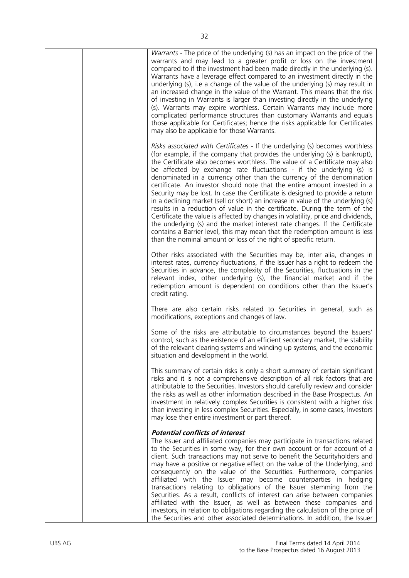|  | Warrants - The price of the underlying (s) has an impact on the price of the<br>warrants and may lead to a greater profit or loss on the investment<br>compared to if the investment had been made directly in the underlying (s).<br>Warrants have a leverage effect compared to an investment directly in the<br>underlying (s), i.e a change of the value of the underlying (s) may result in<br>an increased change in the value of the Warrant. This means that the risk<br>of investing in Warrants is larger than investing directly in the underlying<br>(s). Warrants may expire worthless. Certain Warrants may include more<br>complicated performance structures than customary Warrants and equals<br>those applicable for Certificates; hence the risks applicable for Certificates<br>may also be applicable for those Warrants.                                                                                                                                                                                                  |
|--|--------------------------------------------------------------------------------------------------------------------------------------------------------------------------------------------------------------------------------------------------------------------------------------------------------------------------------------------------------------------------------------------------------------------------------------------------------------------------------------------------------------------------------------------------------------------------------------------------------------------------------------------------------------------------------------------------------------------------------------------------------------------------------------------------------------------------------------------------------------------------------------------------------------------------------------------------------------------------------------------------------------------------------------------------|
|  | Risks associated with Certificates - If the underlying (s) becomes worthless<br>(for example, if the company that provides the underlying (s) is bankrupt),<br>the Certificate also becomes worthless. The value of a Certificate may also<br>be affected by exchange rate fluctuations - if the underlying (s) is<br>denominated in a currency other than the currency of the denomination<br>certificate. An investor should note that the entire amount invested in a<br>Security may be lost. In case the Certificate is designed to provide a return<br>in a declining market (sell or short) an increase in value of the underlying (s)<br>results in a reduction of value in the certificate. During the term of the<br>Certificate the value is affected by changes in volatility, price and dividends,<br>the underlying (s) and the market interest rate changes. If the Certificate<br>contains a Barrier level, this may mean that the redemption amount is less<br>than the nominal amount or loss of the right of specific return. |
|  | Other risks associated with the Securities may be, inter alia, changes in<br>interest rates, currency fluctuations, if the Issuer has a right to redeem the<br>Securities in advance, the complexity of the Securities, fluctuations in the<br>relevant index, other underlying (s), the financial market and if the<br>redemption amount is dependent on conditions other than the Issuer's<br>credit rating.                                                                                                                                                                                                                                                                                                                                                                                                                                                                                                                                                                                                                                   |
|  | There are also certain risks related to Securities in general, such as<br>modifications, exceptions and changes of law.                                                                                                                                                                                                                                                                                                                                                                                                                                                                                                                                                                                                                                                                                                                                                                                                                                                                                                                          |
|  | Some of the risks are attributable to circumstances beyond the Issuers'<br>control, such as the existence of an efficient secondary market, the stability<br>of the relevant clearing systems and winding up systems, and the economic<br>situation and development in the world.                                                                                                                                                                                                                                                                                                                                                                                                                                                                                                                                                                                                                                                                                                                                                                |
|  | This summary of certain risks is only a short summary of certain significant<br>risks and it is not a comprehensive description of all risk factors that are<br>attributable to the Securities. Investors should carefully review and consider<br>the risks as well as other information described in the Base Prospectus. An<br>investment in relatively complex Securities is consistent with a higher risk<br>than investing in less complex Securities. Especially, in some cases, Investors<br>may lose their entire investment or part thereof.                                                                                                                                                                                                                                                                                                                                                                                                                                                                                            |
|  | <b>Potential conflicts of interest</b><br>The Issuer and affiliated companies may participate in transactions related<br>to the Securities in some way, for their own account or for account of a<br>client. Such transactions may not serve to benefit the Securityholders and<br>may have a positive or negative effect on the value of the Underlying, and<br>consequently on the value of the Securities. Furthermore, companies<br>affiliated with the Issuer may become counterparties in hedging<br>transactions relating to obligations of the Issuer stemming from the<br>Securities. As a result, conflicts of interest can arise between companies<br>affiliated with the Issuer, as well as between these companies and<br>investors, in relation to obligations regarding the calculation of the price of<br>the Securities and other associated determinations. In addition, the Issuer                                                                                                                                            |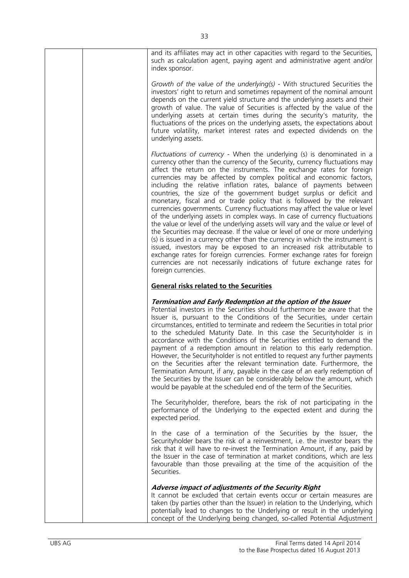| and its affiliates may act in other capacities with regard to the Securities,<br>such as calculation agent, paying agent and administrative agent and/or<br>index sponsor.                                                                                                                                                                                                                                                                                                                                                                                                                                                                                                                                                                                                                                                                                                                                                                                                                                                                                                                                                                                                                             |
|--------------------------------------------------------------------------------------------------------------------------------------------------------------------------------------------------------------------------------------------------------------------------------------------------------------------------------------------------------------------------------------------------------------------------------------------------------------------------------------------------------------------------------------------------------------------------------------------------------------------------------------------------------------------------------------------------------------------------------------------------------------------------------------------------------------------------------------------------------------------------------------------------------------------------------------------------------------------------------------------------------------------------------------------------------------------------------------------------------------------------------------------------------------------------------------------------------|
| Growth of the value of the underlying(s) - With structured Securities the<br>investors' right to return and sometimes repayment of the nominal amount<br>depends on the current yield structure and the underlying assets and their<br>growth of value. The value of Securities is affected by the value of the<br>underlying assets at certain times during the security's maturity, the<br>fluctuations of the prices on the underlying assets, the expectations about<br>future volatility, market interest rates and expected dividends on the<br>underlying assets.                                                                                                                                                                                                                                                                                                                                                                                                                                                                                                                                                                                                                               |
| Fluctuations of currency - When the underlying (s) is denominated in a<br>currency other than the currency of the Security, currency fluctuations may<br>affect the return on the instruments. The exchange rates for foreign<br>currencies may be affected by complex political and economic factors,<br>including the relative inflation rates, balance of payments between<br>countries, the size of the government budget surplus or deficit and<br>monetary, fiscal and or trade policy that is followed by the relevant<br>currencies governments. Currency fluctuations may affect the value or level<br>of the underlying assets in complex ways. In case of currency fluctuations<br>the value or level of the underlying assets will vary and the value or level of<br>the Securities may decrease. If the value or level of one or more underlying<br>(s) is issued in a currency other than the currency in which the instrument is<br>issued, investors may be exposed to an increased risk attributable to<br>exchange rates for foreign currencies. Former exchange rates for foreign<br>currencies are not necessarily indications of future exchange rates for<br>foreign currencies. |
| <b>General risks related to the Securities</b>                                                                                                                                                                                                                                                                                                                                                                                                                                                                                                                                                                                                                                                                                                                                                                                                                                                                                                                                                                                                                                                                                                                                                         |
| Termination and Early Redemption at the option of the Issuer<br>Potential investors in the Securities should furthermore be aware that the<br>Issuer is, pursuant to the Conditions of the Securities, under certain<br>circumstances, entitled to terminate and redeem the Securities in total prior<br>to the scheduled Maturity Date. In this case the Securityholder is in<br>accordance with the Conditions of the Securities entitled to demand the<br>payment of a redemption amount in relation to this early redemption.<br>However, the Securityholder is not entitled to request any further payments<br>on the Securities after the relevant termination date. Furthermore, the<br>Termination Amount, if any, payable in the case of an early redemption of<br>the Securities by the Issuer can be considerably below the amount, which<br>would be payable at the scheduled end of the term of the Securities.                                                                                                                                                                                                                                                                           |
| The Securityholder, therefore, bears the risk of not participating in the<br>performance of the Underlying to the expected extent and during the<br>expected period.                                                                                                                                                                                                                                                                                                                                                                                                                                                                                                                                                                                                                                                                                                                                                                                                                                                                                                                                                                                                                                   |
| In the case of a termination of the Securities by the Issuer, the<br>Securityholder bears the risk of a reinvestment, i.e. the investor bears the<br>risk that it will have to re-invest the Termination Amount, if any, paid by<br>the Issuer in the case of termination at market conditions, which are less<br>favourable than those prevailing at the time of the acquisition of the<br>Securities.                                                                                                                                                                                                                                                                                                                                                                                                                                                                                                                                                                                                                                                                                                                                                                                                |
| Adverse impact of adjustments of the Security Right<br>It cannot be excluded that certain events occur or certain measures are                                                                                                                                                                                                                                                                                                                                                                                                                                                                                                                                                                                                                                                                                                                                                                                                                                                                                                                                                                                                                                                                         |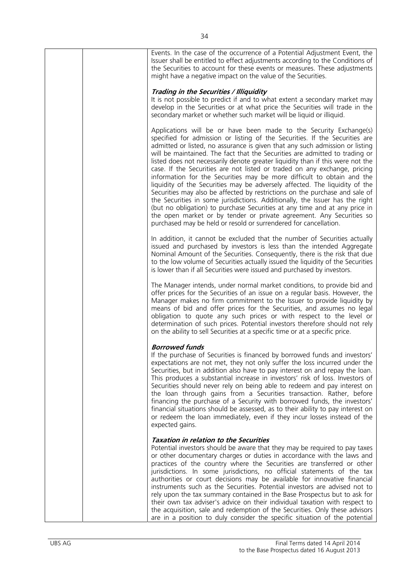| Events. In the case of the occurrence of a Potential Adjustment Event, the<br>Issuer shall be entitled to effect adjustments according to the Conditions of<br>the Securities to account for these events or measures. These adjustments<br>might have a negative impact on the value of the Securities.                                                                                                                                                                                                                                                                                                                                                                                                                                                                                                                                                                                                                                                                                                                          |
|-----------------------------------------------------------------------------------------------------------------------------------------------------------------------------------------------------------------------------------------------------------------------------------------------------------------------------------------------------------------------------------------------------------------------------------------------------------------------------------------------------------------------------------------------------------------------------------------------------------------------------------------------------------------------------------------------------------------------------------------------------------------------------------------------------------------------------------------------------------------------------------------------------------------------------------------------------------------------------------------------------------------------------------|
| Trading in the Securities / Illiquidity<br>It is not possible to predict if and to what extent a secondary market may<br>develop in the Securities or at what price the Securities will trade in the<br>secondary market or whether such market will be liquid or illiquid.                                                                                                                                                                                                                                                                                                                                                                                                                                                                                                                                                                                                                                                                                                                                                       |
| Applications will be or have been made to the Security Exchange(s)<br>specified for admission or listing of the Securities. If the Securities are<br>admitted or listed, no assurance is given that any such admission or listing<br>will be maintained. The fact that the Securities are admitted to trading or<br>listed does not necessarily denote greater liquidity than if this were not the<br>case. If the Securities are not listed or traded on any exchange, pricing<br>information for the Securities may be more difficult to obtain and the<br>liquidity of the Securities may be adversely affected. The liquidity of the<br>Securities may also be affected by restrictions on the purchase and sale of<br>the Securities in some jurisdictions. Additionally, the Issuer has the right<br>(but no obligation) to purchase Securities at any time and at any price in<br>the open market or by tender or private agreement. Any Securities so<br>purchased may be held or resold or surrendered for cancellation. |
| In addition, it cannot be excluded that the number of Securities actually<br>issued and purchased by investors is less than the intended Aggregate<br>Nominal Amount of the Securities. Consequently, there is the risk that due<br>to the low volume of Securities actually issued the liquidity of the Securities<br>is lower than if all Securities were issued and purchased by investors.                                                                                                                                                                                                                                                                                                                                                                                                                                                                                                                                                                                                                                    |
| The Manager intends, under normal market conditions, to provide bid and<br>offer prices for the Securities of an issue on a regular basis. However, the<br>Manager makes no firm commitment to the Issuer to provide liquidity by<br>means of bid and offer prices for the Securities, and assumes no legal<br>obligation to quote any such prices or with respect to the level or<br>determination of such prices. Potential investors therefore should not rely<br>on the ability to sell Securities at a specific time or at a specific price.                                                                                                                                                                                                                                                                                                                                                                                                                                                                                 |
| <b>Borrowed funds</b><br>If the purchase of Securities is financed by borrowed funds and investors'<br>expectations are not met, they not only suffer the loss incurred under the<br>Securities, but in addition also have to pay interest on and repay the loan.<br>This produces a substantial increase in investors' risk of loss. Investors of<br>Securities should never rely on being able to redeem and pay interest on<br>the loan through gains from a Securities transaction. Rather, before<br>financing the purchase of a Security with borrowed funds, the investors'<br>financial situations should be assessed, as to their ability to pay interest on<br>or redeem the loan immediately, even if they incur losses instead of the<br>expected gains.                                                                                                                                                                                                                                                              |
| <b>Taxation in relation to the Securities</b><br>Potential investors should be aware that they may be required to pay taxes<br>or other documentary charges or duties in accordance with the laws and<br>practices of the country where the Securities are transferred or other<br>jurisdictions. In some jurisdictions, no official statements of the tax<br>authorities or court decisions may be available for innovative financial<br>instruments such as the Securities. Potential investors are advised not to<br>rely upon the tax summary contained in the Base Prospectus but to ask for<br>their own tax adviser's advice on their individual taxation with respect to<br>the acquisition, sale and redemption of the Securities. Only these advisors<br>are in a position to duly consider the specific situation of the potential                                                                                                                                                                                     |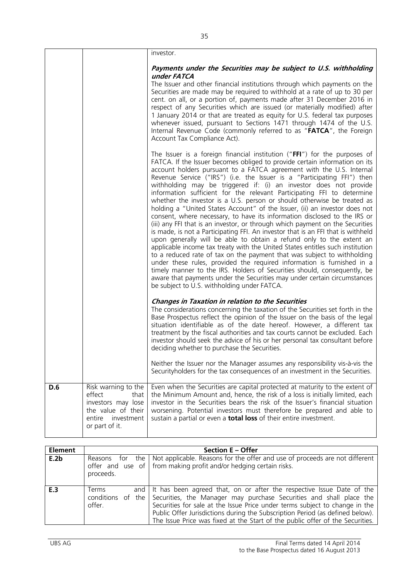|     |                                                                                                                             | investor.                                                                                                                                                                                                                                                                                                                                                                                                                                                                                                                                                                                                                                                                                                                                                                                                                                                                                                                                                                                                                                                                                                                                                                                                                                                                                                                                                                                     |
|-----|-----------------------------------------------------------------------------------------------------------------------------|-----------------------------------------------------------------------------------------------------------------------------------------------------------------------------------------------------------------------------------------------------------------------------------------------------------------------------------------------------------------------------------------------------------------------------------------------------------------------------------------------------------------------------------------------------------------------------------------------------------------------------------------------------------------------------------------------------------------------------------------------------------------------------------------------------------------------------------------------------------------------------------------------------------------------------------------------------------------------------------------------------------------------------------------------------------------------------------------------------------------------------------------------------------------------------------------------------------------------------------------------------------------------------------------------------------------------------------------------------------------------------------------------|
|     |                                                                                                                             | Payments under the Securities may be subject to U.S. withholding<br>under FATCA                                                                                                                                                                                                                                                                                                                                                                                                                                                                                                                                                                                                                                                                                                                                                                                                                                                                                                                                                                                                                                                                                                                                                                                                                                                                                                               |
|     |                                                                                                                             | The Issuer and other financial institutions through which payments on the<br>Securities are made may be required to withhold at a rate of up to 30 per<br>cent. on all, or a portion of, payments made after 31 December 2016 in<br>respect of any Securities which are issued (or materially modified) after<br>1 January 2014 or that are treated as equity for U.S. federal tax purposes<br>whenever issued, pursuant to Sections 1471 through 1474 of the U.S.<br>Internal Revenue Code (commonly referred to as "FATCA", the Foreign<br>Account Tax Compliance Act).                                                                                                                                                                                                                                                                                                                                                                                                                                                                                                                                                                                                                                                                                                                                                                                                                     |
|     |                                                                                                                             | The Issuer is a foreign financial institution (" $FFI$ ") for the purposes of<br>FATCA. If the Issuer becomes obliged to provide certain information on its<br>account holders pursuant to a FATCA agreement with the U.S. Internal<br>Revenue Service ("IRS") (i.e. the Issuer is a "Participating FFI") then<br>withholding may be triggered if: (i) an investor does not provide<br>information sufficient for the relevant Participating FFI to determine<br>whether the investor is a U.S. person or should otherwise be treated as<br>holding a "United States Account" of the Issuer, (ii) an investor does not<br>consent, where necessary, to have its information disclosed to the IRS or<br>(iii) any FFI that is an investor, or through which payment on the Securities<br>is made, is not a Participating FFI. An investor that is an FFI that is withheld<br>upon generally will be able to obtain a refund only to the extent an<br>applicable income tax treaty with the United States entitles such institution<br>to a reduced rate of tax on the payment that was subject to withholding<br>under these rules, provided the required information is furnished in a<br>timely manner to the IRS. Holders of Securities should, consequently, be<br>aware that payments under the Securities may under certain circumstances<br>be subject to U.S. withholding under FATCA. |
|     |                                                                                                                             | <b>Changes in Taxation in relation to the Securities</b><br>The considerations concerning the taxation of the Securities set forth in the<br>Base Prospectus reflect the opinion of the Issuer on the basis of the legal<br>situation identifiable as of the date hereof. However, a different tax<br>treatment by the fiscal authorities and tax courts cannot be excluded. Each<br>investor should seek the advice of his or her personal tax consultant before<br>deciding whether to purchase the Securities.<br>Neither the Issuer nor the Manager assumes any responsibility vis-à-vis the<br>Securityholders for the tax consequences of an investment in the Securities.                                                                                                                                                                                                                                                                                                                                                                                                                                                                                                                                                                                                                                                                                                              |
| D.6 | Risk warning to the<br>effect<br>that<br>investors may lose<br>the value of their<br>entire<br>investment<br>or part of it. | Even when the Securities are capital protected at maturity to the extent of<br>the Minimum Amount and, hence, the risk of a loss is initially limited, each<br>investor in the Securities bears the risk of the Issuer's financial situation<br>worsening. Potential investors must therefore be prepared and able to<br>sustain a partial or even a <b>total loss</b> of their entire investment.                                                                                                                                                                                                                                                                                                                                                                                                                                                                                                                                                                                                                                                                                                                                                                                                                                                                                                                                                                                            |

| <b>Element</b> |                 | <b>Section E - Offer</b>                                                                                                                                                                                                                                                                                                                                                                                            |
|----------------|-----------------|---------------------------------------------------------------------------------------------------------------------------------------------------------------------------------------------------------------------------------------------------------------------------------------------------------------------------------------------------------------------------------------------------------------------|
| E.2b           | proceeds.       | Reasons for the   Not applicable. Reasons for the offer and use of proceeds are not different<br>offer and use of $\int$ from making profit and/or hedging certain risks.                                                                                                                                                                                                                                           |
| E.3            | Terms<br>offer. | and It has been agreed that, on or after the respective Issue Date of the<br>conditions of the Securities, the Manager may purchase Securities and shall place the<br>Securities for sale at the Issue Price under terms subject to change in the<br>Public Offer Jurisdictions during the Subscription Period (as defined below).<br>The Issue Price was fixed at the Start of the public offer of the Securities. |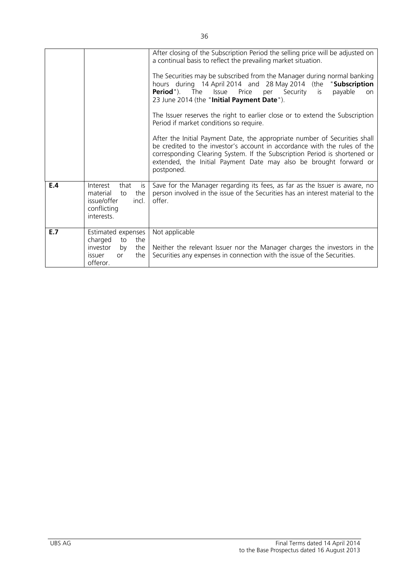|     |                                                                                                                      | After closing of the Subscription Period the selling price will be adjusted on<br>a continual basis to reflect the prevailing market situation.<br>The Securities may be subscribed from the Manager during normal banking<br>hours during 14 April 2014 and 28 May 2014 (the<br>"Subscription<br><b>Period</b> "). The<br>Issue Price<br>per Security is<br>payable<br>on<br>23 June 2014 (the "Initial Payment Date").<br>The Issuer reserves the right to earlier close or to extend the Subscription<br>Period if market conditions so require.<br>After the Initial Payment Date, the appropriate number of Securities shall<br>be credited to the investor's account in accordance with the rules of the<br>corresponding Clearing System. If the Subscription Period is shortened or<br>extended, the Initial Payment Date may also be brought forward or<br>postponed. |
|-----|----------------------------------------------------------------------------------------------------------------------|--------------------------------------------------------------------------------------------------------------------------------------------------------------------------------------------------------------------------------------------------------------------------------------------------------------------------------------------------------------------------------------------------------------------------------------------------------------------------------------------------------------------------------------------------------------------------------------------------------------------------------------------------------------------------------------------------------------------------------------------------------------------------------------------------------------------------------------------------------------------------------|
| E.4 | Interest<br>that<br>is<br>material<br>the<br>to<br>issue/offer<br>incl.<br>conflicting<br>interests.                 | Save for the Manager regarding its fees, as far as the Issuer is aware, no<br>person involved in the issue of the Securities has an interest material to the<br>offer.                                                                                                                                                                                                                                                                                                                                                                                                                                                                                                                                                                                                                                                                                                         |
| E.7 | Estimated expenses<br>charged<br>to<br>the<br>investor<br>the<br>by<br>the<br><i>issuer</i><br><b>or</b><br>offeror. | Not applicable<br>Neither the relevant Issuer nor the Manager charges the investors in the<br>Securities any expenses in connection with the issue of the Securities.                                                                                                                                                                                                                                                                                                                                                                                                                                                                                                                                                                                                                                                                                                          |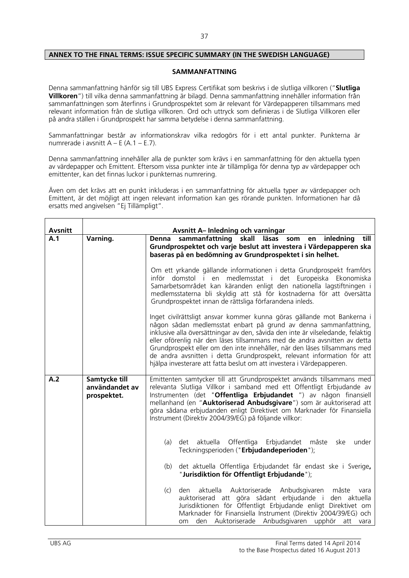### **ANNEX TO THE FINAL TERMS: ISSUE SPECIFIC SUMMARY (IN THE SWEDISH LANGUAGE)**

### **SAMMANFATTNING**

Denna sammanfattning hänför sig till UBS Express Certifikat som beskrivs i de slutliga villkoren ("**Slutliga Villkoren**") till vilka denna sammanfattning är bilagd. Denna sammanfattning innehåller information från sammanfattningen som återfinns i Grundprospektet som är relevant för Värdepapperen tillsammans med relevant information från de slutliga villkoren. Ord och uttryck som definieras i de Slutliga Villkoren eller på andra ställen i Grundprospekt har samma betydelse i denna sammanfattning.

Sammanfattningar består av informationskrav vilka redogörs för i ett antal punkter. Punkterna är numrerade i avsnitt  $A - E (A.1 - E.7)$ .

Denna sammanfattning innehåller alla de punkter som krävs i en sammanfattning för den aktuella typen av värdepapper och Emittent. Eftersom vissa punkter inte är tillämpliga för denna typ av värdepapper och emittenter, kan det finnas luckor i punkternas numrering.

Även om det krävs att en punkt inkluderas i en sammanfattning för aktuella typer av värdepapper och Emittent, är det möjligt att ingen relevant information kan ges rörande punkten. Informationen har då ersatts med angivelsen "Ej Tillämpligt".

| <b>Avsnitt</b> |                                                | <b>Avsnitt A-Inledning och varningar</b>                                                                                                                                                                                                                                                                                                                                                                                                                                                                                                                                                                                                                                                                                                                                                                                                                                                                                                                                                                                                                                                                   |
|----------------|------------------------------------------------|------------------------------------------------------------------------------------------------------------------------------------------------------------------------------------------------------------------------------------------------------------------------------------------------------------------------------------------------------------------------------------------------------------------------------------------------------------------------------------------------------------------------------------------------------------------------------------------------------------------------------------------------------------------------------------------------------------------------------------------------------------------------------------------------------------------------------------------------------------------------------------------------------------------------------------------------------------------------------------------------------------------------------------------------------------------------------------------------------------|
| A.1            | Varning.                                       | inledning<br>till<br>sammanfattning<br>skall läsas<br>Denna<br>som<br>en<br>Grundprospektet och varje beslut att investera i Värdepapperen ska<br>baseras på en bedömning av Grundprospektet i sin helhet.<br>Om ett yrkande gällande informationen i detta Grundprospekt framförs<br>inför domstol i en medlemsstat i det Europeiska Ekonomiska<br>Samarbetsområdet kan käranden enligt den nationella lagstiftningen i<br>medlemsstaterna bli skyldig att stå för kostnaderna för att översätta<br>Grundprospektet innan de rättsliga förfarandena inleds.<br>Inget civilrättsligt ansvar kommer kunna göras gällande mot Bankerna i<br>någon sådan medlemsstat enbart på grund av denna sammanfattning,<br>inklusive alla översättningar av den, såvida den inte är vilseledande, felaktig<br>eller oförenlig när den läses tillsammans med de andra avsnitten av detta<br>Grundprospekt eller om den inte innehåller, när den läses tillsammans med<br>de andra avsnitten i detta Grundprospekt, relevant information för att<br>hjälpa investerare att fatta beslut om att investera i Värdepapperen. |
| A.2            | Samtycke till<br>användandet av<br>prospektet. | Emittenten samtycker till att Grundprospektet används tillsammans med<br>relevanta Slutliga Villkor i samband med ett Offentligt Erbjudande av<br>Instrumenten (det "Offentliga Erbjudandet ") av någon finansiell<br>mellanhand (en "Auktoriserad Anbudsgivare") som är auktoriserad att<br>göra sådana erbjudanden enligt Direktivet om Marknader för Finansiella<br>Instrument (Direktiv 2004/39/EG) på följande villkor:<br>aktuella Offentliga<br>Erbjudandet måste<br>(a)<br>ske<br>under<br>det<br>Teckningsperioden ("Erbjudandeperioden");<br>det aktuella Offentliga Erbjudandet får endast ske i Sverige,<br>(b)<br>"Jurisdiktion för Offentligt Erbjudande");<br>aktuella<br>Auktoriserade Anbudsgivaren måste<br>(c)<br>den<br>vara<br>auktoriserad att göra sådant erbjudande i den aktuella<br>Jurisdiktionen för Offentligt Erbjudande enligt Direktivet om<br>Marknader för Finansiella Instrument (Direktiv 2004/39/EG) och<br>den Auktoriserade Anbudsgivaren upphör att vara<br>om                                                                                                     |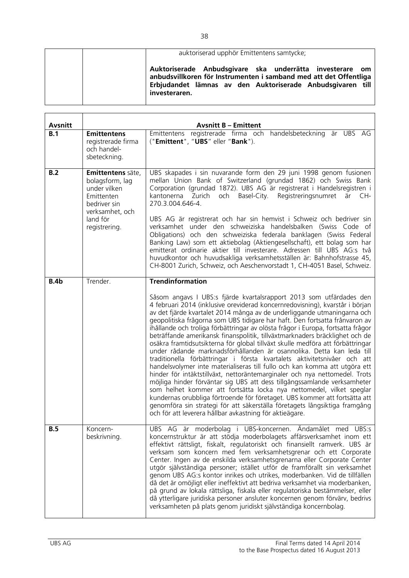| auktoriserad upphör Emittentens samtycke;                                                                                                                                                                    |
|--------------------------------------------------------------------------------------------------------------------------------------------------------------------------------------------------------------|
| Auktoriserade Anbudsgivare ska underrätta investerare om<br>anbudsvillkoren för Instrumenten i samband med att det Offentliga<br>Erbjudandet lämnas av den Auktoriserade Anbudsgivaren till<br>investeraren. |

| <b>Avsnitt</b> | <b>Avsnitt B - Emittent</b>                                                                                                        |                                                                                                                                                                                                                                                                                                                                                                                                                                                                                                                                                                                                                                                                                                                                                                                                                                                                                                                                                                                                                                                                                                                                                                                                                                                                                          |  |  |  |
|----------------|------------------------------------------------------------------------------------------------------------------------------------|------------------------------------------------------------------------------------------------------------------------------------------------------------------------------------------------------------------------------------------------------------------------------------------------------------------------------------------------------------------------------------------------------------------------------------------------------------------------------------------------------------------------------------------------------------------------------------------------------------------------------------------------------------------------------------------------------------------------------------------------------------------------------------------------------------------------------------------------------------------------------------------------------------------------------------------------------------------------------------------------------------------------------------------------------------------------------------------------------------------------------------------------------------------------------------------------------------------------------------------------------------------------------------------|--|--|--|
| B.1            | <b>Emittentens</b><br>registrerade firma<br>och handel-<br>sbeteckning.                                                            | Emittentens registrerade firma och handelsbeteckning är UBS AG<br>("Emittent", "UBS" eller "Bank").                                                                                                                                                                                                                                                                                                                                                                                                                                                                                                                                                                                                                                                                                                                                                                                                                                                                                                                                                                                                                                                                                                                                                                                      |  |  |  |
| B.2            | Emittentens säte,<br>bolagsform, lag<br>under vilken<br>Emittenten<br>bedriver sin<br>verksamhet, och<br>land för<br>registrering. | UBS skapades i sin nuvarande form den 29 juni 1998 genom fusionen<br>mellan Union Bank of Switzerland (grundad 1862) och Swiss Bank<br>Corporation (grundad 1872). UBS AG är registrerat i Handelsregistren i<br>kantonerna Zurich<br>och Basel-City. Registreringsnumret<br>är CH-<br>270.3.004.646-4.<br>UBS AG är registrerat och har sin hemvist i Schweiz och bedriver sin<br>verksamhet under den schweiziska handelsbalken (Swiss Code of<br>Obligations) och den schweiziska federala banklagen (Swiss Federal<br>Banking Law) som ett aktiebolag (Aktiengesellschaft), ett bolag som har<br>emitterat ordinarie aktier till investerare. Adressen till UBS AG:s två<br>huvudkontor och huvudsakliga verksamhetsställen är: Bahnhofstrasse 45,<br>CH-8001 Zurich, Schweiz, och Aeschenvorstadt 1, CH-4051 Basel, Schweiz.                                                                                                                                                                                                                                                                                                                                                                                                                                                        |  |  |  |
| B.4b           | Trender.                                                                                                                           | <b>Trendinformation</b><br>Såsom angavs I UBS:s fjärde kvartalsrapport 2013 som utfärdades den<br>4 februari 2014 (inklusive oreviderad koncernredovisning), kvarstår i början<br>av det fjärde kvartalet 2014 många av de underliggande utmaningarna och<br>geopolitiska frågorna som UBS tidigare har haft. Den fortsatta frånvaron av<br>ihållande och troliga förbättringar av olösta frågor i Europa, fortsatta frågor<br>beträffande amerikansk finanspolitik, tillväxtmarknaders bräcklighet och de<br>osäkra framtidsutsikterna för global tillväxt skulle medföra att förbättringar<br>under rådande marknadsförhållanden är osannolika. Detta kan leda till<br>traditionella förbättringar i första kvartalets aktivitetsnivåer och att<br>handelsvolymer inte materialiseras till fullo och kan komma att utgöra ett<br>hinder för intäktstillväxt, nettoräntemarginaler och nya nettomedel. Trots<br>möjliga hinder förväntar sig UBS att dess tillgångssamlande verksamheter<br>som helhet kommer att fortsätta locka nya nettomedel, vilket speglar<br>kundernas orubbliga förtroende för företaget. UBS kommer att fortsätta att<br>genomföra sin strategi för att säkerställa företagets långsiktiga framgång<br>och för att leverera hållbar avkastning för aktieägare. |  |  |  |
| <b>B.5</b>     | Koncern-<br>beskrivning.                                                                                                           | UBS AG är moderbolag i UBS-koncernen. Ändamålet med UBS:s<br>koncernstruktur är att stödja moderbolagets affärsverksamhet inom ett<br>effektivt rättsligt, fiskalt, regulatoriskt och finansiellt ramverk. UBS är<br>verksam som koncern med fem verksamhetsgrenar och ett Corporate<br>Center. Ingen av de enskilda verksamhetsgrenarna eller Corporate Center<br>utgör självständiga personer; istället utför de framförallt sin verksamhet<br>genom UBS AG:s kontor inrikes och utrikes, moderbanken. Vid de tillfällen<br>då det är omöjligt eller ineffektivt att bedriva verksamhet via moderbanken,<br>på grund av lokala rättsliga, fiskala eller regulatoriska bestämmelser, eller<br>då ytterligare juridiska personer ansluter koncernen genom förvärv, bedrivs<br>verksamheten på plats genom juridiskt självständiga koncernbolag.                                                                                                                                                                                                                                                                                                                                                                                                                                          |  |  |  |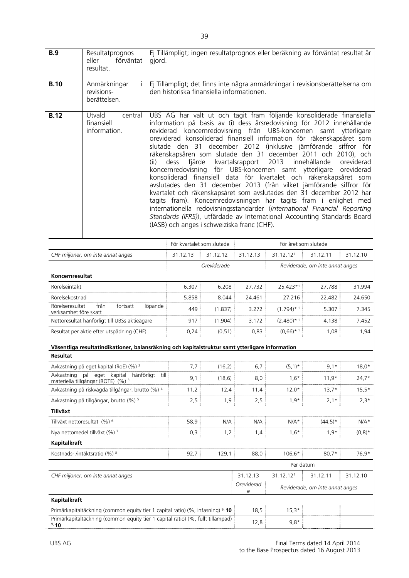| <b>B.9</b>                                                                              | Resultatprognos<br>förväntat<br>eller<br>resultat.                                              | Ej Tillämpligt; ingen resultatprognos eller beräkning av förväntat resultat är<br>gjord. |                                                                                                                            |                                             |                  |                                                               |                                                                                                                                                                                                                                                                                                                                                                                                                                                                                                                                                                                                                                                                                                                                                                                                                                                                                                  |                          |
|-----------------------------------------------------------------------------------------|-------------------------------------------------------------------------------------------------|------------------------------------------------------------------------------------------|----------------------------------------------------------------------------------------------------------------------------|---------------------------------------------|------------------|---------------------------------------------------------------|--------------------------------------------------------------------------------------------------------------------------------------------------------------------------------------------------------------------------------------------------------------------------------------------------------------------------------------------------------------------------------------------------------------------------------------------------------------------------------------------------------------------------------------------------------------------------------------------------------------------------------------------------------------------------------------------------------------------------------------------------------------------------------------------------------------------------------------------------------------------------------------------------|--------------------------|
| <b>B.10</b>                                                                             | Anmärkningar<br>revisions-<br>berättelsen.                                                      |                                                                                          | Ej Tillämpligt; det finns inte några anmärkningar i revisionsberättelserna om<br>den historiska finansiella informationen. |                                             |                  |                                                               |                                                                                                                                                                                                                                                                                                                                                                                                                                                                                                                                                                                                                                                                                                                                                                                                                                                                                                  |                          |
| <b>B.12</b>                                                                             | Utvald<br>central<br>finansiell<br>information.                                                 | (ii)                                                                                     | fjärde<br>dess                                                                                                             | (IASB) och anges i schweiziska franc (CHF). | kvartalsrapport  | 2013<br>koncernredovisning för UBS-koncernen samt ytterligare | UBS AG har valt ut och tagit fram följande konsoliderade finansiella<br>information på basis av (i) dess årsredovisning för 2012 innehållande<br>reviderad koncernredovisning från UBS-koncernen samt ytterligare<br>oreviderad konsoliderad finansiell information för räkenskapsåret som<br>slutade den 31 december 2012 (inklusive jämförande siffror för<br>räkenskapsåren som slutade den 31 december 2011 och 2010), och<br>innehållande<br>konsoliderad finansiell data för kvartalet och räkenskapsåret som<br>avslutades den 31 december 2013 (från vilket jämförande siffror för<br>kvartalet och räkenskapsåret som avslutades den 31 december 2012 har<br>tagits fram). Koncernredovisningen har tagits fram i enlighet med<br>internationella redovisningsstandarder (International Financial Reporting<br>Standards (IFRS)), utfärdade av International Accounting Standards Board | oreviderad<br>oreviderad |
|                                                                                         |                                                                                                 |                                                                                          | För kvartalet som slutade                                                                                                  |                                             |                  |                                                               | För året som slutade                                                                                                                                                                                                                                                                                                                                                                                                                                                                                                                                                                                                                                                                                                                                                                                                                                                                             |                          |
|                                                                                         | CHF miljoner, om inte annat anges                                                               |                                                                                          | 31.12.13                                                                                                                   | 31.12.12                                    | 31.12.13         | 31.12.12 <sup>1</sup>                                         | 31.12.11                                                                                                                                                                                                                                                                                                                                                                                                                                                                                                                                                                                                                                                                                                                                                                                                                                                                                         | 31.12.10                 |
|                                                                                         |                                                                                                 |                                                                                          |                                                                                                                            | Oreviderade                                 |                  |                                                               | Reviderade, om inte annat anges                                                                                                                                                                                                                                                                                                                                                                                                                                                                                                                                                                                                                                                                                                                                                                                                                                                                  |                          |
| Koncernresultat                                                                         |                                                                                                 |                                                                                          |                                                                                                                            |                                             |                  |                                                               |                                                                                                                                                                                                                                                                                                                                                                                                                                                                                                                                                                                                                                                                                                                                                                                                                                                                                                  |                          |
| Rörelseintäkt<br>Rörelsekostnad                                                         |                                                                                                 |                                                                                          | 6.307<br>5.858                                                                                                             | 6.208<br>8.044                              | 27.732<br>24.461 | 25.423*1<br>27.216                                            | 27.788<br>22.482                                                                                                                                                                                                                                                                                                                                                                                                                                                                                                                                                                                                                                                                                                                                                                                                                                                                                 | 31.994<br>24.650         |
| Rörelseresultat<br>från<br>fortsatt<br>löpande<br>verksamhet före skatt                 |                                                                                                 |                                                                                          | 449                                                                                                                        | (1.837)                                     | 3.272            | $(1.794)$ * 1                                                 | 5.307                                                                                                                                                                                                                                                                                                                                                                                                                                                                                                                                                                                                                                                                                                                                                                                                                                                                                            | 7.345                    |
| Nettoresultat hänförligt till UBSs aktieägare                                           |                                                                                                 |                                                                                          | 917                                                                                                                        | (1.904)                                     | 3.172            | $(2.480)$ * 1                                                 | 4.138                                                                                                                                                                                                                                                                                                                                                                                                                                                                                                                                                                                                                                                                                                                                                                                                                                                                                            | 7.452                    |
| Resultat per aktie efter utspädning (CHF)                                               |                                                                                                 |                                                                                          | 0,24                                                                                                                       | (0, 51)                                     | 0,83             | $(0,66)$ * 1                                                  | 1,08                                                                                                                                                                                                                                                                                                                                                                                                                                                                                                                                                                                                                                                                                                                                                                                                                                                                                             | 1,94                     |
|                                                                                         | Väsentliga resultatindikationer, balansräkning och kapitalstruktur samt ytterligare information |                                                                                          |                                                                                                                            |                                             |                  |                                                               |                                                                                                                                                                                                                                                                                                                                                                                                                                                                                                                                                                                                                                                                                                                                                                                                                                                                                                  |                          |
| Resultat                                                                                |                                                                                                 |                                                                                          |                                                                                                                            |                                             |                  |                                                               |                                                                                                                                                                                                                                                                                                                                                                                                                                                                                                                                                                                                                                                                                                                                                                                                                                                                                                  |                          |
| Avkastning                                                                              | Avkastning på eget kapital (RoE) (%) <sup>2</sup><br>$p\aa$<br>kapital hänförligt till<br>eget  |                                                                                          | 7,7                                                                                                                        | (16,2)                                      | 6,7              | $(5,1)^*$                                                     | $9,1*$                                                                                                                                                                                                                                                                                                                                                                                                                                                                                                                                                                                                                                                                                                                                                                                                                                                                                           | $18,0*$                  |
|                                                                                         | materiella tillgångar (ROTE) (%) <sup>3</sup>                                                   |                                                                                          | 9,1                                                                                                                        | (18,6)                                      | 8,0              | $1,6*$                                                        | $11,9*$                                                                                                                                                                                                                                                                                                                                                                                                                                                                                                                                                                                                                                                                                                                                                                                                                                                                                          | $24,7*$                  |
|                                                                                         | Avkastning på riskvägda tillgångar, brutto (%) 4                                                |                                                                                          | 11,2                                                                                                                       | 12,4                                        | 11,4             | $12,0*$                                                       | $13,7*$                                                                                                                                                                                                                                                                                                                                                                                                                                                                                                                                                                                                                                                                                                                                                                                                                                                                                          | $15,5*$                  |
| Tillväxt                                                                                | Avkastning på tillgångar, brutto (%) <sup>5</sup>                                               |                                                                                          | 2,5                                                                                                                        | 1,9                                         | 2,5              | $1,9*$                                                        | $2,1*$                                                                                                                                                                                                                                                                                                                                                                                                                                                                                                                                                                                                                                                                                                                                                                                                                                                                                           | $2,3*$                   |
| Tillväxt nettoresultat (%) <sup>6</sup>                                                 |                                                                                                 |                                                                                          | 58,9                                                                                                                       | N/A                                         | N/A              | $N/A*$                                                        | $(44,5)*$                                                                                                                                                                                                                                                                                                                                                                                                                                                                                                                                                                                                                                                                                                                                                                                                                                                                                        | $N/A*$                   |
|                                                                                         | Nya nettomedel tillväxt (%) <sup>7</sup>                                                        |                                                                                          | 0,3                                                                                                                        | 1,2                                         | 1,4              | $1,6*$                                                        | $1,9*$                                                                                                                                                                                                                                                                                                                                                                                                                                                                                                                                                                                                                                                                                                                                                                                                                                                                                           | $(0,8)^*$                |
| Kapitalkraft                                                                            |                                                                                                 |                                                                                          |                                                                                                                            |                                             |                  |                                                               |                                                                                                                                                                                                                                                                                                                                                                                                                                                                                                                                                                                                                                                                                                                                                                                                                                                                                                  |                          |
|                                                                                         | Kostnads- /intäktsratio (%) 8                                                                   |                                                                                          | 92,7                                                                                                                       | 129,1                                       | 88,0             | 106,6*                                                        | $80,7*$                                                                                                                                                                                                                                                                                                                                                                                                                                                                                                                                                                                                                                                                                                                                                                                                                                                                                          | 76,9*                    |
|                                                                                         |                                                                                                 |                                                                                          |                                                                                                                            |                                             |                  | Per datum                                                     |                                                                                                                                                                                                                                                                                                                                                                                                                                                                                                                                                                                                                                                                                                                                                                                                                                                                                                  |                          |
| CHF miljoner, om inte annat anges                                                       |                                                                                                 |                                                                                          |                                                                                                                            |                                             | 31.12.13         | 31.12.121                                                     | 31.12.11                                                                                                                                                                                                                                                                                                                                                                                                                                                                                                                                                                                                                                                                                                                                                                                                                                                                                         | 31.12.10                 |
|                                                                                         |                                                                                                 |                                                                                          |                                                                                                                            |                                             | Oreviderad<br>е  |                                                               | Reviderade, om inte annat anges                                                                                                                                                                                                                                                                                                                                                                                                                                                                                                                                                                                                                                                                                                                                                                                                                                                                  |                          |
| <b>Kapitalkraft</b>                                                                     |                                                                                                 |                                                                                          |                                                                                                                            |                                             |                  |                                                               |                                                                                                                                                                                                                                                                                                                                                                                                                                                                                                                                                                                                                                                                                                                                                                                                                                                                                                  |                          |
| Primärkapitaltäckning (common equity tier 1 capital ratio) (%, infasning) 9, 10         |                                                                                                 |                                                                                          |                                                                                                                            | 18,5                                        | $15,3*$          |                                                               |                                                                                                                                                                                                                                                                                                                                                                                                                                                                                                                                                                                                                                                                                                                                                                                                                                                                                                  |                          |
| Primärkapitaltäckning (common equity tier 1 capital ratio) (%, fullt tillämpad)<br>9.10 |                                                                                                 |                                                                                          |                                                                                                                            | 12,8                                        | $9,8*$           |                                                               |                                                                                                                                                                                                                                                                                                                                                                                                                                                                                                                                                                                                                                                                                                                                                                                                                                                                                                  |                          |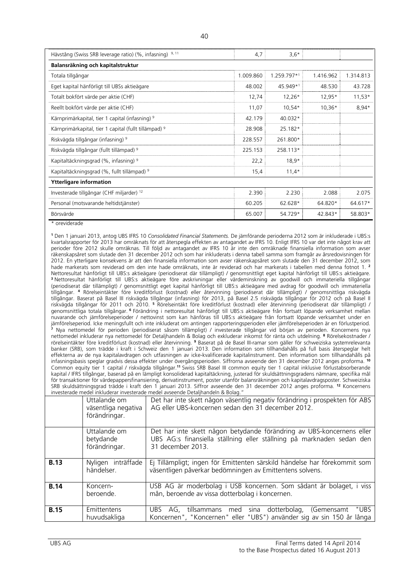| Hävstång (Swiss SRB leverage ratio) (%, infasning) 9, 11         | 4,7       | $3,6*$      |           |           |  |  |
|------------------------------------------------------------------|-----------|-------------|-----------|-----------|--|--|
| Balansräkning och kapitalstruktur                                |           |             |           |           |  |  |
| Totala tillgångar                                                | 1.009.860 | 1.259.797*1 | 1.416.962 | 1.314.813 |  |  |
| Eget kapital hänförligt till UBSs aktieägare                     | 48.002    | 45.949*1    | 48.530    | 43.728    |  |  |
| Totalt bokfört värde per aktie (CHF)                             | 12,74     | $12,26*$    | 12,95*    | $11,53*$  |  |  |
| Reellt bokfört värde per aktie (CHF)                             | 11,07     | $10,54*$    | $10,36*$  | $8,94*$   |  |  |
| Kärnprimärkapital, tier 1 capital (infasning) 9                  | 42.179    | 40.032*     |           |           |  |  |
| Kärnprimärkapital, tier 1 capital (fullt tillämpad) <sup>9</sup> | 28.908    | 25.182*     |           |           |  |  |
| Riskvägda tillgångar (infasning) 9                               | 228.557   | 261.800*    |           |           |  |  |
| Riskvägda tillgångar (fullt tillämpad) <sup>9</sup>              | 225.153   | 258.113*    |           |           |  |  |
| Kapitaltäckningsgrad (%, infasning) <sup>9</sup>                 | 22,2      | $18,9*$     |           |           |  |  |
| Kapitaltäckningsgrad (%, fullt tillämpad) <sup>9</sup>           | 15,4      | $11,4*$     |           |           |  |  |
| <b>Ytterligare information</b>                                   |           |             |           |           |  |  |
| Investerade tillgångar (CHF miljarder) 12                        | 2.390     | 2.230       | 2.088     | 2.075     |  |  |
| Personal (motsvarande heltidstjänster)                           | 60.205    | 62.628*     | 64.820*   | 64.617*   |  |  |
| Börsvärde                                                        | 65.007    | 54.729*     | 42.843*   | 58.803*   |  |  |

\* oreviderade

**<sup>1</sup>** Den 1 januari 2013, antog UBS IFRS 10 *Consolidated Financial Statements.* De jämförande perioderna 2012 som är inkluderade i UBS:s kvartalsrapporter för 2013 har omräknats för att återspegla effekten av antagandet av IFRS 10. Enligt IFRS 10 var det inte något krav att perioder före 2012 skulle omräknas. Till följd av antagandet av IFRS 10 är inte den omräknade finansiella information som avser räkenskapsåret som slutade den 31 december 2012 och som har inkluderats i denna tabell samma som framgår av årsredovisningen för 2012. En ytterligare konsekvens är att den finansiella information som avser räkenskapsåret som slutade den 31 december 2012, som hade markerats som reviderad om den inte hade omräknats, inte är reviderad och har markerats i tabellen med denna fotnot 1. **<sup>2</sup>** Nettoresultat hänförligt till UBS:s aktieägare (periodiserat där tillämpligt) / genomsnittligt eget kapital hänförligt till UBS:s aktieägare. **<sup>3</sup>** Nettoresultat hänförligt till UBS:s aktieägare före avskrivningar eller värdeminskning av goodwill och immateriella tillgångar (periodiserat där tillämpligt) / genomsnittligt eget kapital hänförligt till UBS:s aktieägare med avdrag för goodwill och immateriella tillgångar. **<sup>4</sup>** Rörelseintäkter före kreditförlust (kostnad) eller återvinning (periodiserat där tillämpligt) / genomsnittliga riskvägda tillgångar. Baserat på Basel III riskvägda tillgångar (infasning) för 2013, på Basel 2.5 riskvägda tillgångar för 2012 och på Basel II riskvägda tillgångar för 2011 och 2010. **<sup>5</sup>** Rörelseintäkt före kreditförlust (kostnad) eller återvinning (periodiserat där tillämpligt) / genomsnittliga totala tillgångar. **<sup>6</sup>**Förändring i nettoresultat hänförligt till UBS:s aktieägare från fortsatt löpande verksamhet mellan nuvarande och jämförelseperioder / nettovinst som kan hänföras till UBS:s aktieägare från fortsatt löpande verksamhet under en jämförelseperiod. Icke meningsfullt och inte inkluderat om antingen rapporteringsperioden eller jämförelseperioden är en förlustperiod. **<sup>7</sup>** Nya nettomedel för perioden (periodiserat såsom tillämpligt) / investerade tillgångar vid början av perioden. Koncernens nya nettomedel inkluderar nya nettomedel för Detaljhandeln & Bolag och exkluderar inkomst för ränta och utdelning. **<sup>8</sup>** Rörelsekostnader / rörelseintäkter före kreditförlust (kostnad) eller återvinning. **<sup>9</sup>** Baserat på de Basel III-ramar som gäller för schweiziska systemrelevanta banker (SRB), som trädde i kraft i Schweiz den 1 januari 2013. Den information som tillhandahålls på full basis återspeglar helt effekterna av de nya kapitalavdragen och utfasningen av icke-kvalificerade kapitalinstrument. Den information som tillhandahålls på infasningsbasis speglar gradvis dessa effekter under övergångsperioden. Siffrorna avseende den 31 december 2012 anges proforma. **<sup>10</sup>** Common equity tier 1 capital / riskvägda tillgångar.**<sup>11</sup>** Swiss SRB Basel III common equity tier 1 capital inklusive förlustabsorberande kapital / IFRS tillgångar, baserad på en lämpligt konsoliderad kapitaltäckning, justerad för skuldsättningsgradens nämnare, specifika mål för transaktioner för värdepappersfinansiering, derivatinstrument, poster utanför balansräkningen och kapitalavdragsposter. Schweiziska SRB skuldsättningsgrad trädde i kraft den 1 januari 2013. Siffror avseende den 31 december 2012 anges proforma. **<sup>12</sup>** Koncernens investerade medel inkluderar investerade medel avseende Detaljhandeln & Bolag."

|             | Uttalande om<br>väsentliga negativa<br>förändringar. | Det har inte skett någon väsentlig negativ förändring i prospekten för ABS<br>AG eller UBS-koncernen sedan den 31 december 2012.                                    |
|-------------|------------------------------------------------------|---------------------------------------------------------------------------------------------------------------------------------------------------------------------|
|             | Uttalande om<br>betydande<br>förändringar.           | Det har inte skett någon betydande förändring av UBS-koncernens eller<br>UBS AG:s finansiella ställning eller ställning på marknaden sedan den<br>31 december 2013. |
| <b>B.13</b> | Nyligen inträffade<br>händelser.                     | Ej Tillämpligt; ingen för Emittenten särskild händelse har förekommit som<br>väsentligen påverkar bedömningen av Emittentens solvens.                               |
| <b>B.14</b> | Koncern-<br>beroende.                                | USB AG är moderbolag i USB koncernen. Som sådant är bolaget, i viss<br>mån, beroende av vissa dotterbolag i koncernen.                                              |
| <b>B.15</b> | Emittentens<br>huvudsakliga                          | "UBS<br>UBS AG, tillsammans med sina dotterbolag, (Gemensamt<br>Koncernen", "Koncernen" eller "UBS") använder sig av sin 150 år långa                               |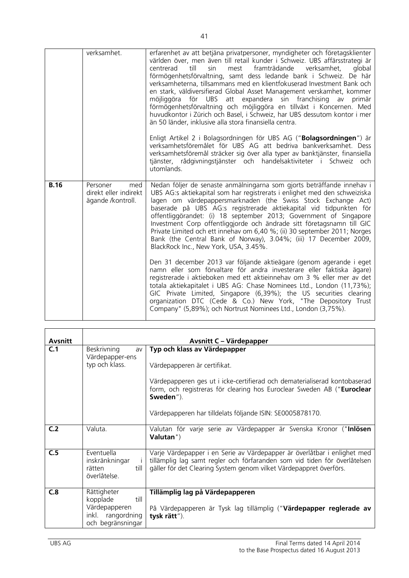|             | verksamhet.                                                   | erfarenhet av att betjäna privatpersoner, myndigheter och företagsklienter<br>världen över, men även till retail kunder i Schweiz. UBS affärsstrategi är<br>till<br>sin<br>mest framträdande<br>verksamhet,<br>global<br>centrerad<br>förmögenhetsförvaltning, samt dess ledande bank i Schweiz. De här<br>verksamheterna, tillsammans med en klientfokuserad Investment Bank och<br>en stark, väldiversifierad Global Asset Management verskamhet, kommer<br>för UBS att expandera sin franchising<br>möjliggöra<br>av<br>primär<br>förmögenhetsförvaltning och möjliggöra en tillväxt i Koncernen. Med<br>huvudkontor i Zürich och Basel, i Schweiz, har UBS dessutom kontor i mer<br>än 50 länder, inklusive alla stora finansiella centra.                                                                                                                |
|-------------|---------------------------------------------------------------|---------------------------------------------------------------------------------------------------------------------------------------------------------------------------------------------------------------------------------------------------------------------------------------------------------------------------------------------------------------------------------------------------------------------------------------------------------------------------------------------------------------------------------------------------------------------------------------------------------------------------------------------------------------------------------------------------------------------------------------------------------------------------------------------------------------------------------------------------------------|
|             |                                                               | Enligt Artikel 2 i Bolagsordningen för UBS AG (" <b>Bolagsordningen</b> ") är<br>verksamhetsföremålet för UBS AG att bedriva bankverksamhet. Dess<br>verksamhetsföremål sträcker sig över alla typer av banktjänster, finansiella<br>tjänster, rådgivningstjänster och handelsaktiviteter i Schweiz och<br>utomlands.                                                                                                                                                                                                                                                                                                                                                                                                                                                                                                                                         |
| <b>B.16</b> | Personer<br>med<br>direkt eller indirekt<br>ägande /kontroll. | Nedan följer de senaste anmälningarna som gjorts beträffande innehav i<br>UBS AG:s aktiekapital som har registrerats i enlighet med den schweiziska<br>lagen om värdepappersmarknaden (the Swiss Stock Exchange Act)<br>baserade på UBS AG:s registrerade aktiekapital vid tidpunkten för<br>offentliggörandet: (i) 18 september 2013; Government of Singapore<br>Investment Corp offentliggjorde och ändrade sitt företagsnamn till GIC<br>Private Limited och ett innehav om 6,40 %; (ii) 30 september 2011; Norges<br>Bank (the Central Bank of Norway), 3.04%; (iii) 17 December 2009,<br>BlackRock Inc., New York, USA, 3.45%.<br>Den 31 december 2013 var följande aktieägare (genom agerande i eget<br>namn eller som förvaltare för andra investerare eller faktiska ägare)<br>registrerade i aktieboken med ett aktieinnehav om 3 % eller mer av det |
|             |                                                               | totala aktiekapitalet i UBS AG: Chase Nominees Ltd., London (11,73%);<br>GIC Private Limited, Singapore (6,39%); the US securities clearing<br>organization DTC (Cede & Co.) New York, "The Depository Trust<br>Company" (5,89%); och Nortrust Nominees Ltd., London (3,75%).                                                                                                                                                                                                                                                                                                                                                                                                                                                                                                                                                                                 |

| <b>Avsnitt</b> |                                                                                            | Avsnitt C – Värdepapper                                                                                                                                                                                                                                                                       |
|----------------|--------------------------------------------------------------------------------------------|-----------------------------------------------------------------------------------------------------------------------------------------------------------------------------------------------------------------------------------------------------------------------------------------------|
| C.1            | Beskrivning<br>av<br>Värdepapper-ens<br>typ och klass.                                     | Typ och klass av Värdepapper<br>Värdepapperen är certifikat.<br>Värdepapperen ges ut i icke-certifierad och dematerialiserad kontobaserad<br>form, och registreras för clearing hos Euroclear Sweden AB ("Euroclear<br>Sweden").<br>Värdepapperen har tilldelats följande ISIN: SE0005878170. |
| C <sub>2</sub> | Valuta.                                                                                    | Valutan för varje serie av Värdepapper är Svenska Kronor ("Inlösen<br>Valutan")                                                                                                                                                                                                               |
| C.5            | Eventuella<br>inskränkningar<br>-i-<br>till<br>rätten<br>överlåtelse.                      | Varje Värdepapper i en Serie av Värdepapper är överlåtbar i enlighet med<br>tillämplig lag samt regler och förfaranden som vid tiden för överlåtelsen<br>gäller för det Clearing System genom vilket Värdepappret överförs.                                                                   |
| C.8            | Rättigheter<br>till<br>kopplade<br>Värdepapperen<br>inkl. rangordning<br>och begränsningar | Tillämplig lag på Värdepapperen<br>På Värdepapperen är Tysk lag tillämplig ("Värdepapper reglerade av<br>tysk rätt").                                                                                                                                                                         |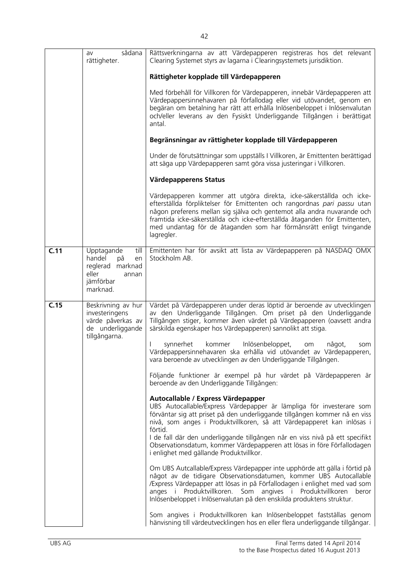|      | sådana<br>av<br>rättigheter.                                                                            | Rättsverkningarna av att Värdepapperen registreras hos det relevant<br>Clearing Systemet styrs av lagarna i Clearingsystemets jurisdiktion.                                                                                                                                                                                                                                                   |
|------|---------------------------------------------------------------------------------------------------------|-----------------------------------------------------------------------------------------------------------------------------------------------------------------------------------------------------------------------------------------------------------------------------------------------------------------------------------------------------------------------------------------------|
|      |                                                                                                         | Rättigheter kopplade till Värdepapperen                                                                                                                                                                                                                                                                                                                                                       |
|      |                                                                                                         | Med förbehåll för Villkoren för Värdepapperen, innebär Värdepapperen att<br>Värdepappersinnehavaren på förfallodag eller vid utövandet, genom en<br>begäran om betalning har rätt att erhålla Inlösenbeloppet i Inlösenvalutan<br>och/eller leverans av den Fysiskt Underliggande Tillgången i berättigat<br>antal.                                                                           |
|      |                                                                                                         | Begränsningar av rättigheter kopplade till Värdepapperen                                                                                                                                                                                                                                                                                                                                      |
|      |                                                                                                         | Under de förutsättningar som uppställs I Villkoren, är Emittenten berättigad<br>att säga upp Värdepapperen samt göra vissa justeringar i Villkoren.                                                                                                                                                                                                                                           |
|      |                                                                                                         | Värdepapperens Status                                                                                                                                                                                                                                                                                                                                                                         |
|      |                                                                                                         | Värdepapperen kommer att utgöra direkta, icke-säkerställda och icke-<br>efterställda förpliktelser för Emittenten och rangordnas pari passu utan<br>någon preferens mellan sig själva och gentemot alla andra nuvarande och<br>framtida icke-säkerställda och icke-efterställda åtaganden för Emittenten,<br>med undantag för de åtaganden som har förmånsrätt enligt tvingande<br>lagregler. |
| C.11 | Upptagande<br>till<br>handel<br>på<br>en<br>reglerad marknad<br>eller<br>annan<br>jämförbar<br>marknad. | Emittenten har för avsikt att lista av Värdepapperen på NASDAQ OMX<br>Stockholm AB.                                                                                                                                                                                                                                                                                                           |
| C.15 | Beskrivning av hur<br>investeringens<br>värde påverkas av<br>de underliggande<br>tillgångarna.          | Värdet på Värdepapperen under deras löptid är beroende av utvecklingen<br>av den Underliggande Tillgången. Om priset på den Underliggande<br>Tillgången stiger, kommer även värdet på Värdepapperen (oavsett andra<br>särskilda egenskaper hos Värdepapperen) sannolikt att stiga.                                                                                                            |
|      |                                                                                                         | synnerhet<br>kommer<br>Inlösenbeloppet,<br>något,<br>om<br>som<br>Värdepappersinnehavaren ska erhålla vid utövandet av Värdepapperen,<br>vara beroende av utvecklingen av den Underliggande Tillgången.                                                                                                                                                                                       |
|      |                                                                                                         | Följande funktioner är exempel på hur värdet på Värdepapperen är<br>beroende av den Underliggande Tillgången:                                                                                                                                                                                                                                                                                 |
|      |                                                                                                         | Autocallable / Express Värdepapper<br>UBS Autocallable/Express Värdepapper är lämpliga för investerare som                                                                                                                                                                                                                                                                                    |
|      |                                                                                                         | förväntar sig att priset på den underliggande tillgången kommer nå en viss<br>nivå, som anges i Produktvillkoren, så att Värdepapperet kan inlösas i<br>förtid.<br>I de fall där den underliggande tillgången når en viss nivå på ett specifikt                                                                                                                                               |
|      |                                                                                                         | Observationsdatum, kommer Värdepapperen att lösas in före Förfallodagen<br>i enlighet med gällande Produktvillkor.                                                                                                                                                                                                                                                                            |
|      |                                                                                                         | Om UBS Autcallable/Express Värdepapper inte upphörde att gälla i förtid på<br>något av de tidigare Observationsdatumen, kommer UBS Autocallable<br>/Express Värdepapper att lösas in på Förfallodagen i enlighet med vad som<br>anges i Produktvillkoren. Som angives i Produktvillkoren<br>beror<br>Inlösenbeloppet i Inlösenvalutan på den enskilda produktens struktur.                    |
|      |                                                                                                         | Som angives i Produktvillkoren kan Inlösenbeloppet fastställas genom<br>hänvisning till värdeutvecklingen hos en eller flera underliggande tillgångar.                                                                                                                                                                                                                                        |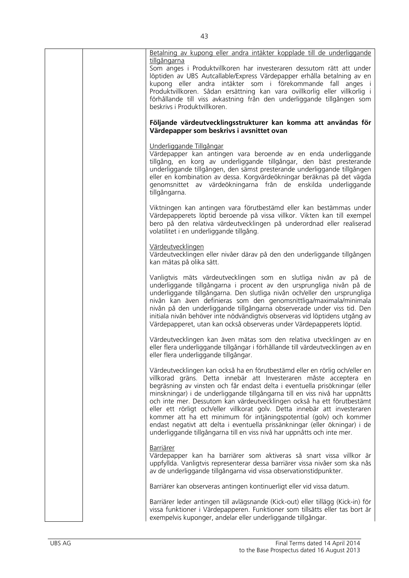|  | Betalning av kupong eller andra intäkter kopplade till de underliggande                                                                                                                                                                                                                                                                                                                                                                                                                                                                                                                                                                                                                                  |
|--|----------------------------------------------------------------------------------------------------------------------------------------------------------------------------------------------------------------------------------------------------------------------------------------------------------------------------------------------------------------------------------------------------------------------------------------------------------------------------------------------------------------------------------------------------------------------------------------------------------------------------------------------------------------------------------------------------------|
|  | tillgångarna<br>Som anges i Produktvillkoren har investeraren dessutom rätt att under<br>löptiden av UBS Autcallable/Express Värdepapper erhålla betalning av en<br>kupong eller andra intäkter som i förekommande fall anges i<br>Produktvillkoren. Sådan ersättning kan vara ovillkorlig eller villkorlig i<br>förhållande till viss avkastning från den underliggande tillgången som<br>beskrivs i Produktvillkoren.                                                                                                                                                                                                                                                                                  |
|  | Följande värdeutvecklingsstrukturer kan komma att användas för<br>Värdepapper som beskrivs i avsnittet ovan                                                                                                                                                                                                                                                                                                                                                                                                                                                                                                                                                                                              |
|  | Underliggande Tillgångar<br>Värdepapper kan antingen vara beroende av en enda underliggande<br>tillgång, en korg av underliggande tillgångar, den bäst presterande<br>underliggande tillgången, den sämst presterande underliggande tillgången<br>eller en kombination av dessa. Korgvärdeökningar beräknas på det vägda<br>genomsnittet av värdeökningarna från de enskilda underliggande<br>tillgångarna.                                                                                                                                                                                                                                                                                              |
|  | Viktningen kan antingen vara förutbestämd eller kan bestämmas under<br>Värdepapperets löptid beroende på vissa villkor. Vikten kan till exempel<br>bero på den relativa värdeutvecklingen på underordnad eller realiserad<br>volatilitet i en underliggande tillgång.                                                                                                                                                                                                                                                                                                                                                                                                                                    |
|  | Värdeutvecklingen<br>Värdeutvecklingen eller nivåer därav på den den underliggande tillgången<br>kan mätas på olika sätt.                                                                                                                                                                                                                                                                                                                                                                                                                                                                                                                                                                                |
|  | Vanligtvis mäts värdeutvecklingen som en slutliga nivån av på de<br>underliggande tillgångarna i procent av den ursprungliga nivån på de<br>underliggande tillgångarna. Den slutliga nivån och/eller den ursprungliga<br>nivån kan även definieras som den genomsnittliga/maximala/minimala<br>nivån på den underliggande tillgångarna observerade under viss tid. Den<br>initiala nivån behöver inte nödvändigtvis observeras vid löptidens utgång av<br>Värdepapperet, utan kan också observeras under Värdepapperets löptid.                                                                                                                                                                          |
|  | Värdeutvecklingen kan även mätas som den relativa utvecklingen av en<br>eller flera underliggande tillgångar i förhållande till värdeutvecklingen av en<br>eller flera underliggande tillgångar.                                                                                                                                                                                                                                                                                                                                                                                                                                                                                                         |
|  | Värdeutvecklingen kan också ha en förutbestämd eller en rörlig och/eller en<br>villkorad gräns. Detta innebär att Investeraren måste acceptera en<br>begräsning av vinsten och får endast delta i eventuella prisökningar (eller<br>minskningar) i de underliggande tillgångarna till en viss nivå har uppnåtts<br>och inte mer. Dessutom kan värdeutvecklingen också ha ett förutbestämt<br>eller ett rörligt och/eller villkorat golv. Detta innebär att investeraren<br>kommer att ha ett minimum för intjäningspotential (golv) och kommer<br>endast negativt att delta i eventuella prissänkningar (eller ökningar) i de<br>underliggande tillgångarna till en viss nivå har uppnåtts och inte mer. |
|  | <b>Barriärer</b><br>Värdepapper kan ha barriärer som aktiveras så snart vissa villkor är<br>uppfyllda. Vanligtvis representerar dessa barriärer vissa nivåer som ska nås<br>av de underliggande tillgångarna vid vissa observationstidpunkter.                                                                                                                                                                                                                                                                                                                                                                                                                                                           |
|  | Barriärer kan observeras antingen kontinuerligt eller vid vissa datum.                                                                                                                                                                                                                                                                                                                                                                                                                                                                                                                                                                                                                                   |
|  | Barriärer leder antingen till avlägsnande (Kick-out) eller tillägg (Kick-in) för<br>vissa funktioner i Värdepapperen. Funktioner som tillsätts eller tas bort är<br>exempelvis kuponger, andelar eller underliggande tillgångar.                                                                                                                                                                                                                                                                                                                                                                                                                                                                         |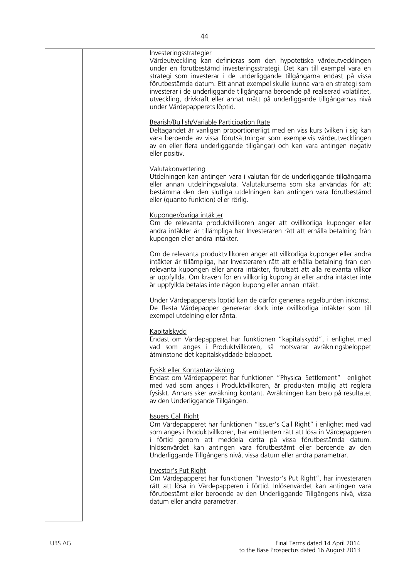| <u>Investeringsstrategier</u><br>Värdeutveckling kan definieras som den hypotetiska värdeutvecklingen<br>under en förutbestämd investeringsstrategi. Det kan till exempel vara en<br>strategi som investerar i de underliggande tillgångarna endast på vissa<br>förutbestämda datum. Ett annat exempel skulle kunna vara en strategi som<br>investerar i de underliggande tillgångarna beroende på realiserad volatilitet,<br>utveckling, drivkraft eller annat mått på underliggande tillgångarnas nivå<br>under Värdepapperets löptid. |
|------------------------------------------------------------------------------------------------------------------------------------------------------------------------------------------------------------------------------------------------------------------------------------------------------------------------------------------------------------------------------------------------------------------------------------------------------------------------------------------------------------------------------------------|
| Bearish/Bullish/Variable Participation Rate<br>Deltagandet är vanligen proportionerligt med en viss kurs (vilken i sig kan<br>vara beroende av vissa förutsättningar som exempelvis värdeutvecklingen<br>av en eller flera underliggande tillgångar) och kan vara antingen negativ<br>eller positiv.                                                                                                                                                                                                                                     |
| Valutakonvertering<br>Utdelningen kan antingen vara i valutan för de underliggande tillgångarna<br>eller annan utdelningsvaluta. Valutakurserna som ska användas för att<br>bestämma den den slutliga utdelningen kan antingen vara förutbestämd<br>eller (quanto funktion) eller rörlig.                                                                                                                                                                                                                                                |
| Kuponger/övriga intäkter<br>Om de relevanta produktvillkoren anger att ovillkorliga kuponger eller<br>andra intäkter är tillämpliga har Investeraren rätt att erhålla betalning från<br>kupongen eller andra intäkter.                                                                                                                                                                                                                                                                                                                   |
| Om de relevanta produktvillkoren anger att villkorliga kuponger eller andra<br>intäkter är tillämpliga, har Investeraren rätt att erhålla betalning från den<br>relevanta kupongen eller andra intäkter, förutsatt att alla relevanta villkor<br>är uppfyllda. Om kraven för en villkorlig kupong är eller andra intäkter inte<br>är uppfyllda betalas inte någon kupong eller annan intäkt.                                                                                                                                             |
| Under Värdepapperets löptid kan de därför generera regelbunden inkomst.<br>De flesta Värdepapper genererar dock inte ovillkorliga intäkter som till<br>exempel utdelning eller ränta.                                                                                                                                                                                                                                                                                                                                                    |
| Kapitalskydd<br>Endast om Värdepapperet har funktionen "kapitalskydd", i enlighet med<br>vad som anges i Produktvillkoren, så motsvarar avräkningsbeloppet<br>åtminstone det kapitalskyddade beloppet.                                                                                                                                                                                                                                                                                                                                   |
| <b>Fysisk eller Kontantavräkning</b><br>Endast om Värdepapperet har funktionen "Physical Settlement" i enlighet<br>med vad som anges i Produktvillkoren, är produkten möjlig att reglera<br>fysiskt. Annars sker avräkning kontant. Avräkningen kan bero på resultatet<br>av den Underliggande Tillgången.                                                                                                                                                                                                                               |
| <b>Issuers Call Right</b><br>Om Värdepapperet har funktionen "Issuer's Call Right" i enlighet med vad<br>som anges i Produktvillkoren, har emittenten rätt att lösa in Värdepapperen<br>i förtid genom att meddela detta på vissa förutbestämda datum.<br>Inlösenvärdet kan antingen vara förutbestämt eller beroende av den<br>Underliggande Tillgångens nivå, vissa datum eller andra parametrar.                                                                                                                                      |
| <b>Investor's Put Right</b><br>Om Värdepapperet har funktionen "Investor's Put Right", har investeraren<br>rätt att lösa in Värdepapperen i förtid. Inlösenvärdet kan antingen vara<br>förutbestämt eller beroende av den Underliggande Tillgångens nivå, vissa<br>datum eller andra parametrar.                                                                                                                                                                                                                                         |
|                                                                                                                                                                                                                                                                                                                                                                                                                                                                                                                                          |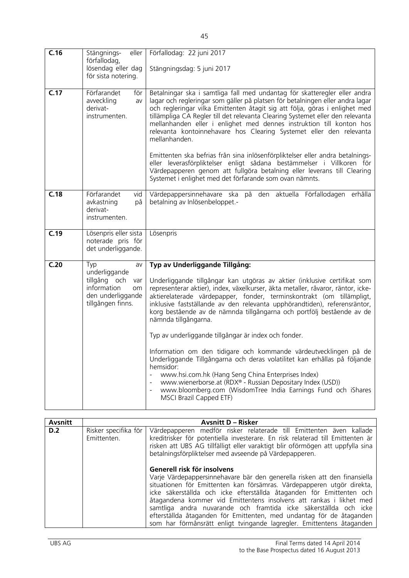| C.16 | Stängnings-<br>eller                                                                                             | Förfallodag: 22 juni 2017                                                                                                                                                                                                                                                                                                                                                                                                                                                                                                                                                                                                                                                                                                                                                                                                                                                                   |
|------|------------------------------------------------------------------------------------------------------------------|---------------------------------------------------------------------------------------------------------------------------------------------------------------------------------------------------------------------------------------------------------------------------------------------------------------------------------------------------------------------------------------------------------------------------------------------------------------------------------------------------------------------------------------------------------------------------------------------------------------------------------------------------------------------------------------------------------------------------------------------------------------------------------------------------------------------------------------------------------------------------------------------|
|      | förfallodag,<br>lösendag eller dag<br>för sista notering.                                                        | Stängningsdag: 5 juni 2017                                                                                                                                                                                                                                                                                                                                                                                                                                                                                                                                                                                                                                                                                                                                                                                                                                                                  |
| C.17 | Förfarandet<br>för<br>avveckling<br>av<br>derivat-<br>instrumenten.                                              | Betalningar ska i samtliga fall med undantag för skatteregler eller andra<br>lagar och regleringar som gäller på platsen för betalningen eller andra lagar<br>och regleringar vilka Emittenten åtagit sig att följa, göras i enlighet med<br>tillämpliga CA Regler till det relevanta Clearing Systemet eller den relevanta<br>mellanhanden eller i enlighet med dennes instruktion till konton hos<br>relevanta kontoinnehavare hos Clearing Systemet eller den relevanta<br>mellanhanden.<br>Emittenten ska befrias från sina inlösenförpliktelser eller andra betalnings-<br>eller leverasförpliktelser enligt sådana bestämmelser i Villkoren för<br>Värdepapperen genom att fullgöra betalning eller leverans till Clearing<br>Systemet i enlighet med det förfarande som ovan nämnts.                                                                                                 |
| C.18 | Förfarandet<br>vid<br>avkastning<br>på<br>derivat-<br>instrumenten.                                              | Värdepappersinnehavare ska på den aktuella Förfallodagen erhålla<br>betalning av Inlösenbeloppet.-                                                                                                                                                                                                                                                                                                                                                                                                                                                                                                                                                                                                                                                                                                                                                                                          |
| C.19 | Lösenpris eller sista<br>noterade pris för<br>det underliggande.                                                 | Lösenpris                                                                                                                                                                                                                                                                                                                                                                                                                                                                                                                                                                                                                                                                                                                                                                                                                                                                                   |
| C.20 | Typ<br>av<br>underliggande<br>tillgång och<br>var<br>information<br>om<br>den underliggande<br>tillgången finns. | Typ av Underliggande Tillgång:<br>Underliggande tillgångar kan utgöras av aktier (inklusive certifikat som<br>representerar aktier), index, växelkurser, äkta metaller, råvaror, räntor, icke-<br>aktierelaterade värdepapper, fonder, terminskontrakt (om tillämpligt,<br>inklusive fastställande av den relevanta upphörandtiden), referensräntor,<br>korg bestående av de nämnda tillgångarna och portfölj bestående av de<br>nämnda tillgångarna.<br>Typ av underliggande tillgångar är index och fonder.<br>Information om den tidigare och kommande värdeutvecklingen på de<br>Underliggande Tillgångarna och deras volatilitet kan erhållas på följande<br>hemsidor:<br>www.hsi.com.hk (Hang Seng China Enterprises Index)<br>www.wienerborse.at (RDX® - Russian Depositary Index (USD))<br>www.bloomberg.com (WisdomTree India Earnings Fund och iShares<br>MSCI Brazil Capped ETF) |

| <b>Avsnitt</b> |                                     | <b>Avsnitt D – Risker</b>                                                                                                                                                                                                                                                                                                                                                                                                                                                                                                                              |
|----------------|-------------------------------------|--------------------------------------------------------------------------------------------------------------------------------------------------------------------------------------------------------------------------------------------------------------------------------------------------------------------------------------------------------------------------------------------------------------------------------------------------------------------------------------------------------------------------------------------------------|
| D.2            | Risker specifika för<br>Emittenten. | Värdepapperen medför risker relaterade till Emittenten även kallade<br>kreditrisker för potentiella investerare. En risk relaterad till Emittenten är<br>risken att UBS AG tillfälligt eller varaktigt blir oförmögen att uppfylla sina<br>betalningsförpliktelser med avseende på Värdepapperen.                                                                                                                                                                                                                                                      |
|                |                                     | Generell risk för insolvens<br>Varje Värdepappersinnehavare bär den generella risken att den finansiella<br>situationen för Emittenten kan försämras. Värdepapperen utgör direkta,<br>icke säkerställda och icke efterställda åtaganden för Emittenten och<br>åtagandena kommer vid Emittentens insolvens att rankas i likhet med<br>samtliga andra nuvarande och framtida icke säkerställda och icke<br>efterställda åtaganden för Emittenten, med undantag för de åtaganden<br>som har förmånsrätt enligt tvingande lagregler. Emittentens åtaganden |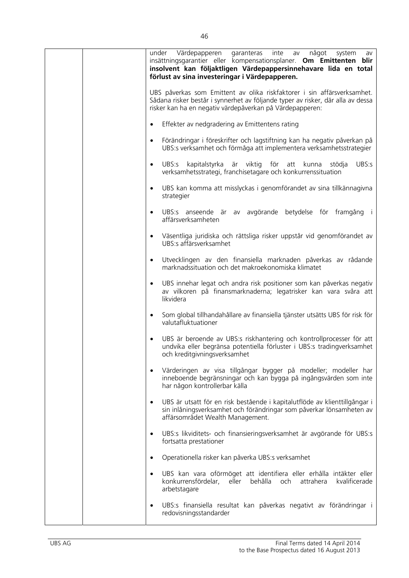| Värdepapperen<br>garanteras<br>under<br>inte<br>något<br>system<br>av<br>av<br>insättningsgarantier eller kompensationsplaner. Om Emittenten blir<br>insolvent kan följaktligen Värdepappersinnehavare lida en total<br>förlust av sina investeringar i Värdepapperen. |
|------------------------------------------------------------------------------------------------------------------------------------------------------------------------------------------------------------------------------------------------------------------------|
| UBS påverkas som Emittent av olika riskfaktorer i sin affärsverksamhet.<br>Sådana risker består i synnerhet av följande typer av risker, där alla av dessa<br>risker kan ha en negativ värdepåverkan på Värdepapperen:                                                 |
| Effekter av nedgradering av Emittentens rating<br>$\bullet$                                                                                                                                                                                                            |
| Förändringar i föreskrifter och lagstiftning kan ha negativ påverkan på<br>$\bullet$<br>UBS:s verksamhet och förmåga att implementera verksamhetsstrategier                                                                                                            |
| UBS:s<br>kapitalstyrka är viktig för att kunna<br>UBS:s<br>stödja<br>$\bullet$<br>verksamhetsstrategi, franchisetagare och konkurrenssituation                                                                                                                         |
| UBS kan komma att misslyckas i genomförandet av sina tillkännagivna<br>$\bullet$<br>strategier                                                                                                                                                                         |
| UBS:s anseende är av avgörande betydelse för framgång<br>$\bullet$<br>affärsverksamheten                                                                                                                                                                               |
| Väsentliga juridiska och rättsliga risker uppstår vid genomförandet av<br>$\bullet$<br>UBS:s affärsverksamhet                                                                                                                                                          |
| Utvecklingen av den finansiella marknaden påverkas av rådande<br>$\bullet$<br>marknadssituation och det makroekonomiska klimatet                                                                                                                                       |
| UBS innehar legat och andra risk positioner som kan påverkas negativ<br>$\bullet$<br>av vilkoren på finansmarknaderna; legatrisker kan vara svåra att<br>likvidera                                                                                                     |
| Som global tillhandahållare av finansiella tjänster utsätts UBS för risk för<br>$\bullet$<br>valutafluktuationer                                                                                                                                                       |
| UBS är beroende av UBS:s riskhantering och kontrollprocesser för att<br>$\bullet$<br>undvika eller begränsa potentiella förluster i UBS:s tradingverksamhet<br>och kreditgivningsverksamhet                                                                            |
| Värderingen av visa tillgångar bygger på modeller; modeller har<br>$\bullet$<br>inneboende begränsningar och kan bygga på ingångsvärden som inte<br>har någon kontrollerbar källa                                                                                      |
| UBS är utsatt för en risk bestående i kapitalutflöde av klienttillgångar i<br>$\bullet$<br>sin inlåningsverksamhet och förändringar som påverkar lönsamheten av<br>affärsområdet Wealth Management.                                                                    |
| UBS:s likviditets- och finansieringsverksamhet är avgörande för UBS:s<br>$\bullet$<br>fortsatta prestationer                                                                                                                                                           |
| Operationella risker kan påverka UBS:s verksamhet<br>$\bullet$                                                                                                                                                                                                         |
| UBS kan vara oförmöget att identifiera eller erhålla intäkter eller<br>$\bullet$<br>eller<br>behålla<br>konkurrensfördelar,<br>och<br>attrahera<br>kvalificerade<br>arbetstagare                                                                                       |
| UBS:s finansiella resultat kan påverkas negativt av förändringar i<br>$\bullet$<br>redovisningsstandarder                                                                                                                                                              |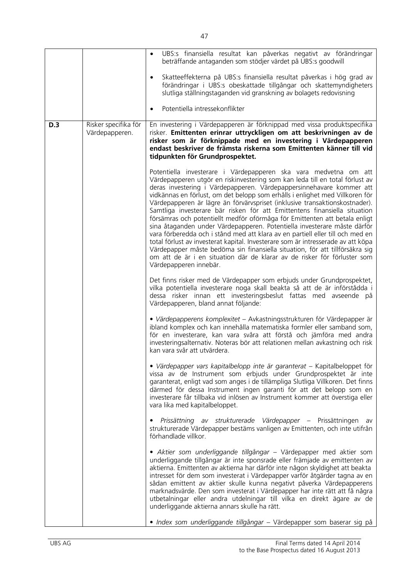|     |                                        | UBS:s finansiella resultat kan påverkas negativt av förändringar<br>beträffande antaganden som stödjer värdet på UBS:s goodwill                                                                                                                                                                                                                                                                                                                                                                                                                                                                                                                                                                                                                                                                                                                                                                                                                                                            |
|-----|----------------------------------------|--------------------------------------------------------------------------------------------------------------------------------------------------------------------------------------------------------------------------------------------------------------------------------------------------------------------------------------------------------------------------------------------------------------------------------------------------------------------------------------------------------------------------------------------------------------------------------------------------------------------------------------------------------------------------------------------------------------------------------------------------------------------------------------------------------------------------------------------------------------------------------------------------------------------------------------------------------------------------------------------|
|     |                                        | Skatteeffekterna på UBS:s finansiella resultat påverkas i hög grad av<br>förändringar i UBS:s obeskattade tillgångar och skattemyndigheters<br>slutliga ställningstaganden vid granskning av bolagets redovisning                                                                                                                                                                                                                                                                                                                                                                                                                                                                                                                                                                                                                                                                                                                                                                          |
|     |                                        | Potentiella intressekonflikter<br>$\bullet$                                                                                                                                                                                                                                                                                                                                                                                                                                                                                                                                                                                                                                                                                                                                                                                                                                                                                                                                                |
| D.3 | Risker specifika för<br>Värdepapperen. | En investering i Värdepapperen är förknippad med vissa produktspecifika<br>risker. Emittenten erinrar uttryckligen om att beskrivningen av de<br>risker som är förknippade med en investering i Värdepapperen<br>endast beskriver de främsta riskerna som Emittenten känner till vid<br>tidpunkten för Grundprospektet.                                                                                                                                                                                                                                                                                                                                                                                                                                                                                                                                                                                                                                                                    |
|     |                                        | Potentiella investerare i Värdepapperen ska vara medvetna om att<br>Värdepapperen utgör en riskinvestering som kan leda till en total förlust av<br>deras investering i Värdepapperen. Värdepappersinnehavare kommer att<br>vidkännas en förlust, om det belopp som erhålls i enlighet med Villkoren för<br>Värdepapperen är lägre än förvärvspriset (inklusive transaktionskostnader).<br>Samtliga investerare bär risken för att Emittentens finansiella situation<br>försämras och potentiellt medför oförmåga för Emittenten att betala enligt<br>sina åtaganden under Värdepapperen. Potentiella investerare måste därför<br>vara förberedda och i stånd med att klara av en partiell eller till och med en<br>total förlust av investerat kapital. Investerare som är intresserade av att köpa<br>Värdepapper måste bedöma sin finansiella situation, för att tillförsäkra sig<br>om att de är i en situation där de klarar av de risker för förluster som<br>Värdepapperen innebär. |
|     |                                        | Det finns risker med de Värdepapper som erbjuds under Grundprospektet,<br>vilka potentiella investerare noga skall beakta så att de är införstådda i<br>dessa risker innan ett investeringsbeslut fattas med avseende på<br>Värdepapperen, bland annat följande:                                                                                                                                                                                                                                                                                                                                                                                                                                                                                                                                                                                                                                                                                                                           |
|     |                                        | · Värdepapperens komplexitet - Avkastningsstrukturen för Värdepapper är<br>ibland komplex och kan innehålla matematiska formler eller samband som,<br>för en investerare, kan vara svåra att förstå och jämföra med andra<br>investeringsalternativ. Noteras bör att relationen mellan avkastning och risk<br>kan vara svår att utvärdera.                                                                                                                                                                                                                                                                                                                                                                                                                                                                                                                                                                                                                                                 |
|     |                                        | · Värdepapper vars kapitalbelopp inte är garanterat - Kapitalbeloppet för<br>vissa av de Instrument som erbjuds under Grundprospektet är inte<br>garanterat, enligt vad som anges i de tillämpliga Slutliga Villkoren. Det finns<br>därmed för dessa Instrument ingen garanti för att det belopp som en<br>investerare får tillbaka vid inlösen av Instrument kommer att överstiga eller<br>vara lika med kapitalbeloppet.                                                                                                                                                                                                                                                                                                                                                                                                                                                                                                                                                                 |
|     |                                        | Prissättning av strukturerade Värdepapper – Prissättningen<br>av<br>strukturerade Värdepapper bestäms vanligen av Emittenten, och inte utifrån<br>förhandlade villkor.                                                                                                                                                                                                                                                                                                                                                                                                                                                                                                                                                                                                                                                                                                                                                                                                                     |
|     |                                        | · Aktier som underliggande tillgångar - Värdepapper med aktier som<br>underliggande tillgångar är inte sponsrade eller främjade av emittenten av<br>aktierna. Emittenten av aktierna har därför inte någon skyldighet att beakta<br>intresset för dem som investerat i Värdepapper varför åtgärder tagna av en<br>sådan emittent av aktier skulle kunna negativt påverka Värdepapperens<br>marknadsvärde. Den som investerat i Värdepapper har inte rätt att få några<br>utbetalningar eller andra utdelningar till vilka en direkt ägare av de<br>underliggande aktierna annars skulle ha rätt.                                                                                                                                                                                                                                                                                                                                                                                           |
|     |                                        | · Index som underliggande tillgångar – Värdepapper som baserar sig på                                                                                                                                                                                                                                                                                                                                                                                                                                                                                                                                                                                                                                                                                                                                                                                                                                                                                                                      |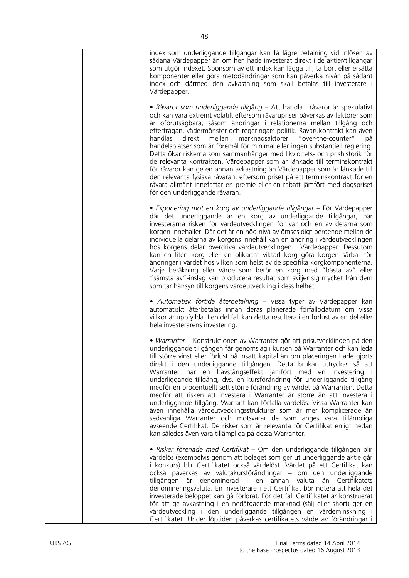| index som underliggande tillgångar kan få lägre betalning vid inlösen av<br>sådana Värdepapper än om hen hade investerat direkt i de aktier/tillgångar<br>som utgör indexet. Sponsorn av ett index kan lägga till, ta bort eller ersätta<br>komponenter eller göra metodändringar som kan påverka nivån på sådant<br>index och därmed den avkastning som skall betalas till investerare i<br>Värdepapper.                                                                                                                                                                                                                                                                                                                                                                                                                                                                                                                                                                                    |
|----------------------------------------------------------------------------------------------------------------------------------------------------------------------------------------------------------------------------------------------------------------------------------------------------------------------------------------------------------------------------------------------------------------------------------------------------------------------------------------------------------------------------------------------------------------------------------------------------------------------------------------------------------------------------------------------------------------------------------------------------------------------------------------------------------------------------------------------------------------------------------------------------------------------------------------------------------------------------------------------|
| • Råvaror som underliggande tillgång - Att handla i råvaror är spekulativt<br>och kan vara extremt volatilt eftersom råvarupriser påverkas av faktorer som<br>är oförutsägbara, såsom ändringar i relationerna mellan tillgång och<br>efterfrågan, vädermönster och regeringars politik. Råvarukontrakt kan även<br>mellan marknadsaktörer "over-the-counter"<br>handlas<br>direkt<br>på<br>handelsplatser som är föremål för minimal eller ingen substantiell reglering.<br>Detta ökar riskerna som sammanhänger med likviditets- och prishistorik för<br>de relevanta kontrakten. Värdepapper som är länkade till terminskontrakt<br>för råvaror kan ge en annan avkastning än Värdepapper som är länkade till<br>den relevanta fysiska råvaran, eftersom priset på ett terminskontrakt för en<br>råvara allmänt innefattar en premie eller en rabatt jämfört med dagspriset<br>för den underliggande råvaran.                                                                             |
| • Exponering mot en korg av underliggande tillgångar – För Värdepapper<br>där det underliggande är en korg av underliggande tillgångar, bär<br>investerarna risken för värdeutvecklingen för var och en av delarna som<br>korgen innehåller. Där det är en hög nivå av ömsesidigt beroende mellan de<br>individuella delarna av korgens innehåll kan en ändring i värdeutvecklingen<br>hos korgens delar överdriva värdeutvecklingen i Värdepapper. Dessutom<br>kan en liten korg eller en olikartat viktad korg göra korgen sårbar för<br>ändringar i värdet hos vilken som helst av de specifika korgkomponenterna.<br>Varje beräkning eller värde som berör en korg med "bästa av" eller<br>"sämsta av"-inslag kan producera resultat som skiljer sig mycket från dem<br>som tar hänsyn till korgens värdeutveckling i dess helhet.                                                                                                                                                       |
| · Automatisk förtida återbetalning - Vissa typer av Värdepapper kan<br>automatiskt återbetalas innan deras planerade förfallodatum om vissa<br>villkor är uppfyllda. I en del fall kan detta resultera i en förlust av en del eller<br>hela investerarens investering.                                                                                                                                                                                                                                                                                                                                                                                                                                                                                                                                                                                                                                                                                                                       |
| • Warranter – Konstruktionen av Warranter gör att prisutvecklingen på den<br>underliggande tillgången får genomslag i kursen på Warranter och kan leda<br>till större vinst eller förlust på insatt kapital än om placeringen hade gjorts<br>direkt i den underliggande tillgången. Detta brukar uttryckas så att<br>Warranter har en hävstångseffekt jämfört med en investering i<br>underliggande tillgång, dvs. en kursförändring för underliggande tillgång<br>medför en procentuellt sett större förändring av värdet på Warranten. Detta<br>medför att risken att investera i Warranter är större än att investera i<br>underliggande tillgång. Warrant kan förfalla värdelös. Vissa Warranter kan<br>även innehålla värdeutvecklingsstrukturer som är mer komplicerade än<br>sedvanliga Warranter och motsvarar de som anges vara tillämpliga<br>avseende Certifikat. De risker som är relevanta för Certifikat enligt nedan<br>kan således även vara tillämpliga på dessa Warranter. |
| • Risker förenade med Certifikat – Om den underliggande tillgången blir<br>värdelös (exempelvis genom att bolaget som ger ut underliggande aktie går<br>i konkurs) blir Certifikatet också värdelöst. Värdet på ett Certifikat kan<br>också påverkas av valutakursförändringar – om den underliggande<br>tillgången är denominerad i en annan valuta än Certifikatets<br>denomineringsvaluta. En investerare i ett Certifikat bör notera att hela det<br>investerade beloppet kan gå förlorat. För det fall Certifikatet är konstruerat<br>för att ge avkastning i en nedåtgående marknad (sälj eller short) ger en<br>värdeutveckling i den underliggande tillgången en värdeminskning i<br>Certifikatet. Under löptiden påverkas certifikatets värde av förändringar i                                                                                                                                                                                                                     |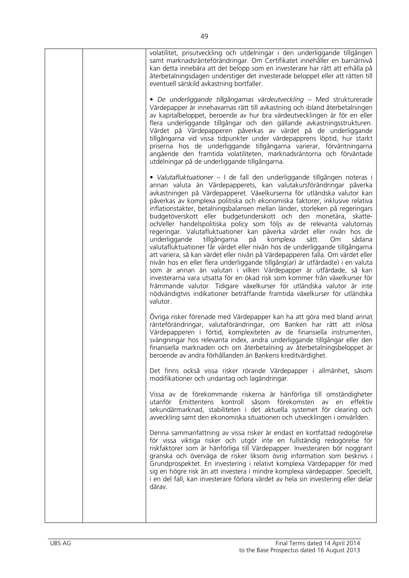| volatilitet, prisutveckling och utdelningar i den underliggande tillgången<br>samt marknadsränteförändringar. Om Certifikatet innehåller en barriärnivå<br>kan detta innebära att det belopp som en investerare har rätt att erhålla på<br>återbetalningsdagen understiger det investerade beloppet eller att rätten till<br>eventuell särskild avkastning bortfaller.                                                                                                                                                                                                                                                                                                                                                                                                                                                                                                                                                                                                                                                                                                                                                                                                                                                                                                         |
|--------------------------------------------------------------------------------------------------------------------------------------------------------------------------------------------------------------------------------------------------------------------------------------------------------------------------------------------------------------------------------------------------------------------------------------------------------------------------------------------------------------------------------------------------------------------------------------------------------------------------------------------------------------------------------------------------------------------------------------------------------------------------------------------------------------------------------------------------------------------------------------------------------------------------------------------------------------------------------------------------------------------------------------------------------------------------------------------------------------------------------------------------------------------------------------------------------------------------------------------------------------------------------|
| • De underliggande tillgångarnas värdeutveckling – Med strukturerade<br>Värdepapper är innehavarnas rätt till avkastning och ibland återbetalningen<br>av kapitalbeloppet, beroende av hur bra värdeutvecklingen är för en eller<br>flera underliggande tillgångar och den gällande avkastningsstrukturen.<br>Värdet på Värdepapperen påverkas av värdet på de underliggande<br>tillgångarna vid vissa tidpunkter under värdepapprens löptid, hur starkt<br>priserna hos de underliggande tillgångarna varierar, förväntningarna<br>angående den framtida volatiliteten, marknadsräntorna och förväntade<br>utdelningar på de underliggande tillgångarna.                                                                                                                                                                                                                                                                                                                                                                                                                                                                                                                                                                                                                      |
| • Valutafluktuationer – I de fall den underliggande tillgången noteras i<br>annan valuta än Värdepapperets, kan valutakursförändringar påverka<br>avkastningen på Värdepapperet. Växelkurserna för utländska valutor kan<br>påverkas av komplexa politiska och ekonomiska faktorer, inklusive relativa<br>inflationstakter, betalningsbalansen mellan länder, storleken på regeringars<br>budgetöverskott eller budgetunderskott och den monetära, skatte-<br>och/eller handelspolitiska policy som följs av de relevanta valutornas<br>regeringar. Valutafluktuationer kan påverka värdet eller nivån hos de<br>tillgångarna<br>komplexa<br>sätt.<br>underliggande<br>på<br>O <sub>m</sub><br>sådana<br>valutafluktuationer får värdet eller nivån hos de underliggande tillgångarna<br>att variera, så kan värdet eller nivån på Värdepapperen falla. Om värdet eller<br>nivån hos en eller flera underliggande tillgång(ar) är utfärdad(e) i en valuta<br>som är annan än valutan i vilken Värdepapper är utfärdade, så kan<br>investerarna vara utsatta för en ökad risk som kommer från växelkurser för<br>främmande valutor. Tidigare växelkurser för utländska valutor är inte<br>nödvändigtvis indikationer beträffande framtida växelkurser för utländska<br>valutor. |
| Övriga risker förenade med Värdepapper kan ha att göra med bland annat<br>ränteförändringar, valutaförändringar, om Banken har rätt att inlösa<br>Värdepapperen i förtid, komplexiteten av de finansiella instrumenten,<br>svängningar hos relevanta index, andra underliggande tillgångar eller den<br>finansiella marknaden och om återbetalning av återbetalningsbeloppet är<br>beroende av andra förhållanden än Bankens kreditvärdighet.                                                                                                                                                                                                                                                                                                                                                                                                                                                                                                                                                                                                                                                                                                                                                                                                                                  |
| Det finns också vissa risker rörande Värdepapper i allmänhet, såsom<br>modifikationer och undantag och lagändringar.                                                                                                                                                                                                                                                                                                                                                                                                                                                                                                                                                                                                                                                                                                                                                                                                                                                                                                                                                                                                                                                                                                                                                           |
| Vissa av de förekommande riskerna är hänförliga till omständigheter<br>utanför Emittentens kontroll såsom förekomsten av<br>en<br>effektiv<br>sekundärmarknad, stabiliteten i det aktuella systemet för clearing och<br>avveckling samt den ekonomiska situationen och utvecklingen i omvärlden.                                                                                                                                                                                                                                                                                                                                                                                                                                                                                                                                                                                                                                                                                                                                                                                                                                                                                                                                                                               |
| Denna sammanfattning av vissa risker är endast en kortfattad redogörelse<br>för vissa viktiga risker och utgör inte en fullständig redogörelse för<br>riskfaktorer som är hänförliga till Värdepapper. Investeraren bör noggrant<br>granska och överväga de risker liksom övrig information som beskrivs i<br>Grundprospektet. En investering i relativt komplexa Värdepapper för med<br>sig en högre risk än att investera i mindre komplexa värdepapper. Speciellt,<br>i en del fall, kan investerare förlora värdet av hela sin investering eller delar<br>därav.                                                                                                                                                                                                                                                                                                                                                                                                                                                                                                                                                                                                                                                                                                           |
|                                                                                                                                                                                                                                                                                                                                                                                                                                                                                                                                                                                                                                                                                                                                                                                                                                                                                                                                                                                                                                                                                                                                                                                                                                                                                |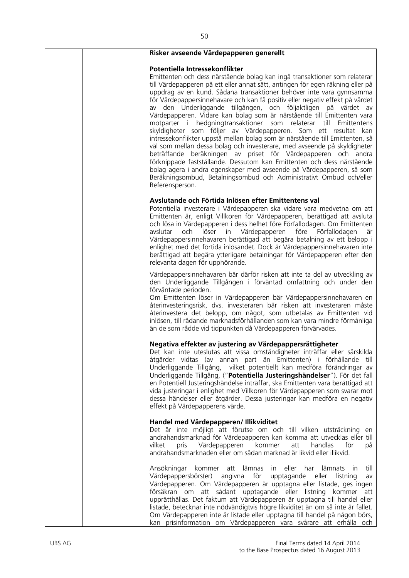| Risker avseende Värdepapperen generellt                                                                                                                                                                                                                                                                                                                                                                                                                                                                                                                                                                                                                                                                                                                                                                                                                                                                                                                                                                                                                                                                             |
|---------------------------------------------------------------------------------------------------------------------------------------------------------------------------------------------------------------------------------------------------------------------------------------------------------------------------------------------------------------------------------------------------------------------------------------------------------------------------------------------------------------------------------------------------------------------------------------------------------------------------------------------------------------------------------------------------------------------------------------------------------------------------------------------------------------------------------------------------------------------------------------------------------------------------------------------------------------------------------------------------------------------------------------------------------------------------------------------------------------------|
| Potentiella Intressekonflikter<br>Emittenten och dess närstående bolag kan ingå transaktioner som relaterar<br>till Värdepapperen på ett eller annat sätt, antingen för egen räkning eller på<br>uppdrag av en kund. Sådana transaktioner behöver inte vara gynnsamma<br>för Värdepappersinnehavare och kan få positiv eller negativ effekt på värdet<br>av den Underliggande tillgången, och följaktligen på värdet av<br>Värdepapperen. Vidare kan bolag som är närstående till Emittenten vara<br>motparter i hedgningtransaktioner som relaterar till<br>Emittentens<br>skyldigheter som följer av Värdepapperen. Som ett resultat kan<br>intressekonflikter uppstå mellan bolag som är närstående till Emittenten, så<br>väl som mellan dessa bolag och investerare, med avseende på skyldigheter<br>beträffande beräkningen av priset för Värdepapperen och andra<br>förknippade fastställande. Dessutom kan Emittenten och dess närstående<br>bolag agera i andra egenskaper med avseende på Värdepapperen, så som<br>Beräkningsombud, Betalningsombud och Administrativt Ombud och/eller<br>Referensperson. |
| Avslutande och Förtida Inlösen efter Emittentens val<br>Potentiella investerare i Värdepapperen ska vidare vara medvetna om att<br>Emittenten är, enligt Villkoren för Värdepapperen, berättigad att avsluta<br>och lösa in Värdepapperen i dess helhet före Förfallodagen. Om Emittenten<br>avslutar<br>löser in Värdepapperen<br>före<br>Förfallodagen<br>och<br>är<br>Värdepappersinnehavaren berättigad att begära betalning av ett belopp i<br>enlighet med det förtida inlösandet. Dock är Värdepappersinnehavaren inte<br>berättigad att begära ytterligare betalningar för Värdepapperen efter den<br>relevanta dagen för upphörande.                                                                                                                                                                                                                                                                                                                                                                                                                                                                       |
| Värdepappersinnehavaren bär därför risken att inte ta del av utveckling av<br>den Underliggande Tillgången i förväntad omfattning och under den<br>förväntade perioden.<br>Om Emittenten löser in Värdepapperen bär Värdepappersinnehavaren en<br>återinvesteringsrisk, dvs. investeraren bär risken att investeraren måste<br>återinvestera det belopp, om något, som utbetalas av Emittenten vid<br>inlösen, till rådande marknadsförhållanden som kan vara mindre förmånliga<br>än de som rådde vid tidpunkten då Värdepapperen förvärvades.                                                                                                                                                                                                                                                                                                                                                                                                                                                                                                                                                                     |
| Negativa effekter av justering av Värdepappersrättigheter<br>Det kan inte uteslutas att vissa omständigheter inträffar eller särskilda<br>åtgärder vidtas (av annan part än Emittenten) i förhållande till<br>Underliggande Tillgång, vilket potentiellt kan medföra förändringar av<br>Underliggande Tillgång, ("Potentiella Justeringshändelser"). För det fall<br>en Potentiell Justeringshändelse inträffar, ska Emittenten vara berättigad att<br>vida justeringar i enlighet med Villkoren för Värdepapperen som svarar mot<br>dessa händelser eller åtgärder. Dessa justeringar kan medföra en negativ<br>effekt på Värdepapperens värde.                                                                                                                                                                                                                                                                                                                                                                                                                                                                    |
| Handel med Värdepapperen/ Illikviditet<br>Det är inte möjligt att förutse om och till vilken utsträckning en<br>andrahandsmarknad för Värdepapperen kan komma att utvecklas eller till<br>Värdepapperen<br>kommer<br>handlas<br>för<br>vilket<br>pris<br>att<br>på<br>andrahandsmarknaden eller om sådan marknad är likvid eller illikvid.                                                                                                                                                                                                                                                                                                                                                                                                                                                                                                                                                                                                                                                                                                                                                                          |
| till<br>Ansökningar kommer<br>att lämnas<br>in eller har<br>lämnats<br><i>in</i><br>Värdepappersbörs(er) angivna för<br>upptagande eller listning<br>av<br>Värdepapperen. Om Värdepapperen är upptagna eller listade, ges ingen<br>försäkran om att sådant upptagande eller listning kommer att<br>upprätthållas. Det faktum att Värdepapperen är upptagna till handel eller<br>listade, betecknar inte nödvändigtvis högre likviditet än om så inte är fallet.<br>Om Värdepapperen inte är listade eller upptagna till handel på någon börs,<br>kan prisinformation om Värdepapperen vara svårare att erhålla och                                                                                                                                                                                                                                                                                                                                                                                                                                                                                                  |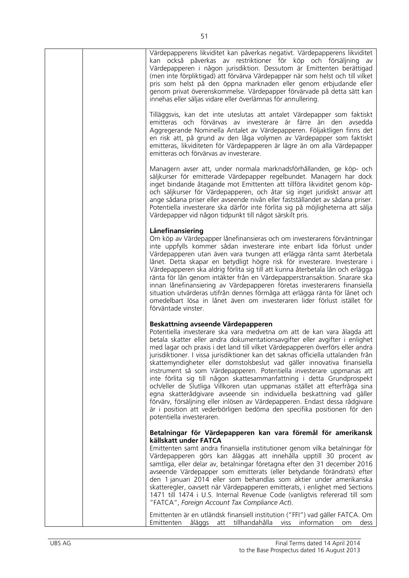| Värdepapperens likviditet kan påverkas negativt. Värdepapperens likviditet<br>kan också påverkas av restriktioner för köp och försäljning av<br>Värdepapperen i någon jurisdiktion. Dessutom är Emittenten berättigad<br>(men inte förpliktigad) att förvärva Värdepapper när som helst och till vilket<br>pris som helst på den öppna marknaden eller genom erbjudande eller<br>genom privat överenskommelse. Värdepapper förvärvade på detta sätt kan<br>innehas eller säljas vidare eller överlämnas för annullering.                                                                                                                                                                                                                                                                                                                                                                                                                        |
|-------------------------------------------------------------------------------------------------------------------------------------------------------------------------------------------------------------------------------------------------------------------------------------------------------------------------------------------------------------------------------------------------------------------------------------------------------------------------------------------------------------------------------------------------------------------------------------------------------------------------------------------------------------------------------------------------------------------------------------------------------------------------------------------------------------------------------------------------------------------------------------------------------------------------------------------------|
| Tilläggsvis, kan det inte uteslutas att antalet Värdepapper som faktiskt<br>emitteras och förvärvas av investerare är färre än den avsedda<br>Aggregerande Nominella Antalet av Värdepapperen. Följaktligen finns det<br>en risk att, på grund av den låga volymen av Värdepapper som faktiskt<br>emitteras, likviditeten för Värdepapperen är lägre än om alla Värdepapper<br>emitteras och förvärvas av investerare.                                                                                                                                                                                                                                                                                                                                                                                                                                                                                                                          |
| Managern avser att, under normala marknadsförhållanden, ge köp- och<br>säljkurser för emitterade Värdepapper regelbundet. Managern har dock<br>inget bindande åtagande mot Emittenten att tillföra likviditet genom köp-<br>och säljkurser för Värdepapperen, och åtar sig inget juridiskt ansvar att<br>ange sådana priser eller avseende nivån eller fastställandet av sådana priser.<br>Potentiella investerare ska därför inte förlita sig på möjligheterna att sälja<br>Värdepapper vid någon tidpunkt till något särskilt pris.                                                                                                                                                                                                                                                                                                                                                                                                           |
| Lånefinansiering<br>Om köp av Värdepapper lånefinansieras och om investerarens förväntningar<br>inte uppfylls kommer sådan investerare inte enbart lida förlust under<br>Värdepapperen utan även vara tvungen att erlägga ränta samt återbetala<br>lånet. Detta skapar en betydligt högre risk för investerare. Investerare i<br>Värdepapperen ska aldrig förlita sig till att kunna återbetala lån och erlägga<br>ränta för lån genom intäkter från en Värdepapperstransaktion. Snarare ska<br>innan lånefinansiering av Värdepapperen företas investerarens finansiella<br>situation utvärderas utifrån dennes förmåga att erlägga ränta för lånet och<br>omedelbart lösa in lånet även om investeraren lider förlust istället för<br>förväntade vinster.                                                                                                                                                                                     |
| Beskattning avseende Värdepapperen<br>Potentiella investerare ska vara medvetna om att de kan vara ålagda att<br>betala skatter eller andra dokumentationsavgifter eller avgifter i enlighet<br>med lagar och praxis i det land till vilket Värdepapperen överförs eller andra<br>jurisdiktioner. I vissa jurisdiktioner kan det saknas officiella uttalanden från<br>skattemyndigheter eller domstolsbeslut vad gäller innovativa finansiella<br>instrument så som Värdepapperen. Potentiella investerare uppmanas att<br>inte förlita sig till någon skattesammanfattning i detta Grundprospekt<br>och/eller de Slutliga Villkoren utan uppmanas istället att efterfråga sina<br>egna skatterådgivare avseende sin individuella beskattning vad gäller<br>förvärv, försäljning eller inlösen av Värdepapperen. Endast dessa rådgivare<br>är i position att vederbörligen bedöma den specifika positionen för den<br>potentiella investeraren. |
| Betalningar för Värdepapperen kan vara föremål för amerikansk<br>källskatt under FATCA<br>Emittenten samt andra finansiella institutioner genom vilka betalningar för<br>Värdepapperen görs kan åläggas att innehålla upptill 30 procent av<br>samtliga, eller delar av, betalningar företagna efter den 31 december 2016<br>avseende Värdepapper som emitterats (eller betydande förändrats) efter<br>den 1 januari 2014 eller som behandlas som aktier under amerikanska<br>skatteregler, oavsett när Värdepapperen emitterats, i enlighet med Sections<br>1471 till 1474 i U.S. Internal Revenue Code (vanligtvis refererad till som<br>"FATCA", Foreign Account Tax Compliance Act).                                                                                                                                                                                                                                                        |
| Emittenten är en utländsk finansiell institution ("FFI") vad gäller FATCA. Om<br>Emittenten åläggs att tillhandahålla viss information<br>om<br>dess                                                                                                                                                                                                                                                                                                                                                                                                                                                                                                                                                                                                                                                                                                                                                                                            |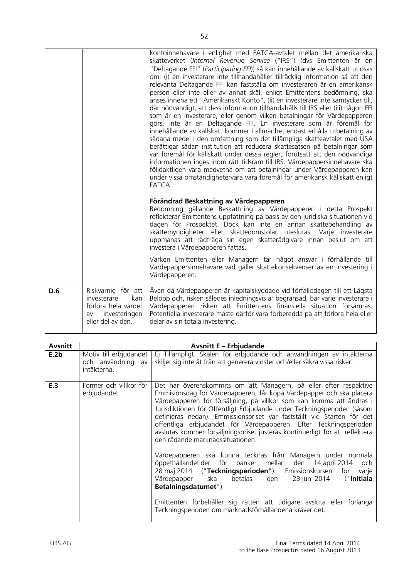|     |                                                                                                             | kontoinnehavare i enlighet med FATCA-avtalet mellan det amerikanska<br>skatteverket (Internal Revenue Service ("IRS") (dvs Emittenten är en<br>"Deltagande FFI" (Participating FFI)) så kan innehållande av källskatt utlösas<br>om: (i) en investerare inte tillhandahåller tillräcklig information så att den<br>relevanta Deltagande FFI kan fastställa om investeraren är en amerikansk<br>person eller inte eller av annat skäl, enligt Emittentens bedömning, ska<br>anses inneha ett "Amerikanskt Konto", (ii) en investerare inte samtycker till,<br>där nödvändigt, att dess information tillhandahålls till IRS eller (iii) någon FFI<br>som är en investerare, eller genom vilken betalningar för Värdepapperen<br>görs, inte är en Deltagande FFI. En investerare som är föremål för<br>innehållande av källskatt kommer i allmänhet endast erhålla utbetalning av<br>sådana medel i den omfattning som det tillämpliga skatteavtalet med USA<br>berättigar sådan institution att reducera skattesatsen på betalningar som<br>var föremål för källskatt under dessa regler, förutsatt att den nödvändiga<br>informationen inges inom rätt tidsram till IRS. Värdepappersinnehavare ska<br>följdaktligen vara medvetna om att betalningar under Värdepapperen kan<br>under vissa omständighetervara vara föremål för amerikansk källskatt enligt<br>FATCA. |
|-----|-------------------------------------------------------------------------------------------------------------|-----------------------------------------------------------------------------------------------------------------------------------------------------------------------------------------------------------------------------------------------------------------------------------------------------------------------------------------------------------------------------------------------------------------------------------------------------------------------------------------------------------------------------------------------------------------------------------------------------------------------------------------------------------------------------------------------------------------------------------------------------------------------------------------------------------------------------------------------------------------------------------------------------------------------------------------------------------------------------------------------------------------------------------------------------------------------------------------------------------------------------------------------------------------------------------------------------------------------------------------------------------------------------------------------------------------------------------------------------------------------|
|     |                                                                                                             | Förändrad Beskattning av Värdepapperen<br>Bedömning gällande Beskattning av Värdepapperen i detta Prospekt<br>reflekterar Emittentens uppfattning på basis av den juridiska situationen vid<br>dagen för Prospektet. Dock kan inte en annan skattebehandling av<br>skattemyndigheter eller skattedomstolar uteslutas. Varje investerare<br>uppmanas att rådfråga sin egen skatterådgivare innan beslut om att<br>investera i Värdepapperen fattas.                                                                                                                                                                                                                                                                                                                                                                                                                                                                                                                                                                                                                                                                                                                                                                                                                                                                                                                    |
|     |                                                                                                             | Varken Emittenten eller Managern tar något ansvar i förhållande till<br>Värdepappersinnehavare vad gäller skattekonsekvenser av en investering i<br>Värdepapperen.                                                                                                                                                                                                                                                                                                                                                                                                                                                                                                                                                                                                                                                                                                                                                                                                                                                                                                                                                                                                                                                                                                                                                                                                    |
| D.6 | Riskvarnig för att<br>investerare<br>kan<br>förlora hela värdet<br>investeringen<br>av<br>eller del av den. | Även då Värdepapperen är kapitalskyddade vid förfallodagen till ett Lägsta<br>Belopp och, risken således inledningsvis är begränsad, bär varje investerare i<br>Värdepapperen risken att Emittentens finansiella situation försämras.<br>Potentiella investerare måste därför vara förberedda på att förlora hela eller<br>delar av sin totala investering.                                                                                                                                                                                                                                                                                                                                                                                                                                                                                                                                                                                                                                                                                                                                                                                                                                                                                                                                                                                                           |

| Avsnitt |                                                            | <b>Avsnitt E - Erbjudande</b>                                                                                                                                                                                                                                                                                                                                                                                                                                                                                                                                   |
|---------|------------------------------------------------------------|-----------------------------------------------------------------------------------------------------------------------------------------------------------------------------------------------------------------------------------------------------------------------------------------------------------------------------------------------------------------------------------------------------------------------------------------------------------------------------------------------------------------------------------------------------------------|
| E.2b    | Motiv till erbjudandet<br>och användning av<br>intäkterna. | Ej Tillämpligt. Skälen för erbjudande och användningen av intäkterna<br>skiljer sig inte åt från att generera vinster och/eller säkra vissa risker.                                                                                                                                                                                                                                                                                                                                                                                                             |
| E.3     | Former och villkor för<br>erbjudandet.                     | Det har överenskommits om att Managern, på eller efter respektive<br>Emmisionsdag för Värdepapperen, får köpa Värdepapper och ska placera<br>Värdepapperen för försäljning, på villkor som kan komma att ändras i<br>Jurisdiktionen för Offentligt Erbjudande under Teckningsperioden (såsom<br>definieras nedan). Emmissionspriset var fastställt vid Starten för det<br>offentliga erbjudandet för Värdepapperen. Efter Teckningsperioden<br>avslutas kommer försäljningspriset justeras kontinuerligt för att reflektera<br>den rådande marknadssituationen. |
|         |                                                            | Värdepapperen ska kunna tecknas från Managern under normala<br>öppethållandetider för banker mellan den 14-april-2014 och<br>28 maj 2014 ("Teckningsperioden"). Emissionskursen för varje<br>Värdepapper ska betalas den<br>23 juni 2014<br>("Initiala<br>Betalningsdatumet").                                                                                                                                                                                                                                                                                  |
|         |                                                            | Emittenten förbehåller sig rätten att tidigare avsluta eller förlänga<br>Teckningsperioden om marknadsförhållandena kräver det.                                                                                                                                                                                                                                                                                                                                                                                                                                 |